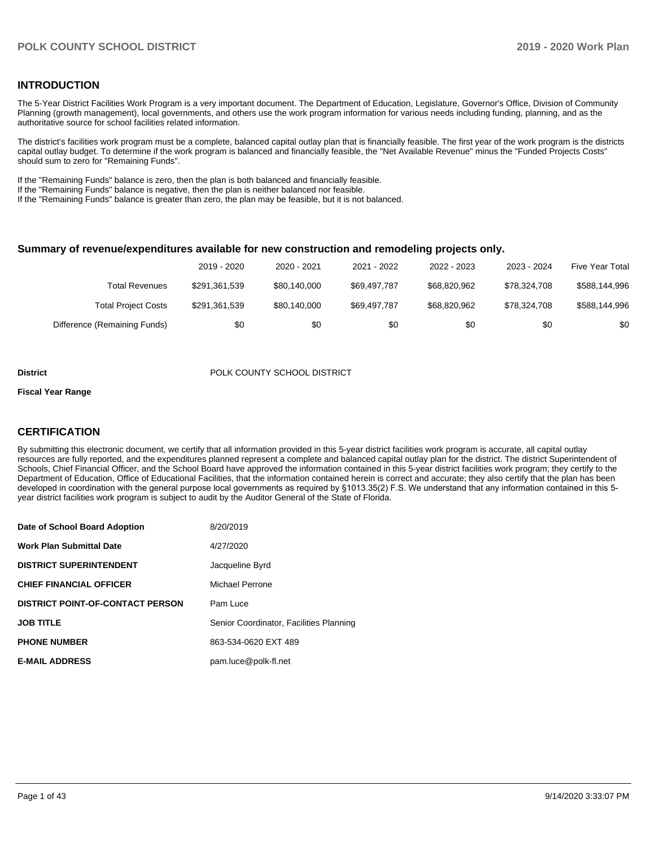### **INTRODUCTION**

The 5-Year District Facilities Work Program is a very important document. The Department of Education, Legislature, Governor's Office, Division of Community Planning (growth management), local governments, and others use the work program information for various needs including funding, planning, and as the authoritative source for school facilities related information.

The district's facilities work program must be a complete, balanced capital outlay plan that is financially feasible. The first year of the work program is the districts capital outlay budget. To determine if the work program is balanced and financially feasible, the "Net Available Revenue" minus the "Funded Projects Costs" should sum to zero for "Remaining Funds".

If the "Remaining Funds" balance is zero, then the plan is both balanced and financially feasible.

If the "Remaining Funds" balance is negative, then the plan is neither balanced nor feasible.

If the "Remaining Funds" balance is greater than zero, the plan may be feasible, but it is not balanced.

#### **Summary of revenue/expenditures available for new construction and remodeling projects only.**

|                              | 2019 - 2020   | 2020 - 2021  | 2021 - 2022  | 2022 - 2023  | 2023 - 2024  | <b>Five Year Total</b> |
|------------------------------|---------------|--------------|--------------|--------------|--------------|------------------------|
| Total Revenues               | \$291.361.539 | \$80,140,000 | \$69.497.787 | \$68,820,962 | \$78.324.708 | \$588,144,996          |
| <b>Total Project Costs</b>   | \$291,361,539 | \$80,140,000 | \$69.497.787 | \$68,820,962 | \$78.324.708 | \$588,144,996          |
| Difference (Remaining Funds) | \$0           | \$0          | \$0          | \$0          | \$0          | \$0                    |

#### **District District POLK COUNTY SCHOOL DISTRICT**

#### **Fiscal Year Range**

### **CERTIFICATION**

By submitting this electronic document, we certify that all information provided in this 5-year district facilities work program is accurate, all capital outlay resources are fully reported, and the expenditures planned represent a complete and balanced capital outlay plan for the district. The district Superintendent of Schools, Chief Financial Officer, and the School Board have approved the information contained in this 5-year district facilities work program; they certify to the Department of Education, Office of Educational Facilities, that the information contained herein is correct and accurate; they also certify that the plan has been developed in coordination with the general purpose local governments as required by §1013.35(2) F.S. We understand that any information contained in this 5 year district facilities work program is subject to audit by the Auditor General of the State of Florida.

| Date of School Board Adoption           | 8/20/2019                               |
|-----------------------------------------|-----------------------------------------|
| Work Plan Submittal Date                | 4/27/2020                               |
| <b>DISTRICT SUPERINTENDENT</b>          | Jacqueline Byrd                         |
| <b>CHIEF FINANCIAL OFFICER</b>          | Michael Perrone                         |
| <b>DISTRICT POINT-OF-CONTACT PERSON</b> | Pam Luce                                |
| JOB TITLE                               | Senior Coordinator, Facilities Planning |
| <b>PHONE NUMBER</b>                     | 863-534-0620 EXT 489                    |
| <b>E-MAIL ADDRESS</b>                   | pam.luce@polk-fl.net                    |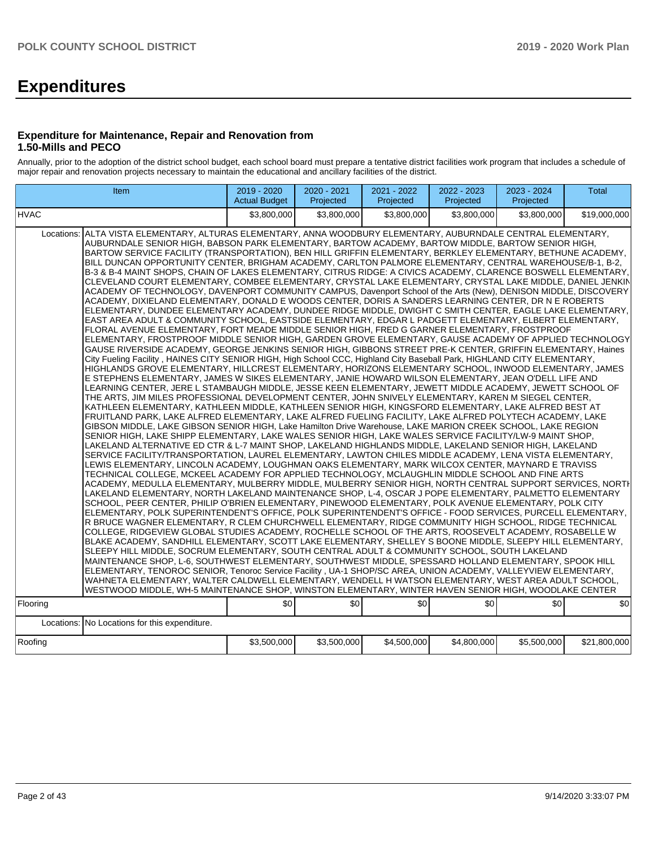# **Expenditures**

### **Expenditure for Maintenance, Repair and Renovation from 1.50-Mills and PECO**

Annually, prior to the adoption of the district school budget, each school board must prepare a tentative district facilities work program that includes a schedule of major repair and renovation projects necessary to maintain the educational and ancillary facilities of the district.

|                                                                                                                                                                                                                                                                                                                                                                                                                                                                                                                                                                                                                                                                                                                                                                                                                                                                                                                                                                                                                                                                                                                                                                                                                                                                                                                                                                                                                                                                                                                                                                                                                                                                                                                                                                                                                                                                                                                                                                                                                                                                                                                                                                                                                                                                                                                                                                                                                                                                                                                                                                                                                                                                                                                                                                                                                                                                                                                                                                                                                                                                                                                                                                                                                                                                                                                                                                                                                                                                                                                                                                                                                                                                                                                                                                                                                                                                                                                                                                                                                                                                                                                                                                                                                                                                                                                                           | Item                                          | 2019 - 2020<br><b>Actual Budget</b> | 2020 - 2021<br>Projected | 2021 - 2022<br>Projected | 2022 - 2023<br>Projected | 2023 - 2024<br>Projected | <b>Total</b> |  |  |
|-------------------------------------------------------------------------------------------------------------------------------------------------------------------------------------------------------------------------------------------------------------------------------------------------------------------------------------------------------------------------------------------------------------------------------------------------------------------------------------------------------------------------------------------------------------------------------------------------------------------------------------------------------------------------------------------------------------------------------------------------------------------------------------------------------------------------------------------------------------------------------------------------------------------------------------------------------------------------------------------------------------------------------------------------------------------------------------------------------------------------------------------------------------------------------------------------------------------------------------------------------------------------------------------------------------------------------------------------------------------------------------------------------------------------------------------------------------------------------------------------------------------------------------------------------------------------------------------------------------------------------------------------------------------------------------------------------------------------------------------------------------------------------------------------------------------------------------------------------------------------------------------------------------------------------------------------------------------------------------------------------------------------------------------------------------------------------------------------------------------------------------------------------------------------------------------------------------------------------------------------------------------------------------------------------------------------------------------------------------------------------------------------------------------------------------------------------------------------------------------------------------------------------------------------------------------------------------------------------------------------------------------------------------------------------------------------------------------------------------------------------------------------------------------------------------------------------------------------------------------------------------------------------------------------------------------------------------------------------------------------------------------------------------------------------------------------------------------------------------------------------------------------------------------------------------------------------------------------------------------------------------------------------------------------------------------------------------------------------------------------------------------------------------------------------------------------------------------------------------------------------------------------------------------------------------------------------------------------------------------------------------------------------------------------------------------------------------------------------------------------------------------------------------------------------------------------------------------------------------------------------------------------------------------------------------------------------------------------------------------------------------------------------------------------------------------------------------------------------------------------------------------------------------------------------------------------------------------------------------------------------------------------------------------------------------------------------------------|-----------------------------------------------|-------------------------------------|--------------------------|--------------------------|--------------------------|--------------------------|--------------|--|--|
| <b>HVAC</b>                                                                                                                                                                                                                                                                                                                                                                                                                                                                                                                                                                                                                                                                                                                                                                                                                                                                                                                                                                                                                                                                                                                                                                                                                                                                                                                                                                                                                                                                                                                                                                                                                                                                                                                                                                                                                                                                                                                                                                                                                                                                                                                                                                                                                                                                                                                                                                                                                                                                                                                                                                                                                                                                                                                                                                                                                                                                                                                                                                                                                                                                                                                                                                                                                                                                                                                                                                                                                                                                                                                                                                                                                                                                                                                                                                                                                                                                                                                                                                                                                                                                                                                                                                                                                                                                                                                               |                                               | \$3.800.000                         | \$3,800,000              | \$3.800.000              |                          |                          | \$19,000,000 |  |  |
| \$3.800.000<br>\$3,800,000<br>Locations: ALTA VISTA ELEMENTARY, ALTURAS ELEMENTARY, ANNA WOODBURY ELEMENTARY, AUBURNDALE CENTRAL ELEMENTARY,<br>AUBURNDALE SENIOR HIGH, BABSON PARK ELEMENTARY, BARTOW ACADEMY, BARTOW MIDDLE, BARTOW SENIOR HIGH,<br>BARTOW SERVICE FACILITY (TRANSPORTATION), BEN HILL GRIFFIN ELEMENTARY, BERKLEY ELEMENTARY, BETHUNE ACADEMY,<br>BILL DUNCAN OPPORTUNITY CENTER, BRIGHAM ACADEMY, CARLTON PALMORE ELEMENTARY, CENTRAL WAREHOUSE/B-1, B-2,<br>B-3 & B-4 MAINT SHOPS, CHAIN OF LAKES ELEMENTARY, CITRUS RIDGE: A CIVICS ACADEMY, CLARENCE BOSWELL ELEMENTARY,<br>CLEVELAND COURT ELEMENTARY, COMBEE ELEMENTARY, CRYSTAL LAKE ELEMENTARY, CRYSTAL LAKE MIDDLE, DANIEL JENKIN<br>ACADEMY OF TECHNOLOGY, DAVENPORT COMMUNITY CAMPUS, Davenport School of the Arts (New), DENISON MIDDLE, DISCOVERY<br>ACADEMY. DIXIELAND ELEMENTARY. DONALD E WOODS CENTER. DORIS A SANDERS LEARNING CENTER. DR N E ROBERTS<br>ELEMENTARY, DUNDEE ELEMENTARY ACADEMY, DUNDEE RIDGE MIDDLE, DWIGHT C SMITH CENTER, EAGLE LAKE ELEMENTARY,<br>EAST AREA ADULT & COMMUNITY SCHOOL, EASTSIDE ELEMENTARY, EDGAR L PADGETT ELEMENTARY, ELBERT ELEMENTARY,<br>FLORAL AVENUE ELEMENTARY, FORT MEADE MIDDLE SENIOR HIGH, FRED G GARNER ELEMENTARY, FROSTPROOF<br>ELEMENTARY, FROSTPROOF MIDDLE SENIOR HIGH, GARDEN GROVE ELEMENTARY, GAUSE ACADEMY OF APPLIED TECHNOLOGY<br>GAUSE RIVERSIDE ACADEMY, GEORGE JENKINS SENIOR HIGH, GIBBONS STREET PRE-K CENTER, GRIFFIN ELEMENTARY, Haines<br>City Fueling Facility, HAINES CITY SENIOR HIGH, High School CCC, Highland City Baseball Park, HIGHLAND CITY ELEMENTARY,<br>HIGHLANDS GROVE ELEMENTARY, HILLCREST ELEMENTARY, HORIZONS ELEMENTARY SCHOOL, INWOOD ELEMENTARY, JAMES<br>E STEPHENS ELEMENTARY, JAMES W SIKES ELEMENTARY, JANIE HOWARD WILSON ELEMENTARY, JEAN O'DELL LIFE AND<br>LEARNING CENTER, JERE L STAMBAUGH MIDDLE, JESSE KEEN ELEMENTARY, JEWETT MIDDLE ACADEMY, JEWETT SCHOOL OF<br>THE ARTS, JIM MILES PROFESSIONAL DEVELOPMENT CENTER, JOHN SNIVELY ELEMENTARY, KAREN M SIEGEL CENTER,<br>KATHLEEN ELEMENTARY, KATHLEEN MIDDLE, KATHLEEN SENIOR HIGH, KINGSFORD ELEMENTARY, LAKE ALFRED BEST AT<br>FRUITLAND PARK, LAKE ALFRED ELEMENTARY, LAKE ALFRED FUELING FACILITY, LAKE ALFRED POLYTECH ACADEMY, LAKE<br>GIBSON MIDDLE, LAKE GIBSON SENIOR HIGH, Lake Hamilton Drive Warehouse, LAKE MARION CREEK SCHOOL, LAKE REGION<br>SENIOR HIGH, LAKE SHIPP ELEMENTARY, LAKE WALES SENIOR HIGH, LAKE WALES SERVICE FACILITY/LW-9 MAINT SHOP,<br>LAKELAND ALTERNATIVE ED CTR & L-7 MAINT SHOP, LAKELAND HIGHLANDS MIDDLE, LAKELAND SENIOR HIGH, LAKELAND<br>SERVICE FACILITY/TRANSPORTATION, LAUREL ELEMENTARY, LAWTON CHILES MIDDLE ACADEMY, LENA VISTA ELEMENTARY,<br>LEWIS ELEMENTARY, LINCOLN ACADEMY, LOUGHMAN OAKS ELEMENTARY, MARK WILCOX CENTER, MAYNARD E TRAVISS<br>TECHNICAL COLLEGE, MCKEEL ACADEMY FOR APPLIED TECHNOLOGY, MCLAUGHLIN MIDDLE SCHOOL AND FINE ARTS<br>ACADEMY, MEDULLA ELEMENTARY, MULBERRY MIDDLE, MULBERRY SENIOR HIGH, NORTH CENTRAL SUPPORT SERVICES, NORTH<br>LAKELAND ELEMENTARY, NORTH LAKELAND MAINTENANCE SHOP, L-4, OSCAR J POPE ELEMENTARY, PALMETTO ELEMENTARY<br>SCHOOL, PEER CENTER, PHILIP O'BRIEN ELEMENTARY, PINEWOOD ELEMENTARY, POLK AVENUE ELEMENTARY, POLK CITY<br>IELEMENTARY. POLK SUPERINTENDENT'S OFFICE. POLK SUPERINTENDENT'S OFFICE - FOOD SERVICES. PURCELL ELEMENTARY.<br>R BRUCE WAGNER ELEMENTARY, R CLEM CHURCHWELL ELEMENTARY, RIDGE COMMUNITY HIGH SCHOOL, RIDGE TECHNICAL<br>COLLEGE, RIDGEVIEW GLOBAL STUDIES ACADEMY, ROCHELLE SCHOOL OF THE ARTS, ROOSEVELT ACADEMY, ROSABELLE W<br>BLAKE ACADEMY, SANDHILL ELEMENTARY, SCOTT LAKE ELEMENTARY, SHELLEY S BOONE MIDDLE, SLEEPY HILL ELEMENTARY,<br>SLEEPY HILL MIDDLE, SOCRUM ELEMENTARY, SOUTH CENTRAL ADULT & COMMUNITY SCHOOL, SOUTH LAKELAND<br>MAINTENANCE SHOP, L-6, SOUTHWEST ELEMENTARY, SOUTHWEST MIDDLE, SPESSARD HOLLAND ELEMENTARY, SPOOK HILL<br>ELEMENTARY, TENOROC SENIOR, Tenoroc Service Facility, UA-1 SHOP/SC AREA, UNION ACADEMY, VALLEYVIEW ELEMENTARY,<br>WAHNETA ELEMENTARY, WALTER CALDWELL ELEMENTARY, WENDELL H WATSON ELEMENTARY, WEST AREA ADULT SCHOOL,<br>WESTWOOD MIDDLE, WH-5 MAINTENANCE SHOP, WINSTON ELEMENTARY, WINTER HAVEN SENIOR HIGH, WOODLAKE CENTER<br>\$0<br>\$0<br>\$0<br>\$0<br>\$0<br>\$0<br>Flooring |                                               |                                     |                          |                          |                          |                          |              |  |  |
|                                                                                                                                                                                                                                                                                                                                                                                                                                                                                                                                                                                                                                                                                                                                                                                                                                                                                                                                                                                                                                                                                                                                                                                                                                                                                                                                                                                                                                                                                                                                                                                                                                                                                                                                                                                                                                                                                                                                                                                                                                                                                                                                                                                                                                                                                                                                                                                                                                                                                                                                                                                                                                                                                                                                                                                                                                                                                                                                                                                                                                                                                                                                                                                                                                                                                                                                                                                                                                                                                                                                                                                                                                                                                                                                                                                                                                                                                                                                                                                                                                                                                                                                                                                                                                                                                                                                           | Locations: No Locations for this expenditure. |                                     |                          |                          |                          |                          |              |  |  |
| Roofing                                                                                                                                                                                                                                                                                                                                                                                                                                                                                                                                                                                                                                                                                                                                                                                                                                                                                                                                                                                                                                                                                                                                                                                                                                                                                                                                                                                                                                                                                                                                                                                                                                                                                                                                                                                                                                                                                                                                                                                                                                                                                                                                                                                                                                                                                                                                                                                                                                                                                                                                                                                                                                                                                                                                                                                                                                                                                                                                                                                                                                                                                                                                                                                                                                                                                                                                                                                                                                                                                                                                                                                                                                                                                                                                                                                                                                                                                                                                                                                                                                                                                                                                                                                                                                                                                                                                   |                                               | \$3,500,000                         | \$3,500,000              | \$4,500,000              | \$4,800,000              | \$5,500,000              | \$21,800,000 |  |  |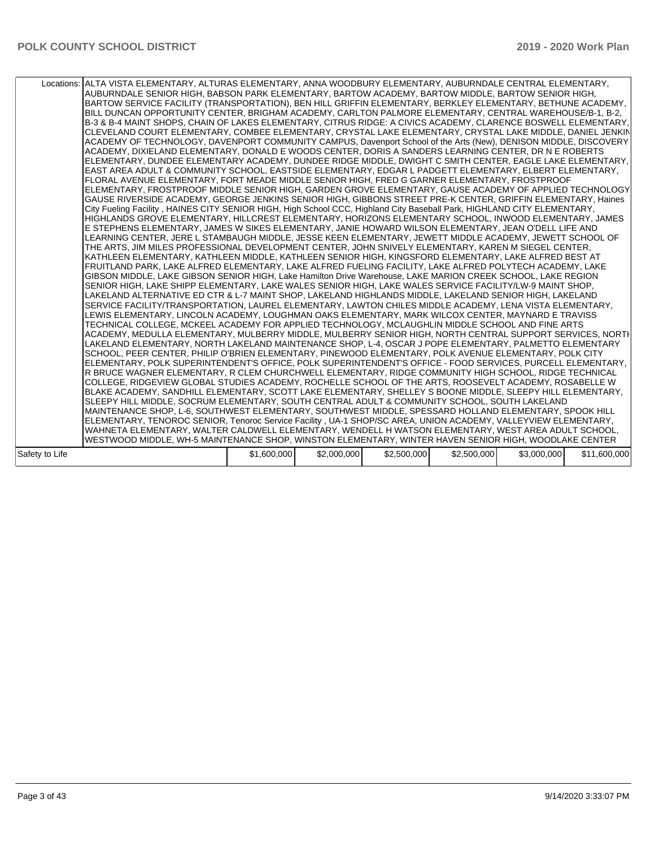|                | Locations: ALTA VISTA ELEMENTARY, ALTURAS ELEMENTARY, ANNA WOODBURY ELEMENTARY, AUBURNDALE CENTRAL ELEMENTARY,<br>AUBURNDALE SENIOR HIGH, BABSON PARK ELEMENTARY, BARTOW ACADEMY, BARTOW MIDDLE, BARTOW SENIOR HIGH,<br>BARTOW SERVICE FACILITY (TRANSPORTATION), BEN HILL GRIFFIN ELEMENTARY, BERKLEY ELEMENTARY, BETHUNE ACADEMY,<br>BILL DUNCAN OPPORTUNITY CENTER, BRIGHAM ACADEMY, CARLTON PALMORE ELEMENTARY, CENTRAL WAREHOUSE/B-1, B-2,<br>B-3 & B-4 MAINT SHOPS, CHAIN OF LAKES ELEMENTARY, CITRUS RIDGE: A CIVICS ACADEMY, CLARENCE BOSWELL ELEMENTARY,<br>CLEVELAND COURT ELEMENTARY, COMBEE ELEMENTARY, CRYSTAL LAKE ELEMENTARY, CRYSTAL LAKE MIDDLE, DANIEL JENKIN<br>ACADEMY OF TECHNOLOGY, DAVENPORT COMMUNITY CAMPUS, Davenport School of the Arts (New), DENISON MIDDLE, DISCOVERY<br>ACADEMY, DIXIELAND ELEMENTARY, DONALD E WOODS CENTER, DORIS A SANDERS LEARNING CENTER, DR N E ROBERTS<br>ELEMENTARY, DUNDEE ELEMENTARY ACADEMY, DUNDEE RIDGE MIDDLE, DWIGHT C SMITH CENTER, EAGLE LAKE ELEMENTARY,<br>EAST AREA ADULT & COMMUNITY SCHOOL, EASTSIDE ELEMENTARY, EDGAR L PADGETT ELEMENTARY, ELBERT ELEMENTARY,<br>FLORAL AVENUE ELEMENTARY, FORT MEADE MIDDLE SENIOR HIGH, FRED G GARNER ELEMENTARY, FROSTPROOF<br>ELEMENTARY, FROSTPROOF MIDDLE SENIOR HIGH, GARDEN GROVE ELEMENTARY, GAUSE ACADEMY OF APPLIED TECHNOLOGY<br>GAUSE RIVERSIDE ACADEMY, GEORGE JENKINS SENIOR HIGH, GIBBONS STREET PRE-K CENTER, GRIFFIN ELEMENTARY, Haines<br>City Fueling Facility, HAINES CITY SENIOR HIGH, High School CCC, Highland City Baseball Park, HIGHLAND CITY ELEMENTARY,<br>HIGHLANDS GROVE ELEMENTARY, HILLCREST ELEMENTARY, HORIZONS ELEMENTARY SCHOOL, INWOOD ELEMENTARY, JAMES<br>E STEPHENS ELEMENTARY, JAMES W SIKES ELEMENTARY, JANIE HOWARD WILSON ELEMENTARY, JEAN O'DELL LIFE AND<br>LEARNING CENTER, JERE L STAMBAUGH MIDDLE, JESSE KEEN ELEMENTARY, JEWETT MIDDLE ACADEMY, JEWETT SCHOOL OF<br>THE ARTS, JIM MILES PROFESSIONAL DEVELOPMENT CENTER, JOHN SNIVELY ELEMENTARY, KAREN M SIEGEL CENTER,<br>KATHLEEN ELEMENTARY, KATHLEEN MIDDLE, KATHLEEN SENIOR HIGH, KINGSFORD ELEMENTARY, LAKE ALFRED BEST AT<br>FRUITLAND PARK, LAKE ALFRED ELEMENTARY, LAKE ALFRED FUELING FACILITY, LAKE ALFRED POLYTECH ACADEMY, LAKE<br>GIBSON MIDDLE, LAKE GIBSON SENIOR HIGH, Lake Hamilton Drive Warehouse, LAKE MARION CREEK SCHOOL, LAKE REGION<br>SENIOR HIGH, LAKE SHIPP ELEMENTARY, LAKE WALES SENIOR HIGH, LAKE WALES SERVICE FACILITY/LW-9 MAINT SHOP,<br>LAKELAND ALTERNATIVE ED CTR & L-7 MAINT SHOP, LAKELAND HIGHLANDS MIDDLE, LAKELAND SENIOR HIGH, LAKELAND<br>SERVICE FACILITY/TRANSPORTATION, LAUREL ELEMENTARY, LAWTON CHILES MIDDLE ACADEMY, LENA VISTA ELEMENTARY,<br>LEWIS ELEMENTARY, LINCOLN ACADEMY, LOUGHMAN OAKS ELEMENTARY, MARK WILCOX CENTER, MAYNARD E TRAVISS<br>TECHNICAL COLLEGE, MCKEEL ACADEMY FOR APPLIED TECHNOLOGY, MCLAUGHLIN MIDDLE SCHOOL AND FINE ARTS<br>ACADEMY, MEDULLA ELEMENTARY, MULBERRY MIDDLE, MULBERRY SENIOR HIGH, NORTH CENTRAL SUPPORT SERVICES, NORTH<br>LAKELAND ELEMENTARY, NORTH LAKELAND MAINTENANCE SHOP, L-4, OSCAR J POPE ELEMENTARY, PALMETTO ELEMENTARY<br>SCHOOL, PEER CENTER, PHILIP O'BRIEN ELEMENTARY, PINEWOOD ELEMENTARY, POLK AVENUE ELEMENTARY, POLK CITY<br>ELEMENTARY, POLK SUPERINTENDENT'S OFFICE, POLK SUPERINTENDENT'S OFFICE - FOOD SERVICES, PURCELL ELEMENTARY,<br>R BRUCE WAGNER ELEMENTARY, R CLEM CHURCHWELL ELEMENTARY, RIDGE COMMUNITY HIGH SCHOOL, RIDGE TECHNICAL<br>COLLEGE, RIDGEVIEW GLOBAL STUDIES ACADEMY, ROCHELLE SCHOOL OF THE ARTS, ROOSEVELT ACADEMY, ROSABELLE W<br>BLAKE ACADEMY, SANDHILL ELEMENTARY, SCOTT LAKE ELEMENTARY, SHELLEY S BOONE MIDDLE, SLEEPY HILL ELEMENTARY,<br>SLEEPY HILL MIDDLE, SOCRUM ELEMENTARY, SOUTH CENTRAL ADULT & COMMUNITY SCHOOL, SOUTH LAKELAND<br>MAINTENANCE SHOP, L-6, SOUTHWEST ELEMENTARY, SOUTHWEST MIDDLE, SPESSARD HOLLAND ELEMENTARY, SPOOK HILL<br>ELEMENTARY, TENOROC SENIOR, Tenoroc Service Facility, UA-1 SHOP/SC AREA, UNION ACADEMY, VALLEYVIEW ELEMENTARY,<br>WAHNETA ELEMENTARY, WALTER CALDWELL ELEMENTARY, WENDELL H WATSON ELEMENTARY, WEST AREA ADULT SCHOOL,<br>WESTWOOD MIDDLE, WH-5 MAINTENANCE SHOP, WINSTON ELEMENTARY, WINTER HAVEN SENIOR HIGH, WOODLAKE CENTER |             |             |             |             |             |              |
|----------------|------------------------------------------------------------------------------------------------------------------------------------------------------------------------------------------------------------------------------------------------------------------------------------------------------------------------------------------------------------------------------------------------------------------------------------------------------------------------------------------------------------------------------------------------------------------------------------------------------------------------------------------------------------------------------------------------------------------------------------------------------------------------------------------------------------------------------------------------------------------------------------------------------------------------------------------------------------------------------------------------------------------------------------------------------------------------------------------------------------------------------------------------------------------------------------------------------------------------------------------------------------------------------------------------------------------------------------------------------------------------------------------------------------------------------------------------------------------------------------------------------------------------------------------------------------------------------------------------------------------------------------------------------------------------------------------------------------------------------------------------------------------------------------------------------------------------------------------------------------------------------------------------------------------------------------------------------------------------------------------------------------------------------------------------------------------------------------------------------------------------------------------------------------------------------------------------------------------------------------------------------------------------------------------------------------------------------------------------------------------------------------------------------------------------------------------------------------------------------------------------------------------------------------------------------------------------------------------------------------------------------------------------------------------------------------------------------------------------------------------------------------------------------------------------------------------------------------------------------------------------------------------------------------------------------------------------------------------------------------------------------------------------------------------------------------------------------------------------------------------------------------------------------------------------------------------------------------------------------------------------------------------------------------------------------------------------------------------------------------------------------------------------------------------------------------------------------------------------------------------------------------------------------------------------------------------------------------------------------------------------------------------------------------------------------------------------------------------------------------------------------------------------------------------------------------------------------------------------------------------------------------------------------------------------------------------------------------------------------------------------------------------------------------------------------------------------------------------------------------------------------------------------------------------------------------------------------------------------------------------------------|-------------|-------------|-------------|-------------|-------------|--------------|
| Safety to Life |                                                                                                                                                                                                                                                                                                                                                                                                                                                                                                                                                                                                                                                                                                                                                                                                                                                                                                                                                                                                                                                                                                                                                                                                                                                                                                                                                                                                                                                                                                                                                                                                                                                                                                                                                                                                                                                                                                                                                                                                                                                                                                                                                                                                                                                                                                                                                                                                                                                                                                                                                                                                                                                                                                                                                                                                                                                                                                                                                                                                                                                                                                                                                                                                                                                                                                                                                                                                                                                                                                                                                                                                                                                                                                                                                                                                                                                                                                                                                                                                                                                                                                                                                                                                                                                      | \$1,600,000 | \$2,000,000 | \$2,500,000 | \$2,500,000 | \$3,000,000 | \$11,600,000 |
|                |                                                                                                                                                                                                                                                                                                                                                                                                                                                                                                                                                                                                                                                                                                                                                                                                                                                                                                                                                                                                                                                                                                                                                                                                                                                                                                                                                                                                                                                                                                                                                                                                                                                                                                                                                                                                                                                                                                                                                                                                                                                                                                                                                                                                                                                                                                                                                                                                                                                                                                                                                                                                                                                                                                                                                                                                                                                                                                                                                                                                                                                                                                                                                                                                                                                                                                                                                                                                                                                                                                                                                                                                                                                                                                                                                                                                                                                                                                                                                                                                                                                                                                                                                                                                                                                      |             |             |             |             |             |              |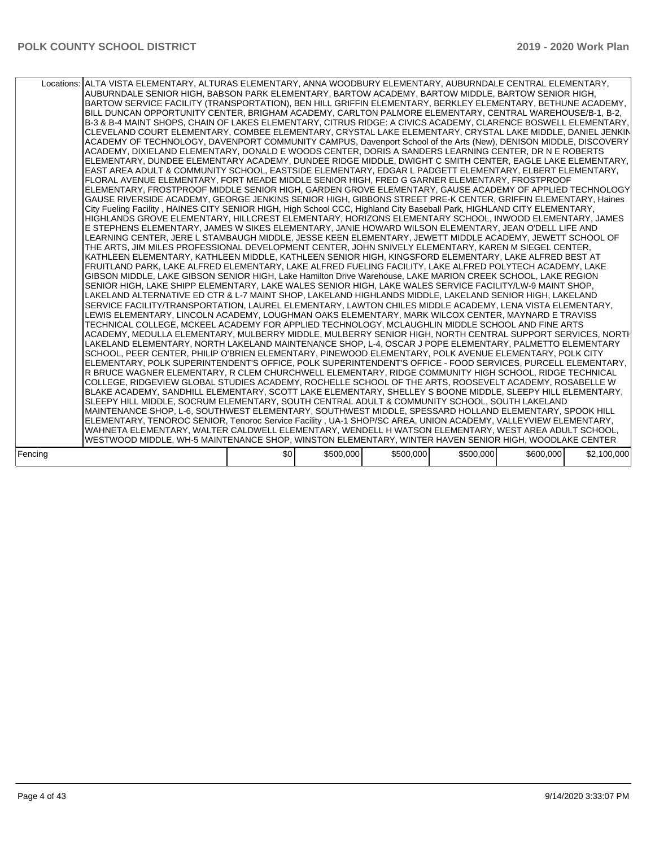|         | Locations: ALTA VISTA ELEMENTARY, ALTURAS ELEMENTARY, ANNA WOODBURY ELEMENTARY, AUBURNDALE CENTRAL ELEMENTARY,<br>AUBURNDALE SENIOR HIGH, BABSON PARK ELEMENTARY, BARTOW ACADEMY, BARTOW MIDDLE, BARTOW SENIOR HIGH,<br>BARTOW SERVICE FACILITY (TRANSPORTATION), BEN HILL GRIFFIN ELEMENTARY, BERKLEY ELEMENTARY, BETHUNE ACADEMY,<br>BILL DUNCAN OPPORTUNITY CENTER, BRIGHAM ACADEMY, CARLTON PALMORE ELEMENTARY, CENTRAL WAREHOUSE/B-1, B-2,<br>B-3 & B-4 MAINT SHOPS, CHAIN OF LAKES ELEMENTARY, CITRUS RIDGE: A CIVICS ACADEMY, CLARENCE BOSWELL ELEMENTARY,<br>CLEVELAND COURT ELEMENTARY, COMBEE ELEMENTARY, CRYSTAL LAKE ELEMENTARY, CRYSTAL LAKE MIDDLE, DANIEL JENKIN<br>ACADEMY OF TECHNOLOGY, DAVENPORT COMMUNITY CAMPUS, Davenport School of the Arts (New), DENISON MIDDLE, DISCOVERY<br>ACADEMY, DIXIELAND ELEMENTARY, DONALD E WOODS CENTER, DORIS A SANDERS LEARNING CENTER, DR N E ROBERTS<br>ELEMENTARY, DUNDEE ELEMENTARY ACADEMY, DUNDEE RIDGE MIDDLE, DWIGHT C SMITH CENTER, EAGLE LAKE ELEMENTARY,<br>EAST AREA ADULT & COMMUNITY SCHOOL, EASTSIDE ELEMENTARY, EDGAR L PADGETT ELEMENTARY, ELBERT ELEMENTARY,<br>FLORAL AVENUE ELEMENTARY, FORT MEADE MIDDLE SENIOR HIGH, FRED G GARNER ELEMENTARY, FROSTPROOF<br>ELEMENTARY, FROSTPROOF MIDDLE SENIOR HIGH, GARDEN GROVE ELEMENTARY, GAUSE ACADEMY OF APPLIED TECHNOLOGY<br>GAUSE RIVERSIDE ACADEMY, GEORGE JENKINS SENIOR HIGH, GIBBONS STREET PRE-K CENTER, GRIFFIN ELEMENTARY, Haines<br>City Fueling Facility, HAINES CITY SENIOR HIGH, High School CCC, Highland City Baseball Park, HIGHLAND CITY ELEMENTARY,<br>HIGHLANDS GROVE ELEMENTARY, HILLCREST ELEMENTARY, HORIZONS ELEMENTARY SCHOOL, INWOOD ELEMENTARY, JAMES<br>E STEPHENS ELEMENTARY, JAMES W SIKES ELEMENTARY, JANIE HOWARD WILSON ELEMENTARY, JEAN O'DELL LIFE AND<br>LEARNING CENTER. JERE L STAMBAUGH MIDDLE. JESSE KEEN ELEMENTARY. JEWETT MIDDLE ACADEMY. JEWETT SCHOOL OF<br>THE ARTS, JIM MILES PROFESSIONAL DEVELOPMENT CENTER, JOHN SNIVELY ELEMENTARY, KAREN M SIEGEL CENTER,<br>KATHLEEN ELEMENTARY, KATHLEEN MIDDLE, KATHLEEN SENIOR HIGH, KINGSFORD ELEMENTARY, LAKE ALFRED BEST AT<br>FRUITLAND PARK, LAKE ALFRED ELEMENTARY, LAKE ALFRED FUELING FACILITY, LAKE ALFRED POLYTECH ACADEMY, LAKE<br>GIBSON MIDDLE, LAKE GIBSON SENIOR HIGH, Lake Hamilton Drive Warehouse, LAKE MARION CREEK SCHOOL, LAKE REGION<br>SENIOR HIGH, LAKE SHIPP ELEMENTARY, LAKE WALES SENIOR HIGH, LAKE WALES SERVICE FACILITY/LW-9 MAINT SHOP,<br>LAKELAND ALTERNATIVE ED CTR & L-7 MAINT SHOP, LAKELAND HIGHLANDS MIDDLE, LAKELAND SENIOR HIGH, LAKELAND<br>SERVICE FACILITY/TRANSPORTATION, LAUREL ELEMENTARY, LAWTON CHILES MIDDLE ACADEMY, LENA VISTA ELEMENTARY,<br>LEWIS ELEMENTARY, LINCOLN ACADEMY, LOUGHMAN OAKS ELEMENTARY, MARK WILCOX CENTER, MAYNARD E TRAVISS<br>TECHNICAL COLLEGE, MCKEEL ACADEMY FOR APPLIED TECHNOLOGY, MCLAUGHLIN MIDDLE SCHOOL AND FINE ARTS<br>ACADEMY, MEDULLA ELEMENTARY, MULBERRY MIDDLE, MULBERRY SENIOR HIGH, NORTH CENTRAL SUPPORT SERVICES, NORTH<br>LAKELAND ELEMENTARY, NORTH LAKELAND MAINTENANCE SHOP, L-4, OSCAR J POPE ELEMENTARY, PALMETTO ELEMENTARY<br>SCHOOL, PEER CENTER, PHILIP O'BRIEN ELEMENTARY, PINEWOOD ELEMENTARY, POLK AVENUE ELEMENTARY, POLK CITY<br>ELEMENTARY, POLK SUPERINTENDENT'S OFFICE, POLK SUPERINTENDENT'S OFFICE - FOOD SERVICES, PURCELL ELEMENTARY,<br>R BRUCE WAGNER ELEMENTARY, R CLEM CHURCHWELL ELEMENTARY, RIDGE COMMUNITY HIGH SCHOOL, RIDGE TECHNICAL<br>COLLEGE, RIDGEVIEW GLOBAL STUDIES ACADEMY, ROCHELLE SCHOOL OF THE ARTS, ROOSEVELT ACADEMY, ROSABELLE W<br>BLAKE ACADEMY, SANDHILL ELEMENTARY, SCOTT LAKE ELEMENTARY, SHELLEY S BOONE MIDDLE, SLEEPY HILL ELEMENTARY,<br>SLEEPY HILL MIDDLE, SOCRUM ELEMENTARY, SOUTH CENTRAL ADULT & COMMUNITY SCHOOL, SOUTH LAKELAND<br>MAINTENANCE SHOP, L-6, SOUTHWEST ELEMENTARY, SOUTHWEST MIDDLE, SPESSARD HOLLAND ELEMENTARY, SPOOK HILL<br>ELEMENTARY, TENOROC SENIOR, Tenoroc Service Facility, UA-1 SHOP/SC AREA, UNION ACADEMY, VALLEYVIEW ELEMENTARY,<br>WAHNETA ELEMENTARY, WALTER CALDWELL ELEMENTARY, WENDELL H WATSON ELEMENTARY, WEST AREA ADULT SCHOOL,<br>WESTWOOD MIDDLE, WH-5 MAINTENANCE SHOP, WINSTON ELEMENTARY, WINTER HAVEN SENIOR HIGH, WOODLAKE CENTER |     |           |           |           |           |             |
|---------|------------------------------------------------------------------------------------------------------------------------------------------------------------------------------------------------------------------------------------------------------------------------------------------------------------------------------------------------------------------------------------------------------------------------------------------------------------------------------------------------------------------------------------------------------------------------------------------------------------------------------------------------------------------------------------------------------------------------------------------------------------------------------------------------------------------------------------------------------------------------------------------------------------------------------------------------------------------------------------------------------------------------------------------------------------------------------------------------------------------------------------------------------------------------------------------------------------------------------------------------------------------------------------------------------------------------------------------------------------------------------------------------------------------------------------------------------------------------------------------------------------------------------------------------------------------------------------------------------------------------------------------------------------------------------------------------------------------------------------------------------------------------------------------------------------------------------------------------------------------------------------------------------------------------------------------------------------------------------------------------------------------------------------------------------------------------------------------------------------------------------------------------------------------------------------------------------------------------------------------------------------------------------------------------------------------------------------------------------------------------------------------------------------------------------------------------------------------------------------------------------------------------------------------------------------------------------------------------------------------------------------------------------------------------------------------------------------------------------------------------------------------------------------------------------------------------------------------------------------------------------------------------------------------------------------------------------------------------------------------------------------------------------------------------------------------------------------------------------------------------------------------------------------------------------------------------------------------------------------------------------------------------------------------------------------------------------------------------------------------------------------------------------------------------------------------------------------------------------------------------------------------------------------------------------------------------------------------------------------------------------------------------------------------------------------------------------------------------------------------------------------------------------------------------------------------------------------------------------------------------------------------------------------------------------------------------------------------------------------------------------------------------------------------------------------------------------------------------------------------------------------------------------------------------------------------------------------------------------------------------------|-----|-----------|-----------|-----------|-----------|-------------|
| Fencing |                                                                                                                                                                                                                                                                                                                                                                                                                                                                                                                                                                                                                                                                                                                                                                                                                                                                                                                                                                                                                                                                                                                                                                                                                                                                                                                                                                                                                                                                                                                                                                                                                                                                                                                                                                                                                                                                                                                                                                                                                                                                                                                                                                                                                                                                                                                                                                                                                                                                                                                                                                                                                                                                                                                                                                                                                                                                                                                                                                                                                                                                                                                                                                                                                                                                                                                                                                                                                                                                                                                                                                                                                                                                                                                                                                                                                                                                                                                                                                                                                                                                                                                                                                                                                                                      | \$0 | \$500,000 | \$500,000 | \$500,000 | \$600,000 | \$2,100,000 |
|         |                                                                                                                                                                                                                                                                                                                                                                                                                                                                                                                                                                                                                                                                                                                                                                                                                                                                                                                                                                                                                                                                                                                                                                                                                                                                                                                                                                                                                                                                                                                                                                                                                                                                                                                                                                                                                                                                                                                                                                                                                                                                                                                                                                                                                                                                                                                                                                                                                                                                                                                                                                                                                                                                                                                                                                                                                                                                                                                                                                                                                                                                                                                                                                                                                                                                                                                                                                                                                                                                                                                                                                                                                                                                                                                                                                                                                                                                                                                                                                                                                                                                                                                                                                                                                                                      |     |           |           |           |           |             |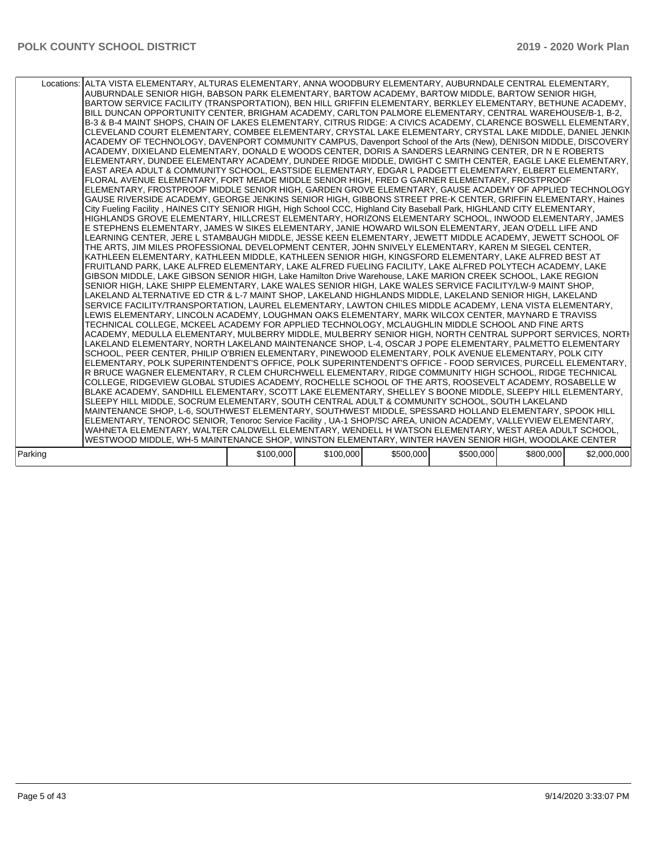| Locations: ALTA VISTA ELEMENTARY, ALTURAS ELEMENTARY, ANNA WOODBURY ELEMENTARY, AUBURNDALE CENTRAL ELEMENTARY,<br>AUBURNDALE SENIOR HIGH, BABSON PARK ELEMENTARY, BARTOW ACADEMY, BARTOW MIDDLE, BARTOW SENIOR HIGH,<br>BARTOW SERVICE FACILITY (TRANSPORTATION), BEN HILL GRIFFIN ELEMENTARY, BERKLEY ELEMENTARY, BETHUNE ACADEMY,<br>BILL DUNCAN OPPORTUNITY CENTER, BRIGHAM ACADEMY, CARLTON PALMORE ELEMENTARY, CENTRAL WAREHOUSE/B-1, B-2,<br>B-3 & B-4 MAINT SHOPS, CHAIN OF LAKES ELEMENTARY, CITRUS RIDGE: A CIVICS ACADEMY, CLARENCE BOSWELL ELEMENTARY,<br>CLEVELAND COURT ELEMENTARY, COMBEE ELEMENTARY, CRYSTAL LAKE ELEMENTARY, CRYSTAL LAKE MIDDLE, DANIEL JENKIN<br>ACADEMY OF TECHNOLOGY, DAVENPORT COMMUNITY CAMPUS, Davenport School of the Arts (New), DENISON MIDDLE, DISCOVERY<br>ACADEMY, DIXIELAND ELEMENTARY, DONALD E WOODS CENTER, DORIS A SANDERS LEARNING CENTER, DR N E ROBERTS<br>ELEMENTARY, DUNDEE ELEMENTARY ACADEMY, DUNDEE RIDGE MIDDLE, DWIGHT C SMITH CENTER, EAGLE LAKE ELEMENTARY,<br>EAST AREA ADULT & COMMUNITY SCHOOL, EASTSIDE ELEMENTARY, EDGAR L PADGETT ELEMENTARY, ELBERT ELEMENTARY,<br>FLORAL AVENUE ELEMENTARY, FORT MEADE MIDDLE SENIOR HIGH, FRED G GARNER ELEMENTARY, FROSTPROOF<br>ELEMENTARY, FROSTPROOF MIDDLE SENIOR HIGH, GARDEN GROVE ELEMENTARY, GAUSE ACADEMY OF APPLIED TECHNOLOGY<br>GAUSE RIVERSIDE ACADEMY, GEORGE JENKINS SENIOR HIGH, GIBBONS STREET PRE-K CENTER, GRIFFIN ELEMENTARY, Haines<br>City Fueling Facility, HAINES CITY SENIOR HIGH, High School CCC, Highland City Baseball Park, HIGHLAND CITY ELEMENTARY,<br>HIGHLANDS GROVE ELEMENTARY, HILLCREST ELEMENTARY, HORIZONS ELEMENTARY SCHOOL, INWOOD ELEMENTARY, JAMES<br>E STEPHENS ELEMENTARY, JAMES W SIKES ELEMENTARY, JANIE HOWARD WILSON ELEMENTARY, JEAN O'DELL LIFE AND<br>LEARNING CENTER, JERE L STAMBAUGH MIDDLE, JESSE KEEN ELEMENTARY, JEWETT MIDDLE ACADEMY, JEWETT SCHOOL OF<br>THE ARTS, JIM MILES PROFESSIONAL DEVELOPMENT CENTER, JOHN SNIVELY ELEMENTARY, KAREN M SIEGEL CENTER,<br>KATHLEEN ELEMENTARY, KATHLEEN MIDDLE, KATHLEEN SENIOR HIGH, KINGSFORD ELEMENTARY, LAKE ALFRED BEST AT<br>FRUITLAND PARK, LAKE ALFRED ELEMENTARY, LAKE ALFRED FUELING FACILITY, LAKE ALFRED POLYTECH ACADEMY, LAKE<br>GIBSON MIDDLE, LAKE GIBSON SENIOR HIGH, Lake Hamilton Drive Warehouse, LAKE MARION CREEK SCHOOL, LAKE REGION<br>SENIOR HIGH, LAKE SHIPP ELEMENTARY, LAKE WALES SENIOR HIGH, LAKE WALES SERVICE FACILITY/LW-9 MAINT SHOP,<br>LAKELAND ALTERNATIVE ED CTR & L-7 MAINT SHOP, LAKELAND HIGHLANDS MIDDLE, LAKELAND SENIOR HIGH, LAKELAND<br>SERVICE FACILITY/TRANSPORTATION, LAUREL ELEMENTARY, LAWTON CHILES MIDDLE ACADEMY, LENA VISTA ELEMENTARY,<br>LEWIS ELEMENTARY, LINCOLN ACADEMY, LOUGHMAN OAKS ELEMENTARY, MARK WILCOX CENTER, MAYNARD E TRAVISS<br>TECHNICAL COLLEGE, MCKEEL ACADEMY FOR APPLIED TECHNOLOGY, MCLAUGHLIN MIDDLE SCHOOL AND FINE ARTS<br>ACADEMY, MEDULLA ELEMENTARY, MULBERRY MIDDLE, MULBERRY SENIOR HIGH, NORTH CENTRAL SUPPORT SERVICES, NORTH<br>LAKELAND ELEMENTARY, NORTH LAKELAND MAINTENANCE SHOP, L-4, OSCAR J POPE ELEMENTARY, PALMETTO ELEMENTARY<br>SCHOOL, PEER CENTER, PHILIP O'BRIEN ELEMENTARY, PINEWOOD ELEMENTARY, POLK AVENUE ELEMENTARY, POLK CITY<br>ELEMENTARY, POLK SUPERINTENDENT'S OFFICE, POLK SUPERINTENDENT'S OFFICE - FOOD SERVICES, PURCELL ELEMENTARY,<br>R BRUCE WAGNER ELEMENTARY, R CLEM CHURCHWELL ELEMENTARY, RIDGE COMMUNITY HIGH SCHOOL, RIDGE TECHNICAL<br>COLLEGE, RIDGEVIEW GLOBAL STUDIES ACADEMY, ROCHELLE SCHOOL OF THE ARTS, ROOSEVELT ACADEMY, ROSABELLE W<br>BLAKE ACADEMY, SANDHILL ELEMENTARY, SCOTT LAKE ELEMENTARY, SHELLEY S BOONE MIDDLE, SLEEPY HILL ELEMENTARY,<br>SLEEPY HILL MIDDLE, SOCRUM ELEMENTARY, SOUTH CENTRAL ADULT & COMMUNITY SCHOOL, SOUTH LAKELAND<br>MAINTENANCE SHOP, L-6, SOUTHWEST ELEMENTARY, SOUTHWEST MIDDLE, SPESSARD HOLLAND ELEMENTARY, SPOOK HILL<br>ELEMENTARY, TENOROC SENIOR, Tenoroc Service Facility, UA-1 SHOP/SC AREA, UNION ACADEMY, VALLEYVIEW ELEMENTARY,<br>WAHNETA ELEMENTARY, WALTER CALDWELL ELEMENTARY, WENDELL H WATSON ELEMENTARY, WEST AREA ADULT SCHOOL,<br>WESTWOOD MIDDLE, WH-5 MAINTENANCE SHOP, WINSTON ELEMENTARY, WINTER HAVEN SENIOR HIGH, WOODLAKE CENTER |           |           |           |           |           |             |
|------------------------------------------------------------------------------------------------------------------------------------------------------------------------------------------------------------------------------------------------------------------------------------------------------------------------------------------------------------------------------------------------------------------------------------------------------------------------------------------------------------------------------------------------------------------------------------------------------------------------------------------------------------------------------------------------------------------------------------------------------------------------------------------------------------------------------------------------------------------------------------------------------------------------------------------------------------------------------------------------------------------------------------------------------------------------------------------------------------------------------------------------------------------------------------------------------------------------------------------------------------------------------------------------------------------------------------------------------------------------------------------------------------------------------------------------------------------------------------------------------------------------------------------------------------------------------------------------------------------------------------------------------------------------------------------------------------------------------------------------------------------------------------------------------------------------------------------------------------------------------------------------------------------------------------------------------------------------------------------------------------------------------------------------------------------------------------------------------------------------------------------------------------------------------------------------------------------------------------------------------------------------------------------------------------------------------------------------------------------------------------------------------------------------------------------------------------------------------------------------------------------------------------------------------------------------------------------------------------------------------------------------------------------------------------------------------------------------------------------------------------------------------------------------------------------------------------------------------------------------------------------------------------------------------------------------------------------------------------------------------------------------------------------------------------------------------------------------------------------------------------------------------------------------------------------------------------------------------------------------------------------------------------------------------------------------------------------------------------------------------------------------------------------------------------------------------------------------------------------------------------------------------------------------------------------------------------------------------------------------------------------------------------------------------------------------------------------------------------------------------------------------------------------------------------------------------------------------------------------------------------------------------------------------------------------------------------------------------------------------------------------------------------------------------------------------------------------------------------------------------------------------------------------------------------------------------------------------------------------------------|-----------|-----------|-----------|-----------|-----------|-------------|
| Parking                                                                                                                                                                                                                                                                                                                                                                                                                                                                                                                                                                                                                                                                                                                                                                                                                                                                                                                                                                                                                                                                                                                                                                                                                                                                                                                                                                                                                                                                                                                                                                                                                                                                                                                                                                                                                                                                                                                                                                                                                                                                                                                                                                                                                                                                                                                                                                                                                                                                                                                                                                                                                                                                                                                                                                                                                                                                                                                                                                                                                                                                                                                                                                                                                                                                                                                                                                                                                                                                                                                                                                                                                                                                                                                                                                                                                                                                                                                                                                                                                                                                                                                                                                                                                                              | \$100,000 | \$100,000 | \$500,000 | \$500,000 | \$800,000 | \$2,000,000 |
|                                                                                                                                                                                                                                                                                                                                                                                                                                                                                                                                                                                                                                                                                                                                                                                                                                                                                                                                                                                                                                                                                                                                                                                                                                                                                                                                                                                                                                                                                                                                                                                                                                                                                                                                                                                                                                                                                                                                                                                                                                                                                                                                                                                                                                                                                                                                                                                                                                                                                                                                                                                                                                                                                                                                                                                                                                                                                                                                                                                                                                                                                                                                                                                                                                                                                                                                                                                                                                                                                                                                                                                                                                                                                                                                                                                                                                                                                                                                                                                                                                                                                                                                                                                                                                                      |           |           |           |           |           |             |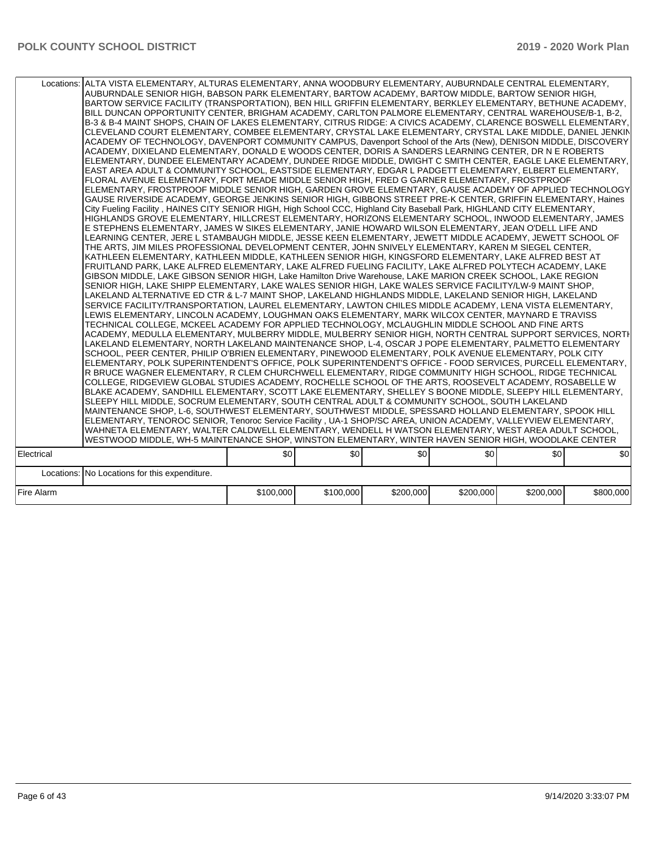|            | Locations: ALTA VISTA ELEMENTARY, ALTURAS ELEMENTARY, ANNA WOODBURY ELEMENTARY, AUBURNDALE CENTRAL ELEMENTARY,<br>AUBURNDALE SENIOR HIGH, BABSON PARK ELEMENTARY, BARTOW ACADEMY, BARTOW MIDDLE, BARTOW SENIOR HIGH,<br>BARTOW SERVICE FACILITY (TRANSPORTATION), BEN HILL GRIFFIN ELEMENTARY, BERKLEY ELEMENTARY, BETHUNE ACADEMY,<br>BILL DUNCAN OPPORTUNITY CENTER, BRIGHAM ACADEMY, CARLTON PALMORE ELEMENTARY, CENTRAL WAREHOUSE/B-1, B-2,<br>B-3 & B-4 MAINT SHOPS, CHAIN OF LAKES ELEMENTARY, CITRUS RIDGE: A CIVICS ACADEMY, CLARENCE BOSWELL ELEMENTARY,<br>CLEVELAND COURT ELEMENTARY, COMBEE ELEMENTARY, CRYSTAL LAKE ELEMENTARY, CRYSTAL LAKE MIDDLE, DANIEL JENKIN<br>ACADEMY OF TECHNOLOGY, DAVENPORT COMMUNITY CAMPUS, Davenport School of the Arts (New), DENISON MIDDLE, DISCOVERY<br>ACADEMY. DIXIELAND ELEMENTARY. DONALD E WOODS CENTER. DORIS A SANDERS LEARNING CENTER. DR N E ROBERTS<br>ELEMENTARY, DUNDEE ELEMENTARY ACADEMY, DUNDEE RIDGE MIDDLE, DWIGHT C SMITH CENTER, EAGLE LAKE ELEMENTARY,<br>EAST AREA ADULT & COMMUNITY SCHOOL, EASTSIDE ELEMENTARY, EDGAR L PADGETT ELEMENTARY, ELBERT ELEMENTARY,<br>FLORAL AVENUE ELEMENTARY, FORT MEADE MIDDLE SENIOR HIGH, FRED G GARNER ELEMENTARY, FROSTPROOF<br>ELEMENTARY, FROSTPROOF MIDDLE SENIOR HIGH, GARDEN GROVE ELEMENTARY, GAUSE ACADEMY OF APPLIED TECHNOLOGY<br>GAUSE RIVERSIDE ACADEMY, GEORGE JENKINS SENIOR HIGH, GIBBONS STREET PRE-K CENTER, GRIFFIN ELEMENTARY, Haines<br>City Fueling Facility, HAINES CITY SENIOR HIGH, High School CCC, Highland City Baseball Park, HIGHLAND CITY ELEMENTARY,<br>HIGHLANDS GROVE ELEMENTARY, HILLCREST ELEMENTARY, HORIZONS ELEMENTARY SCHOOL, INWOOD ELEMENTARY, JAMES<br>E STEPHENS ELEMENTARY, JAMES W SIKES ELEMENTARY, JANIE HOWARD WILSON ELEMENTARY, JEAN O'DELL LIFE AND<br>LEARNING CENTER, JERE L STAMBAUGH MIDDLE, JESSE KEEN ELEMENTARY, JEWETT MIDDLE ACADEMY, JEWETT SCHOOL OF<br>THE ARTS, JIM MILES PROFESSIONAL DEVELOPMENT CENTER, JOHN SNIVELY ELEMENTARY, KAREN M SIEGEL CENTER,<br>KATHLEEN ELEMENTARY, KATHLEEN MIDDLE, KATHLEEN SENIOR HIGH, KINGSFORD ELEMENTARY, LAKE ALFRED BEST AT<br> FRUITLAND PARK, LAKE ALFRED ELEMENTARY, LAKE ALFRED FUELING FACILITY, LAKE ALFRED POLYTECH ACADEMY, LAKE<br>GIBSON MIDDLE, LAKE GIBSON SENIOR HIGH, Lake Hamilton Drive Warehouse, LAKE MARION CREEK SCHOOL, LAKE REGION<br>SENIOR HIGH, LAKE SHIPP ELEMENTARY, LAKE WALES SENIOR HIGH, LAKE WALES SERVICE FACILITY/LW-9 MAINT SHOP,<br>LAKELAND ALTERNATIVE ED CTR & L-7 MAINT SHOP, LAKELAND HIGHLANDS MIDDLE, LAKELAND SENIOR HIGH, LAKELAND<br>SERVICE FACILITY/TRANSPORTATION, LAUREL ELEMENTARY, LAWTON CHILES MIDDLE ACADEMY, LENA VISTA ELEMENTARY,<br>LEWIS ELEMENTARY, LINCOLN ACADEMY, LOUGHMAN OAKS ELEMENTARY, MARK WILCOX CENTER, MAYNARD E TRAVISS<br>TECHNICAL COLLEGE, MCKEEL ACADEMY FOR APPLIED TECHNOLOGY, MCLAUGHLIN MIDDLE SCHOOL AND FINE ARTS<br>ACADEMY, MEDULLA ELEMENTARY, MULBERRY MIDDLE, MULBERRY SENIOR HIGH, NORTH CENTRAL SUPPORT SERVICES, NORTH<br>LAKELAND ELEMENTARY, NORTH LAKELAND MAINTENANCE SHOP, L-4, OSCAR J POPE ELEMENTARY, PALMETTO ELEMENTARY<br>SCHOOL, PEER CENTER, PHILIP O'BRIEN ELEMENTARY, PINEWOOD ELEMENTARY, POLK AVENUE ELEMENTARY, POLK CITY<br>ELEMENTARY, POLK SUPERINTENDENT'S OFFICE, POLK SUPERINTENDENT'S OFFICE - FOOD SERVICES, PURCELL ELEMENTARY,<br>R BRUCE WAGNER ELEMENTARY, R CLEM CHURCHWELL ELEMENTARY, RIDGE COMMUNITY HIGH SCHOOL, RIDGE TECHNICAL<br>COLLEGE, RIDGEVIEW GLOBAL STUDIES ACADEMY, ROCHELLE SCHOOL OF THE ARTS, ROOSEVELT ACADEMY, ROSABELLE W<br>BLAKE ACADEMY, SANDHILL ELEMENTARY, SCOTT LAKE ELEMENTARY, SHELLEY S BOONE MIDDLE, SLEEPY HILL ELEMENTARY,<br>SLEEPY HILL MIDDLE, SOCRUM ELEMENTARY, SOUTH CENTRAL ADULT & COMMUNITY SCHOOL, SOUTH LAKELAND<br>MAINTENANCE SHOP, L-6, SOUTHWEST ELEMENTARY, SOUTHWEST MIDDLE, SPESSARD HOLLAND ELEMENTARY, SPOOK HILL<br>ELEMENTARY, TENOROC SENIOR, Tenoroc Service Facility, UA-1 SHOP/SC AREA, UNION ACADEMY, VALLEYVIEW ELEMENTARY,<br>WAHNETA ELEMENTARY, WALTER CALDWELL ELEMENTARY, WENDELL H WATSON ELEMENTARY, WEST AREA ADULT SCHOOL,<br>WESTWOOD MIDDLE, WH-5 MAINTENANCE SHOP, WINSTON ELEMENTARY, WINTER HAVEN SENIOR HIGH, WOODLAKE CENTER |           |           |           |           |           |           |
|------------|-------------------------------------------------------------------------------------------------------------------------------------------------------------------------------------------------------------------------------------------------------------------------------------------------------------------------------------------------------------------------------------------------------------------------------------------------------------------------------------------------------------------------------------------------------------------------------------------------------------------------------------------------------------------------------------------------------------------------------------------------------------------------------------------------------------------------------------------------------------------------------------------------------------------------------------------------------------------------------------------------------------------------------------------------------------------------------------------------------------------------------------------------------------------------------------------------------------------------------------------------------------------------------------------------------------------------------------------------------------------------------------------------------------------------------------------------------------------------------------------------------------------------------------------------------------------------------------------------------------------------------------------------------------------------------------------------------------------------------------------------------------------------------------------------------------------------------------------------------------------------------------------------------------------------------------------------------------------------------------------------------------------------------------------------------------------------------------------------------------------------------------------------------------------------------------------------------------------------------------------------------------------------------------------------------------------------------------------------------------------------------------------------------------------------------------------------------------------------------------------------------------------------------------------------------------------------------------------------------------------------------------------------------------------------------------------------------------------------------------------------------------------------------------------------------------------------------------------------------------------------------------------------------------------------------------------------------------------------------------------------------------------------------------------------------------------------------------------------------------------------------------------------------------------------------------------------------------------------------------------------------------------------------------------------------------------------------------------------------------------------------------------------------------------------------------------------------------------------------------------------------------------------------------------------------------------------------------------------------------------------------------------------------------------------------------------------------------------------------------------------------------------------------------------------------------------------------------------------------------------------------------------------------------------------------------------------------------------------------------------------------------------------------------------------------------------------------------------------------------------------------------------------------------------------------------------------------------------------------------------------------|-----------|-----------|-----------|-----------|-----------|-----------|
| Electrical |                                                                                                                                                                                                                                                                                                                                                                                                                                                                                                                                                                                                                                                                                                                                                                                                                                                                                                                                                                                                                                                                                                                                                                                                                                                                                                                                                                                                                                                                                                                                                                                                                                                                                                                                                                                                                                                                                                                                                                                                                                                                                                                                                                                                                                                                                                                                                                                                                                                                                                                                                                                                                                                                                                                                                                                                                                                                                                                                                                                                                                                                                                                                                                                                                                                                                                                                                                                                                                                                                                                                                                                                                                                                                                                                                                                                                                                                                                                                                                                                                                                                                                                                                                                                                                                       | \$0       | \$0       | \$0       | \$0       | \$0       | \$0       |
|            | Locations: No Locations for this expenditure.                                                                                                                                                                                                                                                                                                                                                                                                                                                                                                                                                                                                                                                                                                                                                                                                                                                                                                                                                                                                                                                                                                                                                                                                                                                                                                                                                                                                                                                                                                                                                                                                                                                                                                                                                                                                                                                                                                                                                                                                                                                                                                                                                                                                                                                                                                                                                                                                                                                                                                                                                                                                                                                                                                                                                                                                                                                                                                                                                                                                                                                                                                                                                                                                                                                                                                                                                                                                                                                                                                                                                                                                                                                                                                                                                                                                                                                                                                                                                                                                                                                                                                                                                                                                         |           |           |           |           |           |           |
|            |                                                                                                                                                                                                                                                                                                                                                                                                                                                                                                                                                                                                                                                                                                                                                                                                                                                                                                                                                                                                                                                                                                                                                                                                                                                                                                                                                                                                                                                                                                                                                                                                                                                                                                                                                                                                                                                                                                                                                                                                                                                                                                                                                                                                                                                                                                                                                                                                                                                                                                                                                                                                                                                                                                                                                                                                                                                                                                                                                                                                                                                                                                                                                                                                                                                                                                                                                                                                                                                                                                                                                                                                                                                                                                                                                                                                                                                                                                                                                                                                                                                                                                                                                                                                                                                       |           |           |           |           |           |           |
| Fire Alarm |                                                                                                                                                                                                                                                                                                                                                                                                                                                                                                                                                                                                                                                                                                                                                                                                                                                                                                                                                                                                                                                                                                                                                                                                                                                                                                                                                                                                                                                                                                                                                                                                                                                                                                                                                                                                                                                                                                                                                                                                                                                                                                                                                                                                                                                                                                                                                                                                                                                                                                                                                                                                                                                                                                                                                                                                                                                                                                                                                                                                                                                                                                                                                                                                                                                                                                                                                                                                                                                                                                                                                                                                                                                                                                                                                                                                                                                                                                                                                                                                                                                                                                                                                                                                                                                       | \$100,000 | \$100,000 | \$200,000 | \$200,000 | \$200,000 | \$800,000 |
|            |                                                                                                                                                                                                                                                                                                                                                                                                                                                                                                                                                                                                                                                                                                                                                                                                                                                                                                                                                                                                                                                                                                                                                                                                                                                                                                                                                                                                                                                                                                                                                                                                                                                                                                                                                                                                                                                                                                                                                                                                                                                                                                                                                                                                                                                                                                                                                                                                                                                                                                                                                                                                                                                                                                                                                                                                                                                                                                                                                                                                                                                                                                                                                                                                                                                                                                                                                                                                                                                                                                                                                                                                                                                                                                                                                                                                                                                                                                                                                                                                                                                                                                                                                                                                                                                       |           |           |           |           |           |           |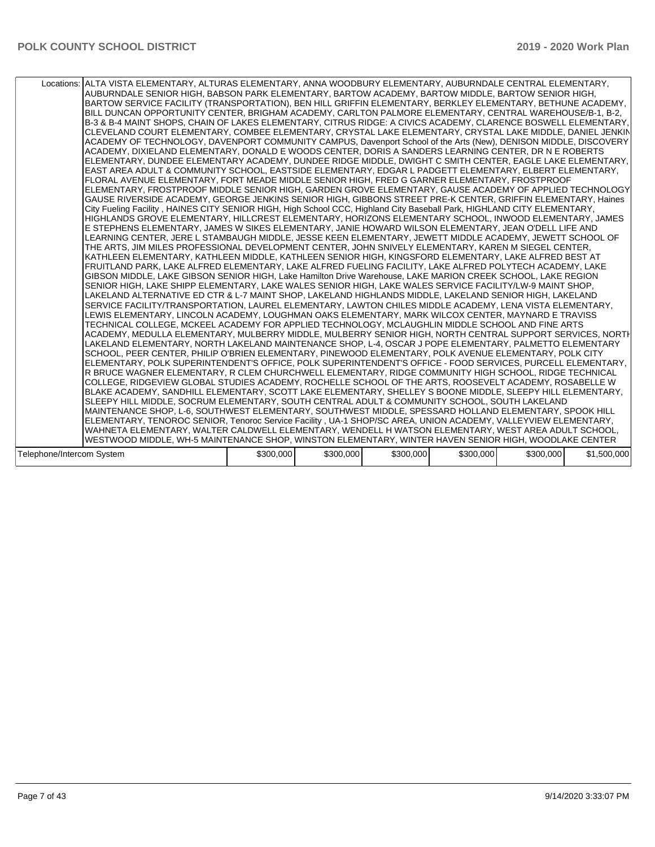| Locations: ALTA VISTA ELEMENTARY, ALTURAS ELEMENTARY, ANNA WOODBURY ELEMENTARY, AUBURNDALE CENTRAL ELEMENTARY,          |           |           |           |           |           |             |
|-------------------------------------------------------------------------------------------------------------------------|-----------|-----------|-----------|-----------|-----------|-------------|
| AUBURNDALE SENIOR HIGH, BABSON PARK ELEMENTARY, BARTOW ACADEMY, BARTOW MIDDLE, BARTOW SENIOR HIGH,                      |           |           |           |           |           |             |
| BARTOW SERVICE FACILITY (TRANSPORTATION), BEN HILL GRIFFIN ELEMENTARY, BERKLEY ELEMENTARY, BETHUNE ACADEMY,             |           |           |           |           |           |             |
| BILL DUNCAN OPPORTUNITY CENTER, BRIGHAM ACADEMY, CARLTON PALMORE ELEMENTARY, CENTRAL WAREHOUSE/B-1, B-2,                |           |           |           |           |           |             |
| B-3 & B-4 MAINT SHOPS, CHAIN OF LAKES ELEMENTARY, CITRUS RIDGE: A CIVICS ACADEMY, CLARENCE BOSWELL ELEMENTARY,          |           |           |           |           |           |             |
| CLEVELAND COURT ELEMENTARY, COMBEE ELEMENTARY, CRYSTAL LAKE ELEMENTARY, CRYSTAL LAKE MIDDLE, DANIEL JENKIN              |           |           |           |           |           |             |
| ACADEMY OF TECHNOLOGY, DAVENPORT COMMUNITY CAMPUS, Davenport School of the Arts (New), DENISON MIDDLE, DISCOVERY        |           |           |           |           |           |             |
| ACADEMY, DIXIELAND ELEMENTARY, DONALD E WOODS CENTER, DORIS A SANDERS LEARNING CENTER, DR N E ROBERTS                   |           |           |           |           |           |             |
| ELEMENTARY, DUNDEE ELEMENTARY ACADEMY, DUNDEE RIDGE MIDDLE, DWIGHT C SMITH CENTER, EAGLE LAKE ELEMENTARY,               |           |           |           |           |           |             |
| EAST AREA ADULT & COMMUNITY SCHOOL, EASTSIDE ELEMENTARY, EDGAR L PADGETT ELEMENTARY, ELBERT ELEMENTARY,                 |           |           |           |           |           |             |
| FLORAL AVENUE ELEMENTARY, FORT MEADE MIDDLE SENIOR HIGH, FRED G GARNER ELEMENTARY, FROSTPROOF                           |           |           |           |           |           |             |
| ELEMENTARY, FROSTPROOF MIDDLE SENIOR HIGH, GARDEN GROVE ELEMENTARY, GAUSE ACADEMY OF APPLIED TECHNOLOGY                 |           |           |           |           |           |             |
| GAUSE RIVERSIDE ACADEMY, GEORGE JENKINS SENIOR HIGH, GIBBONS STREET PRE-K CENTER, GRIFFIN ELEMENTARY, Haines            |           |           |           |           |           |             |
| City Fueling Facility, HAINES CITY SENIOR HIGH, High School CCC, Highland City Baseball Park, HIGHLAND CITY ELEMENTARY, |           |           |           |           |           |             |
| HIGHLANDS GROVE ELEMENTARY, HILLCREST ELEMENTARY, HORIZONS ELEMENTARY SCHOOL, INWOOD ELEMENTARY, JAMES                  |           |           |           |           |           |             |
| E STEPHENS ELEMENTARY, JAMES W SIKES ELEMENTARY, JANIE HOWARD WILSON ELEMENTARY, JEAN O'DELL LIFE AND                   |           |           |           |           |           |             |
| LEARNING CENTER, JERE L STAMBAUGH MIDDLE, JESSE KEEN ELEMENTARY, JEWETT MIDDLE ACADEMY, JEWETT SCHOOL OF                |           |           |           |           |           |             |
| THE ARTS, JIM MILES PROFESSIONAL DEVELOPMENT CENTER, JOHN SNIVELY ELEMENTARY, KAREN M SIEGEL CENTER,                    |           |           |           |           |           |             |
| KATHLEEN ELEMENTARY, KATHLEEN MIDDLE, KATHLEEN SENIOR HIGH, KINGSFORD ELEMENTARY, LAKE ALFRED BEST AT                   |           |           |           |           |           |             |
| FRUITLAND PARK. LAKE ALFRED ELEMENTARY. LAKE ALFRED FUELING FACILITY. LAKE ALFRED POLYTECH ACADEMY. LAKE                |           |           |           |           |           |             |
| GIBSON MIDDLE, LAKE GIBSON SENIOR HIGH, Lake Hamilton Drive Warehouse, LAKE MARION CREEK SCHOOL, LAKE REGION            |           |           |           |           |           |             |
| SENIOR HIGH, LAKE SHIPP ELEMENTARY, LAKE WALES SENIOR HIGH, LAKE WALES SERVICE FACILITY/LW-9 MAINT SHOP,                |           |           |           |           |           |             |
| LAKELAND ALTERNATIVE ED CTR & L-7 MAINT SHOP, LAKELAND HIGHLANDS MIDDLE, LAKELAND SENIOR HIGH, LAKELAND                 |           |           |           |           |           |             |
| SERVICE FACILITY/TRANSPORTATION, LAUREL ELEMENTARY, LAWTON CHILES MIDDLE ACADEMY, LENA VISTA ELEMENTARY,                |           |           |           |           |           |             |
| LEWIS ELEMENTARY, LINCOLN ACADEMY, LOUGHMAN OAKS ELEMENTARY, MARK WILCOX CENTER, MAYNARD E TRAVISS                      |           |           |           |           |           |             |
| TECHNICAL COLLEGE, MCKEEL ACADEMY FOR APPLIED TECHNOLOGY, MCLAUGHLIN MIDDLE SCHOOL AND FINE ARTS                        |           |           |           |           |           |             |
| ACADEMY, MEDULLA ELEMENTARY, MULBERRY MIDDLE, MULBERRY SENIOR HIGH, NORTH CENTRAL SUPPORT SERVICES, NORTH               |           |           |           |           |           |             |
| LAKELAND ELEMENTARY, NORTH LAKELAND MAINTENANCE SHOP, L-4, OSCAR J POPE ELEMENTARY, PALMETTO ELEMENTARY                 |           |           |           |           |           |             |
| SCHOOL, PEER CENTER, PHILIP O'BRIEN ELEMENTARY, PINEWOOD ELEMENTARY, POLK AVENUE ELEMENTARY, POLK CITY                  |           |           |           |           |           |             |
| ELEMENTARY, POLK SUPERINTENDENT'S OFFICE, POLK SUPERINTENDENT'S OFFICE - FOOD SERVICES, PURCELL ELEMENTARY,             |           |           |           |           |           |             |
| R BRUCE WAGNER ELEMENTARY, R CLEM CHURCHWELL ELEMENTARY, RIDGE COMMUNITY HIGH SCHOOL, RIDGE TECHNICAL                   |           |           |           |           |           |             |
| COLLEGE, RIDGEVIEW GLOBAL STUDIES ACADEMY, ROCHELLE SCHOOL OF THE ARTS, ROOSEVELT ACADEMY, ROSABELLE W                  |           |           |           |           |           |             |
| BLAKE ACADEMY, SANDHILL ELEMENTARY, SCOTT LAKE ELEMENTARY, SHELLEY S BOONE MIDDLE, SLEEPY HILL ELEMENTARY,              |           |           |           |           |           |             |
| SLEEPY HILL MIDDLE, SOCRUM ELEMENTARY, SOUTH CENTRAL ADULT & COMMUNITY SCHOOL, SOUTH LAKELAND                           |           |           |           |           |           |             |
| MAINTENANCE SHOP, L-6, SOUTHWEST ELEMENTARY, SOUTHWEST MIDDLE, SPESSARD HOLLAND ELEMENTARY, SPOOK HILL                  |           |           |           |           |           |             |
| ELEMENTARY, TENOROC SENIOR, Tenoroc Service Facility, UA-1 SHOP/SC AREA, UNION ACADEMY, VALLEYVIEW ELEMENTARY,          |           |           |           |           |           |             |
| WAHNETA ELEMENTARY, WALTER CALDWELL ELEMENTARY, WENDELL H WATSON ELEMENTARY, WEST AREA ADULT SCHOOL,                    |           |           |           |           |           |             |
| WESTWOOD MIDDLE, WH-5 MAINTENANCE SHOP, WINSTON ELEMENTARY, WINTER HAVEN SENIOR HIGH, WOODLAKE CENTER                   |           |           |           |           |           |             |
|                                                                                                                         |           |           |           |           |           |             |
| Telephone/Intercom System                                                                                               | \$300,000 | \$300,000 | \$300,000 | \$300,000 | \$300,000 | \$1,500,000 |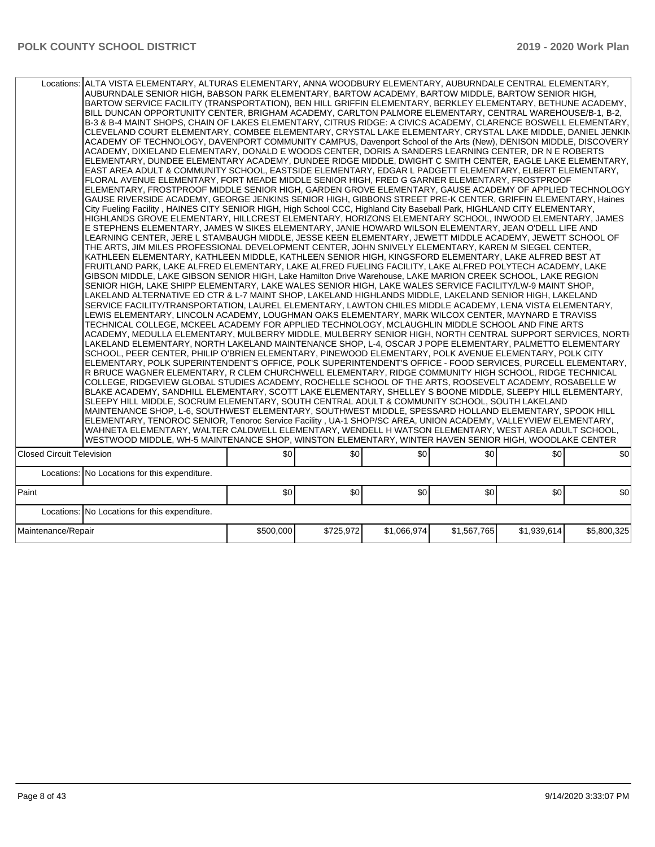| Locations: ALTA VISTA ELEMENTARY, ALTURAS ELEMENTARY, ANNA WOODBURY ELEMENTARY, AUBURNDALE CENTRAL ELEMENTARY, | AUBURNDALE SENIOR HIGH, BABSON PARK ELEMENTARY, BARTOW ACADEMY, BARTOW MIDDLE, BARTOW SENIOR HIGH,<br>BARTOW SERVICE FACILITY (TRANSPORTATION), BEN HILL GRIFFIN ELEMENTARY, BERKLEY ELEMENTARY, BETHUNE ACADEMY,<br>BILL DUNCAN OPPORTUNITY CENTER, BRIGHAM ACADEMY, CARLTON PALMORE ELEMENTARY, CENTRAL WAREHOUSE/B-1, B-2,<br>B-3 & B-4 MAINT SHOPS, CHAIN OF LAKES ELEMENTARY, CITRUS RIDGE: A CIVICS ACADEMY, CLARENCE BOSWELL ELEMENTARY,<br>CLEVELAND COURT ELEMENTARY, COMBEE ELEMENTARY, CRYSTAL LAKE ELEMENTARY, CRYSTAL LAKE MIDDLE, DANIEL JENKIN<br>ACADEMY OF TECHNOLOGY, DAVENPORT COMMUNITY CAMPUS, Davenport School of the Arts (New), DENISON MIDDLE, DISCOVERY<br>ACADEMY, DIXIELAND ELEMENTARY, DONALD E WOODS CENTER, DORIS A SANDERS LEARNING CENTER, DR N E ROBERTS<br>ELEMENTARY, DUNDEE ELEMENTARY ACADEMY, DUNDEE RIDGE MIDDLE, DWIGHT C SMITH CENTER, EAGLE LAKE ELEMENTARY,<br>IEAST AREA ADULT & COMMUNITY SCHOOL, EASTSIDE ELEMENTARY, EDGAR L PADGETT ELEMENTARY, ELBERT ELEMENTARY,<br>FLORAL AVENUE ELEMENTARY, FORT MEADE MIDDLE SENIOR HIGH, FRED G GARNER ELEMENTARY, FROSTPROOF<br>ELEMENTARY, FROSTPROOF MIDDLE SENIOR HIGH, GARDEN GROVE ELEMENTARY, GAUSE ACADEMY OF APPLIED TECHNOLOGY<br>GAUSE RIVERSIDE ACADEMY, GEORGE JENKINS SENIOR HIGH, GIBBONS STREET PRE-K CENTER, GRIFFIN ELEMENTARY, Haines<br>City Fueling Facility, HAINES CITY SENIOR HIGH, High School CCC, Highland City Baseball Park, HIGHLAND CITY ELEMENTARY,<br>HIGHLANDS GROVE ELEMENTARY, HILLCREST ELEMENTARY, HORIZONS ELEMENTARY SCHOOL, INWOOD ELEMENTARY, JAMES<br>E STEPHENS ELEMENTARY, JAMES W SIKES ELEMENTARY, JANIE HOWARD WILSON ELEMENTARY, JEAN O'DELL LIFE AND<br>LEARNING CENTER, JERE L STAMBAUGH MIDDLE, JESSE KEEN ELEMENTARY, JEWETT MIDDLE ACADEMY, JEWETT SCHOOL OF<br>THE ARTS, JIM MILES PROFESSIONAL DEVELOPMENT CENTER, JOHN SNIVELY ELEMENTARY, KAREN M SIEGEL CENTER,<br>KATHLEEN ELEMENTARY, KATHLEEN MIDDLE, KATHLEEN SENIOR HIGH, KINGSFORD ELEMENTARY, LAKE ALFRED BEST AT<br>FRUITLAND PARK, LAKE ALFRED ELEMENTARY, LAKE ALFRED FUELING FACILITY, LAKE ALFRED POLYTECH ACADEMY, LAKE<br>GIBSON MIDDLE, LAKE GIBSON SENIOR HIGH, Lake Hamilton Drive Warehouse, LAKE MARION CREEK SCHOOL, LAKE REGION<br>SENIOR HIGH, LAKE SHIPP ELEMENTARY, LAKE WALES SENIOR HIGH, LAKE WALES SERVICE FACILITY/LW-9 MAINT SHOP,<br>LAKELAND ALTERNATIVE ED CTR & L-7 MAINT SHOP, LAKELAND HIGHLANDS MIDDLE, LAKELAND SENIOR HIGH, LAKELAND<br>SERVICE FACILITY/TRANSPORTATION, LAUREL ELEMENTARY, LAWTON CHILES MIDDLE ACADEMY, LENA VISTA ELEMENTARY,<br>LEWIS ELEMENTARY. LINCOLN ACADEMY. LOUGHMAN OAKS ELEMENTARY. MARK WILCOX CENTER. MAYNARD E TRAVISS<br>TECHNICAL COLLEGE, MCKEEL ACADEMY FOR APPLIED TECHNOLOGY, MCLAUGHLIN MIDDLE SCHOOL AND FINE ARTS<br>ACADEMY, MEDULLA ELEMENTARY, MULBERRY MIDDLE, MULBERRY SENIOR HIGH, NORTH CENTRAL SUPPORT SERVICES, NORTI-<br>LAKELAND ELEMENTARY, NORTH LAKELAND MAINTENANCE SHOP, L-4, OSCAR J POPE ELEMENTARY, PALMETTO ELEMENTARY<br>SCHOOL, PEER CENTER, PHILIP O'BRIEN ELEMENTARY, PINEWOOD ELEMENTARY, POLK AVENUE ELEMENTARY, POLK CITY<br>ELEMENTARY, POLK SUPERINTENDENT'S OFFICE, POLK SUPERINTENDENT'S OFFICE - FOOD SERVICES, PURCELL ELEMENTARY,<br>R BRUCE WAGNER ELEMENTARY, R CLEM CHURCHWELL ELEMENTARY, RIDGE COMMUNITY HIGH SCHOOL, RIDGE TECHNICAL<br>COLLEGE, RIDGEVIEW GLOBAL STUDIES ACADEMY, ROCHELLE SCHOOL OF THE ARTS, ROOSEVELT ACADEMY, ROSABELLE W<br>BLAKE ACADEMY, SANDHILL ELEMENTARY, SCOTT LAKE ELEMENTARY, SHELLEY S BOONE MIDDLE, SLEEPY HILL ELEMENTARY,<br>SLEEPY HILL MIDDLE. SOCRUM ELEMENTARY, SOUTH CENTRAL ADULT & COMMUNITY SCHOOL. SOUTH LAKELAND<br>MAINTENANCE SHOP, L-6, SOUTHWEST ELEMENTARY, SOUTHWEST MIDDLE, SPESSARD HOLLAND ELEMENTARY, SPOOK HILL<br>ELEMENTARY, TENOROC SENIOR, Tenoroc Service Facility, UA-1 SHOP/SC AREA, UNION ACADEMY, VALLEYVIEW ELEMENTARY,<br>WAHNETA ELEMENTARY, WALTER CALDWELL ELEMENTARY, WENDELL H WATSON ELEMENTARY, WEST AREA ADULT SCHOOL,<br>WESTWOOD MIDDLE, WH-5 MAINTENANCE SHOP, WINSTON ELEMENTARY, WINTER HAVEN SENIOR HIGH, WOODLAKE CENTER |           |           |             |             |             |             |  |  |  |
|----------------------------------------------------------------------------------------------------------------|--------------------------------------------------------------------------------------------------------------------------------------------------------------------------------------------------------------------------------------------------------------------------------------------------------------------------------------------------------------------------------------------------------------------------------------------------------------------------------------------------------------------------------------------------------------------------------------------------------------------------------------------------------------------------------------------------------------------------------------------------------------------------------------------------------------------------------------------------------------------------------------------------------------------------------------------------------------------------------------------------------------------------------------------------------------------------------------------------------------------------------------------------------------------------------------------------------------------------------------------------------------------------------------------------------------------------------------------------------------------------------------------------------------------------------------------------------------------------------------------------------------------------------------------------------------------------------------------------------------------------------------------------------------------------------------------------------------------------------------------------------------------------------------------------------------------------------------------------------------------------------------------------------------------------------------------------------------------------------------------------------------------------------------------------------------------------------------------------------------------------------------------------------------------------------------------------------------------------------------------------------------------------------------------------------------------------------------------------------------------------------------------------------------------------------------------------------------------------------------------------------------------------------------------------------------------------------------------------------------------------------------------------------------------------------------------------------------------------------------------------------------------------------------------------------------------------------------------------------------------------------------------------------------------------------------------------------------------------------------------------------------------------------------------------------------------------------------------------------------------------------------------------------------------------------------------------------------------------------------------------------------------------------------------------------------------------------------------------------------------------------------------------------------------------------------------------------------------------------------------------------------------------------------------------------------------------------------------------------------------------------------------------------------------------------------------------------------------------------------------------------------------------------------------------------------------------------------------------------------------------------------------------------------------------------------------------------------------------------------------------------------------------------------------------------------------------------------------------------------------------------------|-----------|-----------|-------------|-------------|-------------|-------------|--|--|--|
| <b>Closed Circuit Television</b>                                                                               |                                                                                                                                                                                                                                                                                                                                                                                                                                                                                                                                                                                                                                                                                                                                                                                                                                                                                                                                                                                                                                                                                                                                                                                                                                                                                                                                                                                                                                                                                                                                                                                                                                                                                                                                                                                                                                                                                                                                                                                                                                                                                                                                                                                                                                                                                                                                                                                                                                                                                                                                                                                                                                                                                                                                                                                                                                                                                                                                                                                                                                                                                                                                                                                                                                                                                                                                                                                                                                                                                                                                                                                                                                                                                                                                                                                                                                                                                                                                                                                                                                                                                                                                      | \$0       | \$0       | \$0         | \$0         | \$0         | \$0         |  |  |  |
|                                                                                                                | Locations: No Locations for this expenditure.                                                                                                                                                                                                                                                                                                                                                                                                                                                                                                                                                                                                                                                                                                                                                                                                                                                                                                                                                                                                                                                                                                                                                                                                                                                                                                                                                                                                                                                                                                                                                                                                                                                                                                                                                                                                                                                                                                                                                                                                                                                                                                                                                                                                                                                                                                                                                                                                                                                                                                                                                                                                                                                                                                                                                                                                                                                                                                                                                                                                                                                                                                                                                                                                                                                                                                                                                                                                                                                                                                                                                                                                                                                                                                                                                                                                                                                                                                                                                                                                                                                                                        |           |           |             |             |             |             |  |  |  |
| Paint                                                                                                          |                                                                                                                                                                                                                                                                                                                                                                                                                                                                                                                                                                                                                                                                                                                                                                                                                                                                                                                                                                                                                                                                                                                                                                                                                                                                                                                                                                                                                                                                                                                                                                                                                                                                                                                                                                                                                                                                                                                                                                                                                                                                                                                                                                                                                                                                                                                                                                                                                                                                                                                                                                                                                                                                                                                                                                                                                                                                                                                                                                                                                                                                                                                                                                                                                                                                                                                                                                                                                                                                                                                                                                                                                                                                                                                                                                                                                                                                                                                                                                                                                                                                                                                                      | \$0       | \$0       | \$0         | \$0         | \$0         | \$0         |  |  |  |
|                                                                                                                | Locations: No Locations for this expenditure.                                                                                                                                                                                                                                                                                                                                                                                                                                                                                                                                                                                                                                                                                                                                                                                                                                                                                                                                                                                                                                                                                                                                                                                                                                                                                                                                                                                                                                                                                                                                                                                                                                                                                                                                                                                                                                                                                                                                                                                                                                                                                                                                                                                                                                                                                                                                                                                                                                                                                                                                                                                                                                                                                                                                                                                                                                                                                                                                                                                                                                                                                                                                                                                                                                                                                                                                                                                                                                                                                                                                                                                                                                                                                                                                                                                                                                                                                                                                                                                                                                                                                        |           |           |             |             |             |             |  |  |  |
| Maintenance/Repair                                                                                             |                                                                                                                                                                                                                                                                                                                                                                                                                                                                                                                                                                                                                                                                                                                                                                                                                                                                                                                                                                                                                                                                                                                                                                                                                                                                                                                                                                                                                                                                                                                                                                                                                                                                                                                                                                                                                                                                                                                                                                                                                                                                                                                                                                                                                                                                                                                                                                                                                                                                                                                                                                                                                                                                                                                                                                                                                                                                                                                                                                                                                                                                                                                                                                                                                                                                                                                                                                                                                                                                                                                                                                                                                                                                                                                                                                                                                                                                                                                                                                                                                                                                                                                                      | \$500,000 | \$725,972 | \$1,066,974 | \$1,567,765 | \$1,939,614 | \$5,800,325 |  |  |  |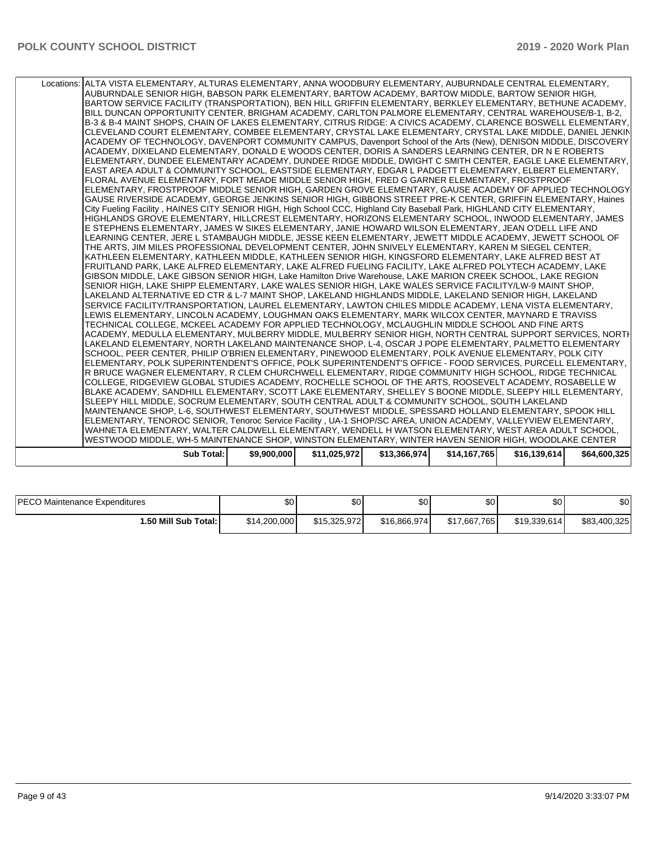| Locations: ALTA VISTA ELEMENTARY, ALTURAS ELEMENTARY, ANNA WOODBURY ELEMENTARY, AUBURNDALE CENTRAL ELEMENTARY,                                                                                         |             |              |              |              |              |              |
|--------------------------------------------------------------------------------------------------------------------------------------------------------------------------------------------------------|-------------|--------------|--------------|--------------|--------------|--------------|
| AUBURNDALE SENIOR HIGH, BABSON PARK ELEMENTARY, BARTOW ACADEMY, BARTOW MIDDLE, BARTOW SENIOR HIGH,                                                                                                     |             |              |              |              |              |              |
| BARTOW SERVICE FACILITY (TRANSPORTATION), BEN HILL GRIFFIN ELEMENTARY, BERKLEY ELEMENTARY, BETHUNE ACADEMY,                                                                                            |             |              |              |              |              |              |
| BILL DUNCAN OPPORTUNITY CENTER, BRIGHAM ACADEMY, CARLTON PALMORE ELEMENTARY, CENTRAL WAREHOUSE/B-1, B-2,                                                                                               |             |              |              |              |              |              |
| B-3 & B-4 MAINT SHOPS, CHAIN OF LAKES ELEMENTARY, CITRUS RIDGE: A CIVICS ACADEMY, CLARENCE BOSWELL ELEMENTARY,                                                                                         |             |              |              |              |              |              |
| CLEVELAND COURT ELEMENTARY, COMBEE ELEMENTARY, CRYSTAL LAKE ELEMENTARY, CRYSTAL LAKE MIDDLE, DANIEL JENKIN                                                                                             |             |              |              |              |              |              |
| ACADEMY OF TECHNOLOGY, DAVENPORT COMMUNITY CAMPUS, Davenport School of the Arts (New), DENISON MIDDLE, DISCOVERY                                                                                       |             |              |              |              |              |              |
| ACADEMY, DIXIELAND ELEMENTARY, DONALD E WOODS CENTER, DORIS A SANDERS LEARNING CENTER, DR N E ROBERTS                                                                                                  |             |              |              |              |              |              |
| ELEMENTARY, DUNDEE ELEMENTARY ACADEMY, DUNDEE RIDGE MIDDLE, DWIGHT C SMITH CENTER, EAGLE LAKE ELEMENTARY,                                                                                              |             |              |              |              |              |              |
| EAST AREA ADULT & COMMUNITY SCHOOL, EASTSIDE ELEMENTARY, EDGAR L PADGETT ELEMENTARY, ELBERT ELEMENTARY,                                                                                                |             |              |              |              |              |              |
| FLORAL AVENUE ELEMENTARY, FORT MEADE MIDDLE SENIOR HIGH, FRED G GARNER ELEMENTARY, FROSTPROOF                                                                                                          |             |              |              |              |              |              |
| ELEMENTARY, FROSTPROOF MIDDLE SENIOR HIGH, GARDEN GROVE ELEMENTARY, GAUSE ACADEMY OF APPLIED TECHNOLOGY                                                                                                |             |              |              |              |              |              |
| GAUSE RIVERSIDE ACADEMY, GEORGE JENKINS SENIOR HIGH, GIBBONS STREET PRE-K CENTER, GRIFFIN ELEMENTARY, Haines                                                                                           |             |              |              |              |              |              |
| City Fueling Facility, HAINES CITY SENIOR HIGH, High School CCC, Highland City Baseball Park, HIGHLAND CITY ELEMENTARY,                                                                                |             |              |              |              |              |              |
| HIGHLANDS GROVE ELEMENTARY, HILLCREST ELEMENTARY, HORIZONS ELEMENTARY SCHOOL, INWOOD ELEMENTARY, JAMES                                                                                                 |             |              |              |              |              |              |
| E STEPHENS ELEMENTARY, JAMES W SIKES ELEMENTARY, JANIE HOWARD WILSON ELEMENTARY, JEAN O'DELL LIFE AND                                                                                                  |             |              |              |              |              |              |
| LEARNING CENTER, JERE L STAMBAUGH MIDDLE, JESSE KEEN ELEMENTARY, JEWETT MIDDLE ACADEMY, JEWETT SCHOOL OF                                                                                               |             |              |              |              |              |              |
| THE ARTS, JIM MILES PROFESSIONAL DEVELOPMENT CENTER, JOHN SNIVELY ELEMENTARY, KAREN M SIEGEL CENTER,                                                                                                   |             |              |              |              |              |              |
| KATHLEEN ELEMENTARY. KATHLEEN MIDDLE. KATHLEEN SENIOR HIGH. KINGSFORD ELEMENTARY. LAKE ALFRED BEST AT                                                                                                  |             |              |              |              |              |              |
| FRUITLAND PARK, LAKE ALFRED ELEMENTARY, LAKE ALFRED FUELING FACILITY, LAKE ALFRED POLYTECH ACADEMY, LAKE                                                                                               |             |              |              |              |              |              |
| GIBSON MIDDLE, LAKE GIBSON SENIOR HIGH, Lake Hamilton Drive Warehouse, LAKE MARION CREEK SCHOOL, LAKE REGION                                                                                           |             |              |              |              |              |              |
| SENIOR HIGH, LAKE SHIPP ELEMENTARY, LAKE WALES SENIOR HIGH, LAKE WALES SERVICE FACILITY/LW-9 MAINT SHOP,                                                                                               |             |              |              |              |              |              |
| LAKELAND ALTERNATIVE ED CTR & L-7 MAINT SHOP, LAKELAND HIGHLANDS MIDDLE, LAKELAND SENIOR HIGH, LAKELAND                                                                                                |             |              |              |              |              |              |
| SERVICE FACILITY/TRANSPORTATION, LAUREL ELEMENTARY, LAWTON CHILES MIDDLE ACADEMY, LENA VISTA ELEMENTARY,                                                                                               |             |              |              |              |              |              |
| LEWIS ELEMENTARY, LINCOLN ACADEMY, LOUGHMAN OAKS ELEMENTARY, MARK WILCOX CENTER, MAYNARD E TRAVISS<br>TECHNICAL COLLEGE, MCKEEL ACADEMY FOR APPLIED TECHNOLOGY, MCLAUGHLIN MIDDLE SCHOOL AND FINE ARTS |             |              |              |              |              |              |
| ACADEMY, MEDULLA ELEMENTARY, MULBERRY MIDDLE, MULBERRY SENIOR HIGH, NORTH CENTRAL SUPPORT SERVICES, NORTH                                                                                              |             |              |              |              |              |              |
| LAKELAND ELEMENTARY, NORTH LAKELAND MAINTENANCE SHOP, L-4, OSCAR J POPE ELEMENTARY, PALMETTO ELEMENTARY                                                                                                |             |              |              |              |              |              |
| SCHOOL, PEER CENTER, PHILIP O'BRIEN ELEMENTARY, PINEWOOD ELEMENTARY, POLK AVENUE ELEMENTARY, POLK CITY                                                                                                 |             |              |              |              |              |              |
| ELEMENTARY, POLK SUPERINTENDENT'S OFFICE, POLK SUPERINTENDENT'S OFFICE - FOOD SERVICES, PURCELL ELEMENTARY,                                                                                            |             |              |              |              |              |              |
| R BRUCE WAGNER ELEMENTARY, R CLEM CHURCHWELL ELEMENTARY, RIDGE COMMUNITY HIGH SCHOOL, RIDGE TECHNICAL                                                                                                  |             |              |              |              |              |              |
| COLLEGE, RIDGEVIEW GLOBAL STUDIES ACADEMY, ROCHELLE SCHOOL OF THE ARTS, ROOSEVELT ACADEMY, ROSABELLE W                                                                                                 |             |              |              |              |              |              |
| BLAKE ACADEMY, SANDHILL ELEMENTARY, SCOTT LAKE ELEMENTARY, SHELLEY S BOONE MIDDLE, SLEEPY HILL ELEMENTARY,                                                                                             |             |              |              |              |              |              |
| SLEEPY HILL MIDDLE, SOCRUM ELEMENTARY, SOUTH CENTRAL ADULT & COMMUNITY SCHOOL, SOUTH LAKELAND                                                                                                          |             |              |              |              |              |              |
| MAINTENANCE SHOP, L-6, SOUTHWEST ELEMENTARY, SOUTHWEST MIDDLE, SPESSARD HOLLAND ELEMENTARY, SPOOK HILL                                                                                                 |             |              |              |              |              |              |
| ELEMENTARY, TENOROC SENIOR, Tenoroc Service Facility, UA-1 SHOP/SC AREA, UNION ACADEMY, VALLEYVIEW ELEMENTARY,                                                                                         |             |              |              |              |              |              |
| WAHNETA ELEMENTARY, WALTER CALDWELL ELEMENTARY, WENDELL H WATSON ELEMENTARY, WEST AREA ADULT SCHOOL,                                                                                                   |             |              |              |              |              |              |
| WESTWOOD MIDDLE, WH-5 MAINTENANCE SHOP, WINSTON ELEMENTARY, WINTER HAVEN SENIOR HIGH, WOODLAKE CENTER                                                                                                  |             |              |              |              |              |              |
| <b>Sub Total:</b>                                                                                                                                                                                      | \$9,900,000 | \$11,025,972 | \$13,366,974 | \$14,167,765 | \$16,139,614 | \$64,600,325 |
|                                                                                                                                                                                                        |             |              |              |              |              |              |

| <b>PECO Maintenance Expenditures</b> | \$0          | ሶሳ<br>ΦU     | <b>SOI</b>   | \$0          | \$0          | \$0          |
|--------------------------------------|--------------|--------------|--------------|--------------|--------------|--------------|
| 1.50 Mill Sub Total: İ               | \$14,200,000 | \$15,325,972 | \$16,866,974 | \$17,667,765 | \$19.339.614 | \$83,400,325 |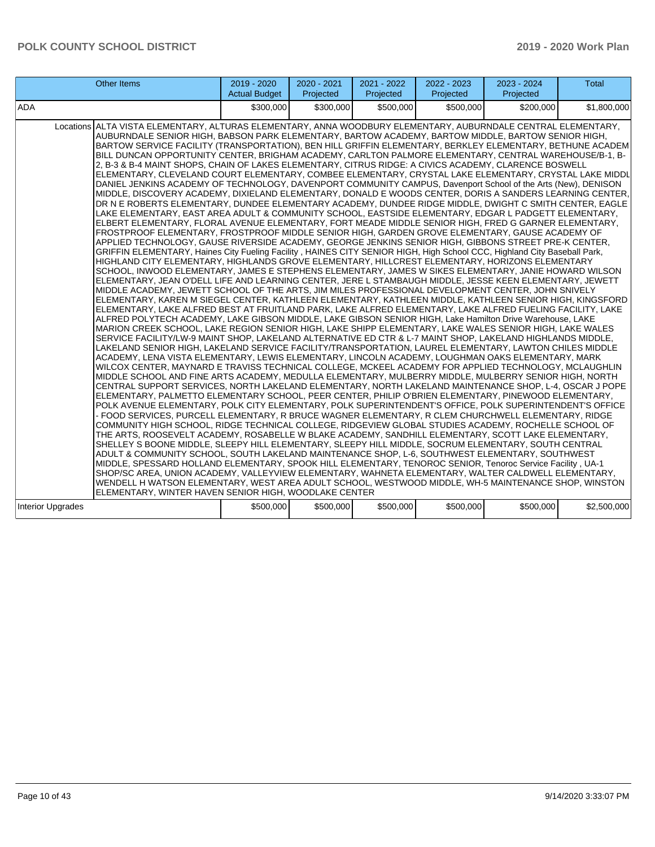| Other Items                                                                                                                                                                                                                                                                                                                                                                                                                                                                                                                                                                                                                                                                                                                                                                                                                                                                                                                                                                                                                                                                                                                                                                                                                                                                                                                                                                                                                                                                                                                                                                                                                                                                                                                                                                                                                                                                                                                                                                                                                                                                                                                                                                                                                                                                                                                                                                                                                                                                                                                                                                                                                                                                                                                                                                                                                                                                                                                                                                                                                                                                                                                                                                                                                                                                                                                                                                                                                                                                                                                                                                                                                                                                                                                                                                                                                                                                                                                                                                                                                                                                                                                                                                                                                                           | 2019 - 2020<br><b>Actual Budget</b> | 2020 - 2021<br>Projected | 2021 - 2022<br>Projected | 2022 - 2023<br>Projected | 2023 - 2024<br>Projected | Total       |
|-------------------------------------------------------------------------------------------------------------------------------------------------------------------------------------------------------------------------------------------------------------------------------------------------------------------------------------------------------------------------------------------------------------------------------------------------------------------------------------------------------------------------------------------------------------------------------------------------------------------------------------------------------------------------------------------------------------------------------------------------------------------------------------------------------------------------------------------------------------------------------------------------------------------------------------------------------------------------------------------------------------------------------------------------------------------------------------------------------------------------------------------------------------------------------------------------------------------------------------------------------------------------------------------------------------------------------------------------------------------------------------------------------------------------------------------------------------------------------------------------------------------------------------------------------------------------------------------------------------------------------------------------------------------------------------------------------------------------------------------------------------------------------------------------------------------------------------------------------------------------------------------------------------------------------------------------------------------------------------------------------------------------------------------------------------------------------------------------------------------------------------------------------------------------------------------------------------------------------------------------------------------------------------------------------------------------------------------------------------------------------------------------------------------------------------------------------------------------------------------------------------------------------------------------------------------------------------------------------------------------------------------------------------------------------------------------------------------------------------------------------------------------------------------------------------------------------------------------------------------------------------------------------------------------------------------------------------------------------------------------------------------------------------------------------------------------------------------------------------------------------------------------------------------------------------------------------------------------------------------------------------------------------------------------------------------------------------------------------------------------------------------------------------------------------------------------------------------------------------------------------------------------------------------------------------------------------------------------------------------------------------------------------------------------------------------------------------------------------------------------------------------------------------------------------------------------------------------------------------------------------------------------------------------------------------------------------------------------------------------------------------------------------------------------------------------------------------------------------------------------------------------------------------------------------------------------------------------------------------------------------|-------------------------------------|--------------------------|--------------------------|--------------------------|--------------------------|-------------|
| ADA                                                                                                                                                                                                                                                                                                                                                                                                                                                                                                                                                                                                                                                                                                                                                                                                                                                                                                                                                                                                                                                                                                                                                                                                                                                                                                                                                                                                                                                                                                                                                                                                                                                                                                                                                                                                                                                                                                                                                                                                                                                                                                                                                                                                                                                                                                                                                                                                                                                                                                                                                                                                                                                                                                                                                                                                                                                                                                                                                                                                                                                                                                                                                                                                                                                                                                                                                                                                                                                                                                                                                                                                                                                                                                                                                                                                                                                                                                                                                                                                                                                                                                                                                                                                                                                   | \$300,000                           | \$300,000                | \$500,000                | \$500,000                | \$200,000                | \$1,800,000 |
| Locations ALTA VISTA ELEMENTARY, ALTURAS ELEMENTARY, ANNA WOODBURY ELEMENTARY, AUBURNDALE CENTRAL ELEMENTARY,<br>AUBURNDALE SENIOR HIGH, BABSON PARK ELEMENTARY, BARTOW ACADEMY, BARTOW MIDDLE, BARTOW SENIOR HIGH,<br>BARTOW SERVICE FACILITY (TRANSPORTATION), BEN HILL GRIFFIN ELEMENTARY, BERKLEY ELEMENTARY, BETHUNE ACADEM<br>BILL DUNCAN OPPORTUNITY CENTER, BRIGHAM ACADEMY, CARLTON PALMORE ELEMENTARY, CENTRAL WAREHOUSE/B-1, B-<br>2, B-3 & B-4 MAINT SHOPS, CHAIN OF LAKES ELEMENTARY, CITRUS RIDGE: A CIVICS ACADEMY, CLARENCE BOSWELL<br>ELEMENTARY, CLEVELAND COURT ELEMENTARY, COMBEE ELEMENTARY, CRYSTAL LAKE ELEMENTARY, CRYSTAL LAKE MIDDL<br>DANIEL JENKINS ACADEMY OF TECHNOLOGY, DAVENPORT COMMUNITY CAMPUS, Davenport School of the Arts (New), DENISON<br>MIDDLE, DISCOVERY ACADEMY, DIXIELAND ELEMENTARY, DONALD E WOODS CENTER, DORIS A SANDERS LEARNING CENTER,<br>DR N E ROBERTS ELEMENTARY. DUNDEE ELEMENTARY ACADEMY. DUNDEE RIDGE MIDDLE. DWIGHT C SMITH CENTER. EAGLE<br>LAKE ELEMENTARY, EAST AREA ADULT & COMMUNITY SCHOOL, EASTSIDE ELEMENTARY, EDGAR L PADGETT ELEMENTARY,<br>ELBERT ELEMENTARY, FLORAL AVENUE ELEMENTARY, FORT MEADE MIDDLE SENIOR HIGH, FRED G GARNER ELEMENTARY,<br>FROSTPROOF ELEMENTARY, FROSTPROOF MIDDLE SENIOR HIGH, GARDEN GROVE ELEMENTARY, GAUSE ACADEMY OF<br>APPLIED TECHNOLOGY, GAUSE RIVERSIDE ACADEMY, GEORGE JENKINS SENIOR HIGH, GIBBONS STREET PRE-K CENTER,<br>GRIFFIN ELEMENTARY, Haines City Fueling Facility, HAINES CITY SENIOR HIGH, High School CCC, Highland City Baseball Park,<br>HIGHLAND CITY ELEMENTARY, HIGHLANDS GROVE ELEMENTARY, HILLCREST ELEMENTARY, HORIZONS ELEMENTARY<br>SCHOOL, INWOOD ELEMENTARY, JAMES E STEPHENS ELEMENTARY, JAMES W SIKES ELEMENTARY, JANIE HOWARD WILSON<br>ELEMENTARY, JEAN O'DELL LIFE AND LEARNING CENTER, JERE L STAMBAUGH MIDDLE, JESSE KEEN ELEMENTARY, JEWETT<br>MIDDLE ACADEMY, JEWETT SCHOOL OF THE ARTS, JIM MILES PROFESSIONAL DEVELOPMENT CENTER, JOHN SNIVELY<br>ELEMENTARY, KAREN M SIEGEL CENTER, KATHLEEN ELEMENTARY, KATHLEEN MIDDLE, KATHLEEN SENIOR HIGH, KINGSFORD<br>ELEMENTARY, LAKE ALFRED BEST AT FRUITLAND PARK, LAKE ALFRED ELEMENTARY, LAKE ALFRED FUELING FACILITY, LAKE<br>ALFRED POLYTECH ACADEMY, LAKE GIBSON MIDDLE, LAKE GIBSON SENIOR HIGH, Lake Hamilton Drive Warehouse, LAKE<br>MARION CREEK SCHOOL, LAKE REGION SENIOR HIGH, LAKE SHIPP ELEMENTARY, LAKE WALES SENIOR HIGH, LAKE WALES<br>SERVICE FACILITY/LW-9 MAINT SHOP, LAKELAND ALTERNATIVE ED CTR & L-7 MAINT SHOP, LAKELAND HIGHLANDS MIDDLE,<br>LAKELAND SENIOR HIGH, LAKELAND SERVICE FACILITY/TRANSPORTATION, LAUREL ELEMENTARY, LAWTON CHILES MIDDLE<br>ACADEMY, LENA VISTA ELEMENTARY, LEWIS ELEMENTARY, LINCOLN ACADEMY, LOUGHMAN OAKS ELEMENTARY, MARK<br>WILCOX CENTER, MAYNARD E TRAVISS TECHNICAL COLLEGE, MCKEEL ACADEMY FOR APPLIED TECHNOLOGY, MCLAUGHLIN<br>MIDDLE SCHOOL AND FINE ARTS ACADEMY, MEDULLA ELEMENTARY, MULBERRY MIDDLE, MULBERRY SENIOR HIGH, NORTH<br>CENTRAL SUPPORT SERVICES, NORTH LAKELAND ELEMENTARY, NORTH LAKELAND MAINTENANCE SHOP, L-4, OSCAR J POPE<br>ELEMENTARY, PALMETTO ELEMENTARY SCHOOL, PEER CENTER, PHILIP O'BRIEN ELEMENTARY, PINEWOOD ELEMENTARY,<br>POLK AVENUE ELEMENTARY. POLK CITY ELEMENTARY. POLK SUPERINTENDENT'S OFFICE. POLK SUPERINTENDENT'S OFFICE<br>- FOOD SERVICES, PURCELL ELEMENTARY, R BRUCE WAGNER ELEMENTARY, R CLEM CHURCHWELL ELEMENTARY, RIDGE<br>COMMUNITY HIGH SCHOOL, RIDGE TECHNICAL COLLEGE, RIDGEVIEW GLOBAL STUDIES ACADEMY, ROCHELLE SCHOOL OF<br>THE ARTS, ROOSEVELT ACADEMY, ROSABELLE W BLAKE ACADEMY, SANDHILL ELEMENTARY, SCOTT LAKE ELEMENTARY,<br>SHELLEY S BOONE MIDDLE, SLEEPY HILL ELEMENTARY, SLEEPY HILL MIDDLE, SOCRUM ELEMENTARY, SOUTH CENTRAL<br>ADULT & COMMUNITY SCHOOL, SOUTH LAKELAND MAINTENANCE SHOP, L-6, SOUTHWEST ELEMENTARY, SOUTHWEST<br>MIDDLE, SPESSARD HOLLAND ELEMENTARY, SPOOK HILL ELEMENTARY, TENOROC SENIOR, Tenoroc Service Facility, UA-1<br>SHOP/SC AREA, UNION ACADEMY, VALLEYVIEW ELEMENTARY, WAHNETA ELEMENTARY, WALTER CALDWELL ELEMENTARY,<br>WENDELL H WATSON ELEMENTARY, WEST AREA ADULT SCHOOL, WESTWOOD MIDDLE, WH-5 MAINTENANCE SHOP, WINSTON<br>ELEMENTARY, WINTER HAVEN SENIOR HIGH, WOODLAKE CENTER |                                     |                          |                          |                          |                          |             |
| Interior Upgrades                                                                                                                                                                                                                                                                                                                                                                                                                                                                                                                                                                                                                                                                                                                                                                                                                                                                                                                                                                                                                                                                                                                                                                                                                                                                                                                                                                                                                                                                                                                                                                                                                                                                                                                                                                                                                                                                                                                                                                                                                                                                                                                                                                                                                                                                                                                                                                                                                                                                                                                                                                                                                                                                                                                                                                                                                                                                                                                                                                                                                                                                                                                                                                                                                                                                                                                                                                                                                                                                                                                                                                                                                                                                                                                                                                                                                                                                                                                                                                                                                                                                                                                                                                                                                                     | \$500,000                           | \$500,000                | \$500,000                | \$500,000                | \$500,000                | \$2,500,000 |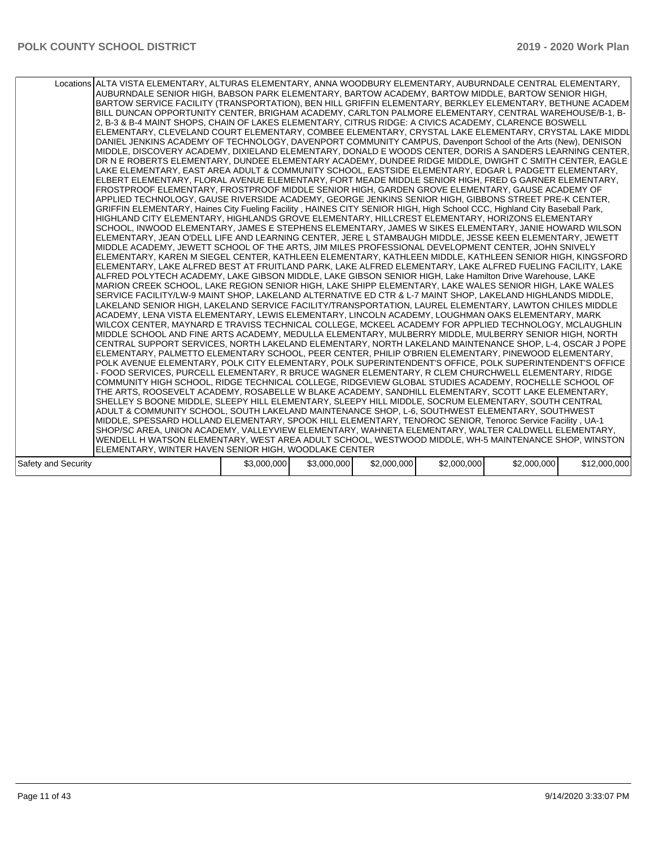|                     | Locations ALTA VISTA ELEMENTARY, ALTURAS ELEMENTARY, ANNA WOODBURY ELEMENTARY, AUBURNDALE CENTRAL ELEMENTARY,<br>AUBURNDALE SENIOR HIGH, BABSON PARK ELEMENTARY, BARTOW ACADEMY, BARTOW MIDDLE, BARTOW SENIOR HIGH,<br>BARTOW SERVICE FACILITY (TRANSPORTATION), BEN HILL GRIFFIN ELEMENTARY, BERKLEY ELEMENTARY, BETHUNE ACADEMI<br>BILL DUNCAN OPPORTUNITY CENTER, BRIGHAM ACADEMY, CARLTON PALMORE ELEMENTARY, CENTRAL WAREHOUSE/B-1, B-<br>2, B-3 & B-4 MAINT SHOPS, CHAIN OF LAKES ELEMENTARY, CITRUS RIDGE: A CIVICS ACADEMY, CLARENCE BOSWELL<br>ELEMENTARY, CLEVELAND COURT ELEMENTARY, COMBEE ELEMENTARY, CRYSTAL LAKE ELEMENTARY, CRYSTAL LAKE MIDDL<br>DANIEL JENKINS ACADEMY OF TECHNOLOGY, DAVENPORT COMMUNITY CAMPUS, Davenport School of the Arts (New), DENISON<br>MIDDLE, DISCOVERY ACADEMY, DIXIELAND ELEMENTARY, DONALD E WOODS CENTER, DORIS A SANDERS LEARNING CENTER,<br>DR N E ROBERTS ELEMENTARY, DUNDEE ELEMENTARY ACADEMY, DUNDEE RIDGE MIDDLE, DWIGHT C SMITH CENTER, EAGLE<br>LAKE ELEMENTARY, EAST AREA ADULT & COMMUNITY SCHOOL, EASTSIDE ELEMENTARY, EDGAR L PADGETT ELEMENTARY,<br>ELBERT ELEMENTARY, FLORAL AVENUE ELEMENTARY, FORT MEADE MIDDLE SENIOR HIGH, FRED G GARNER ELEMENTARY,<br>FROSTPROOF ELEMENTARY, FROSTPROOF MIDDLE SENIOR HIGH, GARDEN GROVE ELEMENTARY, GAUSE ACADEMY OF<br>APPLIED TECHNOLOGY, GAUSE RIVERSIDE ACADEMY, GEORGE JENKINS SENIOR HIGH, GIBBONS STREET PRE-K CENTER,<br>GRIFFIN ELEMENTARY, Haines City Fueling Facility, HAINES CITY SENIOR HIGH, High School CCC, Highland City Baseball Park,<br>HIGHLAND CITY ELEMENTARY, HIGHLANDS GROVE ELEMENTARY, HILLCREST ELEMENTARY, HORIZONS ELEMENTARY<br>SCHOOL, INWOOD ELEMENTARY, JAMES E STEPHENS ELEMENTARY, JAMES W SIKES ELEMENTARY, JANIE HOWARD WILSON<br>ELEMENTARY, JEAN O'DELL LIFE AND LEARNING CENTER, JERE L STAMBAUGH MIDDLE, JESSE KEEN ELEMENTARY, JEWETT<br>MIDDLE ACADEMY, JEWETT SCHOOL OF THE ARTS, JIM MILES PROFESSIONAL DEVELOPMENT CENTER, JOHN SNIVELY<br>ELEMENTARY, KAREN M SIEGEL CENTER, KATHLEEN ELEMENTARY, KATHLEEN MIDDLE, KATHLEEN SENIOR HIGH, KINGSFORD<br>ELEMENTARY, LAKE ALFRED BEST AT FRUITLAND PARK, LAKE ALFRED ELEMENTARY, LAKE ALFRED FUELING FACILITY, LAKE<br>ALFRED POLYTECH ACADEMY, LAKE GIBSON MIDDLE, LAKE GIBSON SENIOR HIGH, Lake Hamilton Drive Warehouse, LAKE<br>MARION CREEK SCHOOL, LAKE REGION SENIOR HIGH, LAKE SHIPP ELEMENTARY, LAKE WALES SENIOR HIGH, LAKE WALES<br>SERVICE FACILITY/LW-9 MAINT SHOP, LAKELAND ALTERNATIVE ED CTR & L-7 MAINT SHOP, LAKELAND HIGHLANDS MIDDLE,<br>LAKELAND SENIOR HIGH, LAKELAND SERVICE FACILITY/TRANSPORTATION, LAUREL ELEMENTARY, LAWTON CHILES MIDDLE<br>ACADEMY, LENA VISTA ELEMENTARY, LEWIS ELEMENTARY, LINCOLN ACADEMY, LOUGHMAN OAKS ELEMENTARY, MARK<br>WILCOX CENTER, MAYNARD E TRAVISS TECHNICAL COLLEGE, MCKEEL ACADEMY FOR APPLIED TECHNOLOGY, MCLAUGHLIN<br>MIDDLE SCHOOL AND FINE ARTS ACADEMY, MEDULLA ELEMENTARY, MULBERRY MIDDLE, MULBERRY SENIOR HIGH, NORTH<br>CENTRAL SUPPORT SERVICES, NORTH LAKELAND ELEMENTARY, NORTH LAKELAND MAINTENANCE SHOP, L-4, OSCAR J POPE<br>ELEMENTARY, PALMETTO ELEMENTARY SCHOOL, PEER CENTER, PHILIP O'BRIEN ELEMENTARY, PINEWOOD ELEMENTARY,<br>POLK AVENUE ELEMENTARY, POLK CITY ELEMENTARY, POLK SUPERINTENDENT'S OFFICE, POLK SUPERINTENDENT'S OFFICE<br>- FOOD SERVICES, PURCELL ELEMENTARY, R BRUCE WAGNER ELEMENTARY, R CLEM CHURCHWELL ELEMENTARY, RIDGE<br>COMMUNITY HIGH SCHOOL, RIDGE TECHNICAL COLLEGE, RIDGEVIEW GLOBAL STUDIES ACADEMY, ROCHELLE SCHOOL OF<br>THE ARTS, ROOSEVELT ACADEMY, ROSABELLE W BLAKE ACADEMY, SANDHILL ELEMENTARY, SCOTT LAKE ELEMENTARY,<br>SHELLEY S BOONE MIDDLE, SLEEPY HILL ELEMENTARY, SLEEPY HILL MIDDLE, SOCRUM ELEMENTARY, SOUTH CENTRAL<br>ADULT & COMMUNITY SCHOOL, SOUTH LAKELAND MAINTENANCE SHOP, L-6, SOUTHWEST ELEMENTARY, SOUTHWEST<br>MIDDLE, SPESSARD HOLLAND ELEMENTARY, SPOOK HILL ELEMENTARY, TENOROC SENIOR, Tenoroc Service Facility, UA-1<br>SHOP/SC AREA, UNION ACADEMY, VALLEYVIEW ELEMENTARY, WAHNETA ELEMENTARY, WALTER CALDWELL ELEMENTARY,<br>WENDELL H WATSON ELEMENTARY, WEST AREA ADULT SCHOOL, WESTWOOD MIDDLE, WH-5 MAINTENANCE SHOP, WINSTON<br>ELEMENTARY, WINTER HAVEN SENIOR HIGH, WOODLAKE CENTER |             |             |             |             |             |              |
|---------------------|--------------------------------------------------------------------------------------------------------------------------------------------------------------------------------------------------------------------------------------------------------------------------------------------------------------------------------------------------------------------------------------------------------------------------------------------------------------------------------------------------------------------------------------------------------------------------------------------------------------------------------------------------------------------------------------------------------------------------------------------------------------------------------------------------------------------------------------------------------------------------------------------------------------------------------------------------------------------------------------------------------------------------------------------------------------------------------------------------------------------------------------------------------------------------------------------------------------------------------------------------------------------------------------------------------------------------------------------------------------------------------------------------------------------------------------------------------------------------------------------------------------------------------------------------------------------------------------------------------------------------------------------------------------------------------------------------------------------------------------------------------------------------------------------------------------------------------------------------------------------------------------------------------------------------------------------------------------------------------------------------------------------------------------------------------------------------------------------------------------------------------------------------------------------------------------------------------------------------------------------------------------------------------------------------------------------------------------------------------------------------------------------------------------------------------------------------------------------------------------------------------------------------------------------------------------------------------------------------------------------------------------------------------------------------------------------------------------------------------------------------------------------------------------------------------------------------------------------------------------------------------------------------------------------------------------------------------------------------------------------------------------------------------------------------------------------------------------------------------------------------------------------------------------------------------------------------------------------------------------------------------------------------------------------------------------------------------------------------------------------------------------------------------------------------------------------------------------------------------------------------------------------------------------------------------------------------------------------------------------------------------------------------------------------------------------------------------------------------------------------------------------------------------------------------------------------------------------------------------------------------------------------------------------------------------------------------------------------------------------------------------------------------------------------------------------------------------------------------------------------------------------------------------------------------------------------------------------------------------------------------------|-------------|-------------|-------------|-------------|-------------|--------------|
| Safety and Security |                                                                                                                                                                                                                                                                                                                                                                                                                                                                                                                                                                                                                                                                                                                                                                                                                                                                                                                                                                                                                                                                                                                                                                                                                                                                                                                                                                                                                                                                                                                                                                                                                                                                                                                                                                                                                                                                                                                                                                                                                                                                                                                                                                                                                                                                                                                                                                                                                                                                                                                                                                                                                                                                                                                                                                                                                                                                                                                                                                                                                                                                                                                                                                                                                                                                                                                                                                                                                                                                                                                                                                                                                                                                                                                                                                                                                                                                                                                                                                                                                                                                                                                                                                                                                                                        | \$3,000,000 | \$3,000,000 | \$2,000,000 | \$2,000,000 | \$2,000,000 | \$12,000,000 |
|                     |                                                                                                                                                                                                                                                                                                                                                                                                                                                                                                                                                                                                                                                                                                                                                                                                                                                                                                                                                                                                                                                                                                                                                                                                                                                                                                                                                                                                                                                                                                                                                                                                                                                                                                                                                                                                                                                                                                                                                                                                                                                                                                                                                                                                                                                                                                                                                                                                                                                                                                                                                                                                                                                                                                                                                                                                                                                                                                                                                                                                                                                                                                                                                                                                                                                                                                                                                                                                                                                                                                                                                                                                                                                                                                                                                                                                                                                                                                                                                                                                                                                                                                                                                                                                                                                        |             |             |             |             |             |              |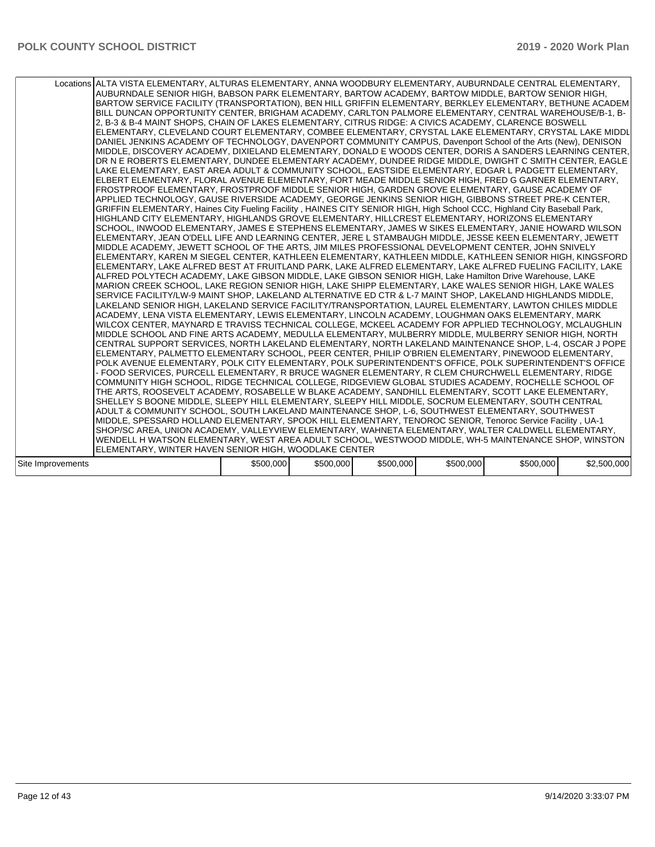|                   | Locations ALTA VISTA ELEMENTARY, ALTURAS ELEMENTARY, ANNA WOODBURY ELEMENTARY, AUBURNDALE CENTRAL ELEMENTARY,<br>AUBURNDALE SENIOR HIGH, BABSON PARK ELEMENTARY, BARTOW ACADEMY, BARTOW MIDDLE, BARTOW SENIOR HIGH,<br>BARTOW SERVICE FACILITY (TRANSPORTATION), BEN HILL GRIFFIN ELEMENTARY, BERKLEY ELEMENTARY, BETHUNE ACADEM<br>BILL DUNCAN OPPORTUNITY CENTER, BRIGHAM ACADEMY, CARLTON PALMORE ELEMENTARY, CENTRAL WAREHOUSE/B-1, B-<br>2, B-3 & B-4 MAINT SHOPS, CHAIN OF LAKES ELEMENTARY, CITRUS RIDGE: A CIVICS ACADEMY, CLARENCE BOSWELL<br>ELEMENTARY, CLEVELAND COURT ELEMENTARY, COMBEE ELEMENTARY, CRYSTAL LAKE ELEMENTARY, CRYSTAL LAKE MIDDL<br>DANIEL JENKINS ACADEMY OF TECHNOLOGY, DAVENPORT COMMUNITY CAMPUS, Davenport School of the Arts (New), DENISON<br>MIDDLE, DISCOVERY ACADEMY, DIXIELAND ELEMENTARY, DONALD E WOODS CENTER, DORIS A SANDERS LEARNING CENTER,<br>DR N E ROBERTS ELEMENTARY, DUNDEE ELEMENTARY ACADEMY, DUNDEE RIDGE MIDDLE, DWIGHT C SMITH CENTER, EAGLE<br>LAKE ELEMENTARY, EAST AREA ADULT & COMMUNITY SCHOOL, EASTSIDE ELEMENTARY, EDGAR L PADGETT ELEMENTARY,<br>ELBERT ELEMENTARY, FLORAL AVENUE ELEMENTARY, FORT MEADE MIDDLE SENIOR HIGH, FRED G GARNER ELEMENTARY,<br>FROSTPROOF ELEMENTARY, FROSTPROOF MIDDLE SENIOR HIGH, GARDEN GROVE ELEMENTARY, GAUSE ACADEMY OF<br>APPLIED TECHNOLOGY, GAUSE RIVERSIDE ACADEMY, GEORGE JENKINS SENIOR HIGH, GIBBONS STREET PRE-K CENTER,<br>GRIFFIN ELEMENTARY, Haines City Fueling Facility, HAINES CITY SENIOR HIGH, High School CCC, Highland City Baseball Park,<br>HIGHLAND CITY ELEMENTARY, HIGHLANDS GROVE ELEMENTARY, HILLCREST ELEMENTARY, HORIZONS ELEMENTARY<br>SCHOOL, INWOOD ELEMENTARY, JAMES E STEPHENS ELEMENTARY, JAMES W SIKES ELEMENTARY, JANIE HOWARD WILSON<br>ELEMENTARY, JEAN O'DELL LIFE AND LEARNING CENTER, JERE L STAMBAUGH MIDDLE, JESSE KEEN ELEMENTARY, JEWETT<br>MIDDLE ACADEMY, JEWETT SCHOOL OF THE ARTS, JIM MILES PROFESSIONAL DEVELOPMENT CENTER, JOHN SNIVELY<br>ELEMENTARY, KAREN M SIEGEL CENTER, KATHLEEN ELEMENTARY, KATHLEEN MIDDLE, KATHLEEN SENIOR HIGH, KINGSFORD<br>ELEMENTARY, LAKE ALFRED BEST AT FRUITLAND PARK, LAKE ALFRED ELEMENTARY, LAKE ALFRED FUELING FACILITY, LAKE<br>ALFRED POLYTECH ACADEMY, LAKE GIBSON MIDDLE, LAKE GIBSON SENIOR HIGH, Lake Hamilton Drive Warehouse, LAKE<br>MARION CREEK SCHOOL, LAKE REGION SENIOR HIGH, LAKE SHIPP ELEMENTARY, LAKE WALES SENIOR HIGH, LAKE WALES<br>SERVICE FACILITY/LW-9 MAINT SHOP. LAKELAND ALTERNATIVE ED CTR & L-7 MAINT SHOP. LAKELAND HIGHLANDS MIDDLE.<br>LAKELAND SENIOR HIGH, LAKELAND SERVICE FACILITY/TRANSPORTATION, LAUREL ELEMENTARY, LAWTON CHILES MIDDLE<br>ACADEMY, LENA VISTA ELEMENTARY, LEWIS ELEMENTARY, LINCOLN ACADEMY, LOUGHMAN OAKS ELEMENTARY, MARK<br>WILCOX CENTER, MAYNARD E TRAVISS TECHNICAL COLLEGE, MCKEEL ACADEMY FOR APPLIED TECHNOLOGY, MCLAUGHLIN<br>MIDDLE SCHOOL AND FINE ARTS ACADEMY, MEDULLA ELEMENTARY, MULBERRY MIDDLE, MULBERRY SENIOR HIGH, NORTH<br>CENTRAL SUPPORT SERVICES, NORTH LAKELAND ELEMENTARY, NORTH LAKELAND MAINTENANCE SHOP, L-4, OSCAR J POPE<br>ELEMENTARY, PALMETTO ELEMENTARY SCHOOL, PEER CENTER, PHILIP O'BRIEN ELEMENTARY, PINEWOOD ELEMENTARY,<br>POLK AVENUE ELEMENTARY, POLK CITY ELEMENTARY, POLK SUPERINTENDENT'S OFFICE, POLK SUPERINTENDENT'S OFFICE<br>- FOOD SERVICES. PURCELL ELEMENTARY, R BRUCE WAGNER ELEMENTARY, R CLEM CHURCHWELL ELEMENTARY, RIDGE<br>COMMUNITY HIGH SCHOOL, RIDGE TECHNICAL COLLEGE, RIDGEVIEW GLOBAL STUDIES ACADEMY, ROCHELLE SCHOOL OF<br>THE ARTS, ROOSEVELT ACADEMY, ROSABELLE W BLAKE ACADEMY, SANDHILL ELEMENTARY, SCOTT LAKE ELEMENTARY,<br>SHELLEY S BOONE MIDDLE, SLEEPY HILL ELEMENTARY, SLEEPY HILL MIDDLE, SOCRUM ELEMENTARY, SOUTH CENTRAL<br>ADULT & COMMUNITY SCHOOL, SOUTH LAKELAND MAINTENANCE SHOP, L-6, SOUTHWEST ELEMENTARY, SOUTHWEST<br>MIDDLE, SPESSARD HOLLAND ELEMENTARY, SPOOK HILL ELEMENTARY, TENOROC SENIOR, Tenoroc Service Facility, UA-1<br>SHOP/SC AREA, UNION ACADEMY, VALLEYVIEW ELEMENTARY, WAHNETA ELEMENTARY, WALTER CALDWELL ELEMENTARY,<br>WENDELL H WATSON ELEMENTARY, WEST AREA ADULT SCHOOL, WESTWOOD MIDDLE, WH-5 MAINTENANCE SHOP, WINSTON<br>ELEMENTARY, WINTER HAVEN SENIOR HIGH, WOODLAKE CENTER |           |           |           |           |           |             |
|-------------------|-------------------------------------------------------------------------------------------------------------------------------------------------------------------------------------------------------------------------------------------------------------------------------------------------------------------------------------------------------------------------------------------------------------------------------------------------------------------------------------------------------------------------------------------------------------------------------------------------------------------------------------------------------------------------------------------------------------------------------------------------------------------------------------------------------------------------------------------------------------------------------------------------------------------------------------------------------------------------------------------------------------------------------------------------------------------------------------------------------------------------------------------------------------------------------------------------------------------------------------------------------------------------------------------------------------------------------------------------------------------------------------------------------------------------------------------------------------------------------------------------------------------------------------------------------------------------------------------------------------------------------------------------------------------------------------------------------------------------------------------------------------------------------------------------------------------------------------------------------------------------------------------------------------------------------------------------------------------------------------------------------------------------------------------------------------------------------------------------------------------------------------------------------------------------------------------------------------------------------------------------------------------------------------------------------------------------------------------------------------------------------------------------------------------------------------------------------------------------------------------------------------------------------------------------------------------------------------------------------------------------------------------------------------------------------------------------------------------------------------------------------------------------------------------------------------------------------------------------------------------------------------------------------------------------------------------------------------------------------------------------------------------------------------------------------------------------------------------------------------------------------------------------------------------------------------------------------------------------------------------------------------------------------------------------------------------------------------------------------------------------------------------------------------------------------------------------------------------------------------------------------------------------------------------------------------------------------------------------------------------------------------------------------------------------------------------------------------------------------------------------------------------------------------------------------------------------------------------------------------------------------------------------------------------------------------------------------------------------------------------------------------------------------------------------------------------------------------------------------------------------------------------------------------------------------------------------------------------------------------------------------|-----------|-----------|-----------|-----------|-----------|-------------|
| Site Improvements |                                                                                                                                                                                                                                                                                                                                                                                                                                                                                                                                                                                                                                                                                                                                                                                                                                                                                                                                                                                                                                                                                                                                                                                                                                                                                                                                                                                                                                                                                                                                                                                                                                                                                                                                                                                                                                                                                                                                                                                                                                                                                                                                                                                                                                                                                                                                                                                                                                                                                                                                                                                                                                                                                                                                                                                                                                                                                                                                                                                                                                                                                                                                                                                                                                                                                                                                                                                                                                                                                                                                                                                                                                                                                                                                                                                                                                                                                                                                                                                                                                                                                                                                                                                                                                                       | \$500,000 | \$500,000 | \$500,000 | \$500,000 | \$500,000 | \$2,500,000 |
|                   |                                                                                                                                                                                                                                                                                                                                                                                                                                                                                                                                                                                                                                                                                                                                                                                                                                                                                                                                                                                                                                                                                                                                                                                                                                                                                                                                                                                                                                                                                                                                                                                                                                                                                                                                                                                                                                                                                                                                                                                                                                                                                                                                                                                                                                                                                                                                                                                                                                                                                                                                                                                                                                                                                                                                                                                                                                                                                                                                                                                                                                                                                                                                                                                                                                                                                                                                                                                                                                                                                                                                                                                                                                                                                                                                                                                                                                                                                                                                                                                                                                                                                                                                                                                                                                                       |           |           |           |           |           |             |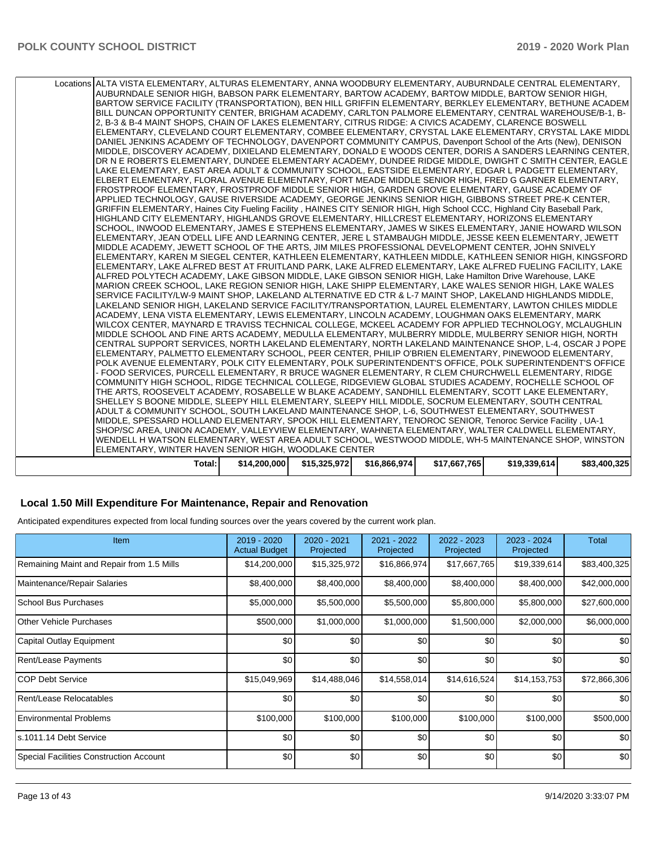### **Local 1.50 Mill Expenditure For Maintenance, Repair and Renovation**

Anticipated expenditures expected from local funding sources over the years covered by the current work plan.

| Item                                      | 2019 - 2020<br><b>Actual Budget</b> | 2020 - 2021<br>Projected | 2021 - 2022<br>Projected | 2022 - 2023<br>Projected | 2023 - 2024<br>Projected | Total        |
|-------------------------------------------|-------------------------------------|--------------------------|--------------------------|--------------------------|--------------------------|--------------|
| Remaining Maint and Repair from 1.5 Mills | \$14,200,000                        | \$15,325,972             | \$16,866,974             | \$17,667,765             | \$19,339,614             | \$83,400,325 |
| Maintenance/Repair Salaries               | \$8,400,000                         | \$8,400,000              | \$8,400,000              | \$8,400,000              | \$8,400,000              | \$42,000,000 |
| School Bus Purchases                      | \$5,000,000                         | \$5,500,000              | \$5,500,000              | \$5,800,000              | \$5,800,000              | \$27,600,000 |
| <b>Other Vehicle Purchases</b>            | \$500,000                           | \$1,000,000              | \$1,000,000              | \$1,500,000              | \$2,000,000              | \$6,000,000  |
| Capital Outlay Equipment                  | \$0                                 | \$0                      | \$0                      | \$0                      | \$0                      | \$0          |
| Rent/Lease Payments                       | \$0                                 | \$0                      | \$0                      | \$0                      | \$0                      | \$0          |
| <b>COP Debt Service</b>                   | \$15,049,969                        | \$14,488,046             | \$14,558,014             | \$14,616,524             | \$14,153,753             | \$72,866,306 |
| Rent/Lease Relocatables                   | \$0                                 | \$0                      | \$0                      | \$0                      | \$0                      | \$0          |
| <b>Environmental Problems</b>             | \$100,000                           | \$100,000                | \$100,000                | \$100,000                | \$100,000                | \$500,000    |
| s.1011.14 Debt Service                    | \$0                                 | \$0                      | \$0                      | \$0                      | \$0                      | \$0          |
| Special Facilities Construction Account   | \$0                                 | \$0                      | \$0                      | \$0                      | \$0                      | \$0          |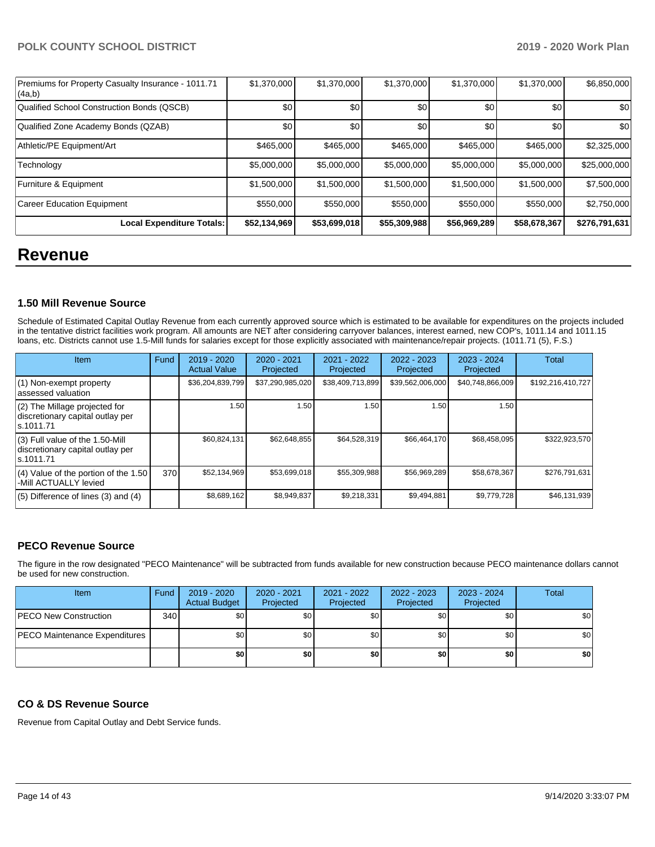| Premiums for Property Casualty Insurance - 1011.71<br> (4a,b) | \$1,370,000      | \$1,370,000  | \$1,370,000  | \$1,370,000  | \$1,370,000  | \$6,850,000   |
|---------------------------------------------------------------|------------------|--------------|--------------|--------------|--------------|---------------|
| Qualified School Construction Bonds (QSCB)                    | \$0 <sub>1</sub> | \$0          | \$0          | \$0          | \$0          | \$0           |
| Qualified Zone Academy Bonds (QZAB)                           | \$0              | \$0          | \$0          | \$0          | \$0          | \$0           |
| Athletic/PE Equipment/Art                                     | \$465,000        | \$465,000    | \$465,000    | \$465,000    | \$465,000    | \$2,325,000   |
| Technology                                                    | \$5,000,000      | \$5,000,000  | \$5,000,000  | \$5,000,000  | \$5,000,000  | \$25,000,000  |
| Furniture & Equipment                                         | \$1,500,000      | \$1,500,000  | \$1,500,000  | \$1,500,000  | \$1,500,000  | \$7,500,000   |
| Career Education Equipment                                    | \$550,000        | \$550,000    | \$550,000    | \$550,000    | \$550,000    | \$2,750,000   |
| Local Expenditure Totals:                                     | \$52,134,969     | \$53,699,018 | \$55,309,988 | \$56,969,289 | \$58,678,367 | \$276,791,631 |

# **Revenue**

### **1.50 Mill Revenue Source**

Schedule of Estimated Capital Outlay Revenue from each currently approved source which is estimated to be available for expenditures on the projects included in the tentative district facilities work program. All amounts are NET after considering carryover balances, interest earned, new COP's, 1011.14 and 1011.15 loans, etc. Districts cannot use 1.5-Mill funds for salaries except for those explicitly associated with maintenance/repair projects. (1011.71 (5), F.S.)

| <b>Item</b>                                                                       | Fund | $2019 - 2020$<br><b>Actual Value</b> | $2020 - 2021$<br>Projected | 2021 - 2022<br>Projected | $2022 - 2023$<br>Projected | $2023 - 2024$<br>Projected | Total             |
|-----------------------------------------------------------------------------------|------|--------------------------------------|----------------------------|--------------------------|----------------------------|----------------------------|-------------------|
| (1) Non-exempt property<br>lassessed valuation                                    |      | \$36,204,839,799                     | \$37,290,985,020           | \$38,409,713,899         | \$39,562,006,000           | \$40,748,866,009           | \$192,216,410,727 |
| (2) The Millage projected for<br>discretionary capital outlay per<br>ls.1011.71   |      | 1.50                                 | 1.50                       | 1.50                     | l.50                       | 1.50                       |                   |
| (3) Full value of the 1.50-Mill<br>discretionary capital outlay per<br>ls.1011.71 |      | \$60,824,131                         | \$62,648,855               | \$64,528,319             | \$66,464,170               | \$68,458,095               | \$322.923.570     |
| (4) Value of the portion of the 1.50<br>-Mill ACTUALLY levied                     | 370  | \$52,134,969                         | \$53,699,018               | \$55,309,988             | \$56,969,289               | \$58,678,367               | \$276,791,631     |
| $(5)$ Difference of lines (3) and (4)                                             |      | \$8,689,162                          | \$8,949,837                | \$9,218,331              | \$9,494,881                | \$9,779,728                | \$46,131,939      |

# **PECO Revenue Source**

The figure in the row designated "PECO Maintenance" will be subtracted from funds available for new construction because PECO maintenance dollars cannot be used for new construction.

| Item                          | Fund | 2019 - 2020<br><b>Actual Budget</b> | 2020 - 2021<br>Projected | 2021 - 2022<br>Projected | 2022 - 2023<br>Projected | 2023 - 2024<br>Projected | <b>Total</b> |
|-------------------------------|------|-------------------------------------|--------------------------|--------------------------|--------------------------|--------------------------|--------------|
| <b>PECO New Construction</b>  | 340  | \$0                                 | \$0 <sub>1</sub>         | \$0                      | \$0                      | \$0                      | \$0          |
| PECO Maintenance Expenditures |      | \$0                                 | \$0 <sub>1</sub>         | \$0                      | \$0                      | \$0                      | \$0          |
|                               |      | \$0                                 | \$0                      | \$0                      | \$O                      | \$0                      | \$0          |

### **CO & DS Revenue Source**

Revenue from Capital Outlay and Debt Service funds.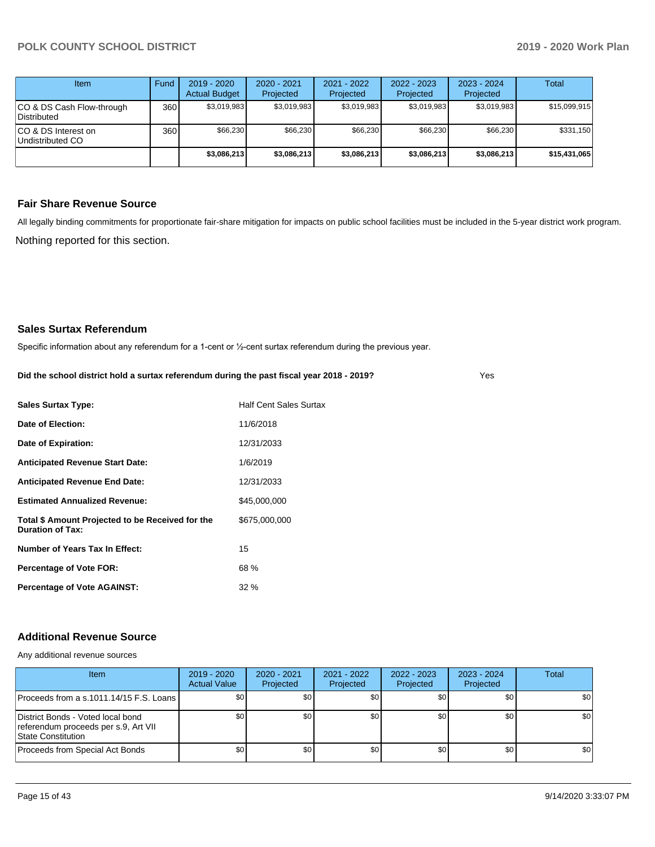Yes

| Item                                     | Fund  | $2019 - 2020$<br><b>Actual Budget</b> | $2020 - 2021$<br>Projected | $2021 - 2022$<br>Projected | $2022 - 2023$<br>Projected | $2023 - 2024$<br>Projected | Total        |
|------------------------------------------|-------|---------------------------------------|----------------------------|----------------------------|----------------------------|----------------------------|--------------|
| CO & DS Cash Flow-through<br>Distributed | 360 l | \$3,019,983                           | \$3,019,983                | \$3,019,983                | \$3,019,983                | \$3,019,983                | \$15,099,915 |
| ICO & DS Interest on<br>Undistributed CO | 360   | \$66,230                              | \$66,230                   | \$66,230                   | \$66,230                   | \$66,230                   | \$331,150    |
|                                          |       | \$3,086,213                           | \$3,086,213                | \$3,086,213                | \$3,086,213                | \$3,086,213                | \$15,431,065 |

### **Fair Share Revenue Source**

Nothing reported for this section. All legally binding commitments for proportionate fair-share mitigation for impacts on public school facilities must be included in the 5-year district work program.

### **Sales Surtax Referendum**

Specific information about any referendum for a 1-cent or ½-cent surtax referendum during the previous year.

| Did the school district hold a surtax referendum during the past fiscal year 2018 - 2019? |  |  |  |
|-------------------------------------------------------------------------------------------|--|--|--|
|                                                                                           |  |  |  |

| <b>Sales Surtax Type:</b>                                                   | <b>Half Cent Sales Surtax</b> |
|-----------------------------------------------------------------------------|-------------------------------|
| Date of Election:                                                           | 11/6/2018                     |
| Date of Expiration:                                                         | 12/31/2033                    |
| <b>Anticipated Revenue Start Date:</b>                                      | 1/6/2019                      |
| <b>Anticipated Revenue End Date:</b>                                        | 12/31/2033                    |
| <b>Estimated Annualized Revenue:</b>                                        | \$45,000,000                  |
| Total \$ Amount Projected to be Received for the<br><b>Duration of Tax:</b> | \$675,000,000                 |
| Number of Years Tax In Effect:                                              | 15                            |
| <b>Percentage of Vote FOR:</b>                                              | 68 %                          |
| <b>Percentage of Vote AGAINST:</b>                                          | 32%                           |

## **Additional Revenue Source**

Any additional revenue sources

| <b>Item</b>                                                                                            | $2019 - 2020$<br><b>Actual Value</b> | 2020 - 2021<br>Projected | 2021 - 2022<br>Projected | $2022 - 2023$<br>Projected | 2023 - 2024<br>Projected | Total |
|--------------------------------------------------------------------------------------------------------|--------------------------------------|--------------------------|--------------------------|----------------------------|--------------------------|-------|
| Proceeds from a s.1011.14/15 F.S. Loans I                                                              | \$0                                  | \$0                      | \$0                      | \$0 <sub>1</sub>           | \$0                      | \$0   |
| District Bonds - Voted local bond<br>referendum proceeds per s.9, Art VII<br><b>State Constitution</b> | \$0                                  | \$0                      | \$0                      | \$0 <sub>1</sub>           | \$0                      | \$0   |
| Proceeds from Special Act Bonds                                                                        | \$0                                  | \$0                      | \$0                      | \$0                        | \$0                      | \$0   |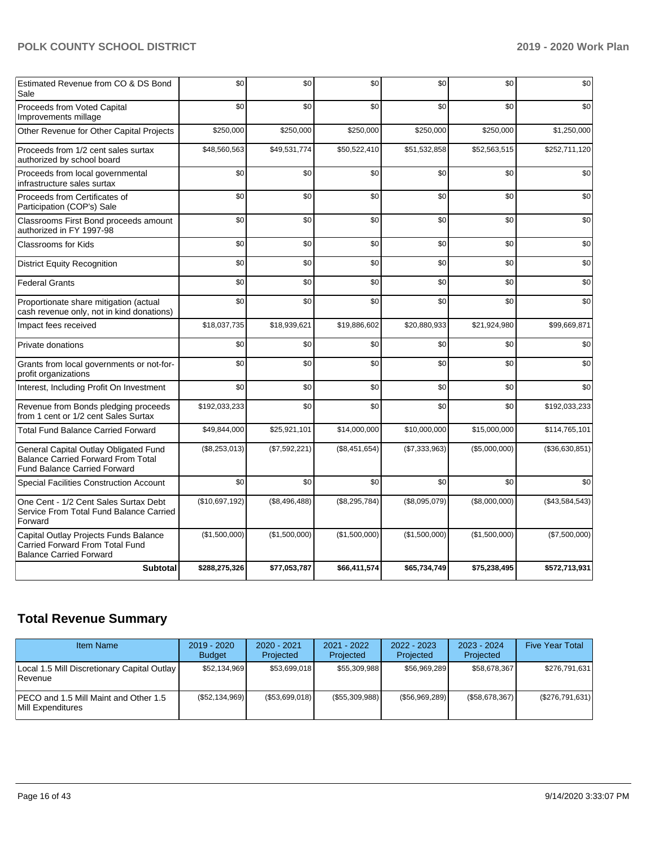| Estimated Revenue from CO & DS Bond<br>Sale                                                                               | \$0            | \$0           | \$0           | \$0           | \$0           | \$0            |
|---------------------------------------------------------------------------------------------------------------------------|----------------|---------------|---------------|---------------|---------------|----------------|
| Proceeds from Voted Capital<br>Improvements millage                                                                       | \$0            | \$0           | \$0           | \$0           | \$0           | \$0            |
| Other Revenue for Other Capital Projects                                                                                  | \$250,000      | \$250,000     | \$250,000     | \$250,000     | \$250,000     | \$1,250,000    |
| Proceeds from 1/2 cent sales surtax<br>authorized by school board                                                         | \$48,560,563   | \$49,531,774  | \$50,522,410  | \$51,532,858  | \$52,563,515  | \$252,711,120  |
| Proceeds from local governmental<br>infrastructure sales surtax                                                           | \$0            | \$0           | \$0           | \$0           | \$0           | \$0            |
| Proceeds from Certificates of<br>Participation (COP's) Sale                                                               | \$0            | \$0           | \$0           | \$0           | \$0           | \$0            |
| Classrooms First Bond proceeds amount<br>authorized in FY 1997-98                                                         | \$0            | \$0           | \$0           | \$0           | \$0           | \$0            |
| Classrooms for Kids                                                                                                       | \$0            | \$0           | \$0           | \$0           | \$0           | \$0            |
| <b>District Equity Recognition</b>                                                                                        | \$0            | \$0           | \$0           | \$0           | \$0           | \$0            |
| <b>Federal Grants</b>                                                                                                     | \$0            | \$0           | \$0           | \$0           | \$0           | \$0            |
| Proportionate share mitigation (actual<br>cash revenue only, not in kind donations)                                       | \$0            | \$0           | \$0           | \$0           | \$0           | \$0            |
| Impact fees received                                                                                                      | \$18,037,735   | \$18,939,621  | \$19,886,602  | \$20,880,933  | \$21,924,980  | \$99.669.871   |
| Private donations                                                                                                         | \$0            | \$0           | \$0           | \$0           | \$0           | \$0            |
| Grants from local governments or not-for-<br>profit organizations                                                         | \$0            | \$0           | \$0           | \$0           | \$0           | \$0            |
| Interest, Including Profit On Investment                                                                                  | \$0            | \$0           | \$0           | \$0           | \$0           | \$0            |
| Revenue from Bonds pledging proceeds<br>from 1 cent or 1/2 cent Sales Surtax                                              | \$192,033,233  | \$0           | \$0           | \$0           | \$0           | \$192,033,233  |
| <b>Total Fund Balance Carried Forward</b>                                                                                 | \$49,844,000   | \$25,921,101  | \$14,000,000  | \$10,000,000  | \$15,000,000  | \$114,765,101  |
| General Capital Outlay Obligated Fund<br><b>Balance Carried Forward From Total</b><br><b>Fund Balance Carried Forward</b> | (\$8,253,013)  | (\$7,592,221) | (\$8,451,654) | (\$7,333,963) | (\$5,000,000) | (\$36,630,851) |
| Special Facilities Construction Account                                                                                   | \$0            | \$0           | \$0           | \$0           | \$0           | \$0            |
| One Cent - 1/2 Cent Sales Surtax Debt<br>Service From Total Fund Balance Carried<br>Forward                               | (\$10,697,192) | (\$8,496,488) | (\$8,295,784) | (\$8,095,079) | (\$8,000,000) | (\$43,584,543) |
| Capital Outlay Projects Funds Balance<br>Carried Forward From Total Fund<br><b>Balance Carried Forward</b>                | (\$1,500,000)  | (\$1,500,000) | (\$1,500,000) | (\$1,500,000) | (\$1,500,000) | (\$7,500,000)  |
| <b>Subtotal</b>                                                                                                           | \$288,275,326  | \$77,053,787  | \$66,411,574  | \$65,734,749  | \$75,238,495  | \$572,713,931  |

# **Total Revenue Summary**

| <b>Item Name</b>                                              | 2019 - 2020<br><b>Budget</b> | $2020 - 2021$<br>Projected | 2021 - 2022<br>Projected | $2022 - 2023$<br>Projected | $2023 - 2024$<br>Projected | <b>Five Year Total</b> |
|---------------------------------------------------------------|------------------------------|----------------------------|--------------------------|----------------------------|----------------------------|------------------------|
| Local 1.5 Mill Discretionary Capital Outlay<br><b>Revenue</b> | \$52.134.969                 | \$53,699,018               | \$55,309,988             | \$56.969.289               | \$58,678,367               | \$276,791,631          |
| IPECO and 1.5 Mill Maint and Other 1.5<br>Mill Expenditures   | (\$52,134,969)               | (\$53,699,018)             | (\$55,309,988)           | (S56, 969, 289)            | (S58, 678, 367)            | (\$276,791,631)        |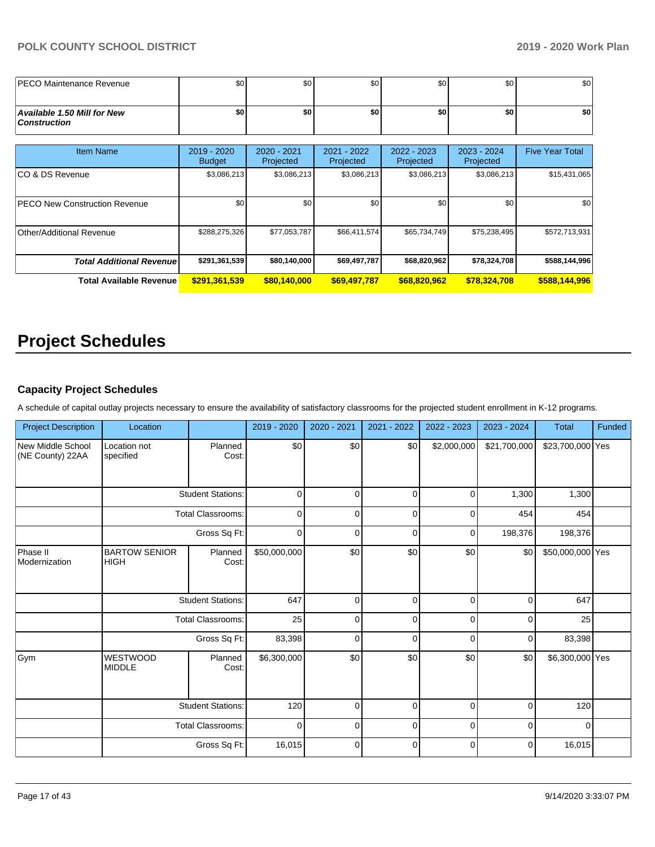| IPECO Maintenance Revenue                                 | \$0                          | \$0 <sub>1</sub>         | \$0                      | \$0                      | \$0                      | \$0                    |
|-----------------------------------------------------------|------------------------------|--------------------------|--------------------------|--------------------------|--------------------------|------------------------|
| <b>Available 1.50 Mill for New</b><br><b>Construction</b> | \$0                          | \$O                      | \$0                      | \$0                      | \$0                      | \$0                    |
| <b>Item Name</b>                                          | 2019 - 2020<br><b>Budget</b> | 2020 - 2021<br>Projected | 2021 - 2022<br>Projected | 2022 - 2023<br>Projected | 2023 - 2024<br>Projected | <b>Five Year Total</b> |
| ICO & DS Revenue                                          | \$3,086,213                  | \$3,086,213              | \$3,086,213              | \$3,086,213              | \$3,086,213              | \$15,431,065           |
| <b>PECO New Construction Revenue</b>                      | \$0                          | \$0                      | \$0                      | \$0                      | \$0                      | \$0                    |
| Other/Additional Revenue                                  | \$288,275,326                | \$77,053,787             | \$66,411,574             | \$65,734,749             | \$75,238,495             | \$572,713,931          |
| <b>Total Additional Revenuel</b>                          | \$291,361,539                | \$80,140,000             | \$69,497,787             | \$68,820,962             | \$78,324,708             | \$588,144,996          |
| <b>Total Available Revenue</b>                            | \$291,361,539                | \$80,140,000             | \$69,497,787             | \$68,820,962             | \$78,324,708             | \$588,144,996          |

# **Project Schedules**

### **Capacity Project Schedules**

A schedule of capital outlay projects necessary to ensure the availability of satisfactory classrooms for the projected student enrollment in K-12 programs.

| <b>Project Description</b>                   | Location                            |                          | 2019 - 2020  | 2020 - 2021 | 2021 - 2022 | 2022 - 2023 | 2023 - 2024  | <b>Total</b>     | Funded |
|----------------------------------------------|-------------------------------------|--------------------------|--------------|-------------|-------------|-------------|--------------|------------------|--------|
| <b>New Middle School</b><br>(NE County) 22AA | Location not<br>specified           | Planned<br>Cost:         | \$0          | \$0         | \$0         | \$2,000,000 | \$21,700,000 | \$23,700,000 Yes |        |
|                                              |                                     | <b>Student Stations:</b> | $\mathbf 0$  | $\Omega$    | $\mathbf 0$ | 0           | 1,300        | 1,300            |        |
|                                              | <b>Total Classrooms:</b>            |                          | $\mathbf 0$  | $\Omega$    | $\mathbf 0$ | 0           | 454          | 454              |        |
|                                              |                                     | Gross Sq Ft:             | $\mathbf 0$  | $\Omega$    | $\mathbf 0$ | 0           | 198,376      | 198,376          |        |
| Phase II<br>Modernization                    | <b>BARTOW SENIOR</b><br><b>HIGH</b> | Planned<br>Cost:         | \$50,000,000 | \$0         | \$0         | \$0         | \$0          | \$50,000,000 Yes |        |
|                                              |                                     | <b>Student Stations:</b> | 647          | 0           | $\mathbf 0$ | $\mathbf 0$ | 0            | 647              |        |
|                                              | <b>Total Classrooms:</b>            |                          | 25           | $\Omega$    | $\mathbf 0$ | 0           | $\mathbf 0$  | 25               |        |
|                                              |                                     | Gross Sq Ft:             | 83,398       | $\Omega$    | $\Omega$    | $\Omega$    | 0            | 83,398           |        |
| Gym                                          | WESTWOOD<br><b>MIDDLE</b>           | Planned<br>Cost:         | \$6,300,000  | \$0         | \$0         | \$0         | \$0          | \$6,300,000 Yes  |        |
|                                              |                                     | <b>Student Stations:</b> | 120          | $\Omega$    | $\mathbf 0$ | 0           | 0            | 120              |        |
|                                              | <b>Total Classrooms:</b>            |                          | $\mathbf 0$  | 0           | $\mathbf 0$ | 0           | 0            | $\mathbf 0$      |        |
|                                              |                                     | Gross Sq Ft:             | 16,015       | $\mathbf 0$ | $\mathbf 0$ | 0           | $\mathbf 0$  | 16,015           |        |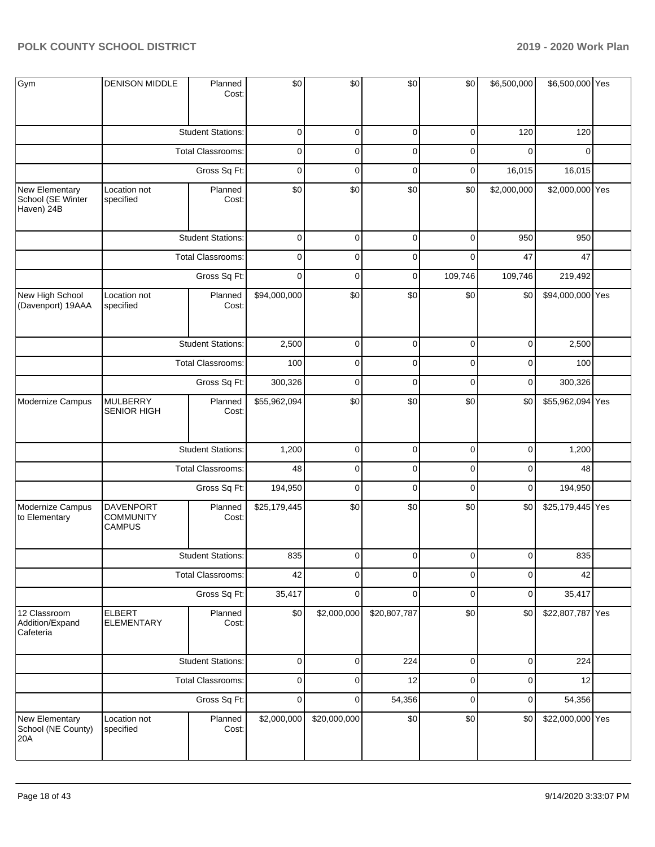| Gym                                               | <b>DENISON MIDDLE</b>                                 | Planned<br>Cost:         | \$0          | \$0          | \$0          | \$0         | \$6,500,000 | \$6,500,000 Yes  |  |
|---------------------------------------------------|-------------------------------------------------------|--------------------------|--------------|--------------|--------------|-------------|-------------|------------------|--|
|                                                   |                                                       | <b>Student Stations:</b> | $\mathbf 0$  | 0            | $\pmb{0}$    | 0           | 120         | 120              |  |
|                                                   |                                                       | Total Classrooms:        | $\mathbf 0$  | 0            | $\pmb{0}$    | $\mathbf 0$ | $\mathbf 0$ | $\Omega$         |  |
|                                                   |                                                       | Gross Sq Ft:             | $\mathbf 0$  | $\pmb{0}$    | $\pmb{0}$    | 0           | 16,015      | 16,015           |  |
| New Elementary<br>School (SE Winter<br>Haven) 24B | Location not<br>specified                             | Planned<br>Cost:         | \$0          | \$0          | \$0          | \$0         | \$2,000,000 | \$2,000,000 Yes  |  |
|                                                   |                                                       | <b>Student Stations:</b> | $\mathbf 0$  | $\mathbf 0$  | $\pmb{0}$    | $\mathbf 0$ | 950         | 950              |  |
|                                                   |                                                       | Total Classrooms:        | $\mathbf 0$  | $\mathbf 0$  | $\pmb{0}$    | $\mathbf 0$ | 47          | 47               |  |
|                                                   |                                                       | Gross Sq Ft:             | $\mathbf 0$  | $\mathbf 0$  | $\pmb{0}$    | 109,746     | 109,746     | 219,492          |  |
| New High School<br>(Davenport) 19AAA              | Location not<br>specified                             | Planned<br>Cost:         | \$94,000,000 | \$0          | \$0          | \$0         | \$0         | \$94,000,000 Yes |  |
|                                                   |                                                       | <b>Student Stations:</b> | 2,500        | 0            | $\pmb{0}$    | 0           | $\mathbf 0$ | 2,500            |  |
|                                                   |                                                       | Total Classrooms:        | 100          | $\pmb{0}$    | $\pmb{0}$    | $\pmb{0}$   | $\mathbf 0$ | 100              |  |
|                                                   |                                                       | Gross Sq Ft:             | 300,326      | $\mathbf 0$  | $\pmb{0}$    | $\pmb{0}$   | $\mathbf 0$ | 300,326          |  |
| Modernize Campus                                  | <b>MULBERRY</b><br><b>SENIOR HIGH</b>                 | Planned<br>Cost:         | \$55,962,094 | \$0          | \$0          | \$0         | \$0         | \$55,962,094 Yes |  |
|                                                   |                                                       | <b>Student Stations:</b> | 1,200        | $\pmb{0}$    | $\pmb{0}$    | $\pmb{0}$   | $\mathbf 0$ | 1,200            |  |
|                                                   |                                                       | Total Classrooms:        | 48           | $\mathbf 0$  | $\pmb{0}$    | $\mathbf 0$ | $\mathbf 0$ | 48               |  |
|                                                   |                                                       | Gross Sq Ft:             | 194,950      | $\pmb{0}$    | $\pmb{0}$    | $\pmb{0}$   | $\mathbf 0$ | 194,950          |  |
| Modernize Campus<br>to Elementary                 | <b>DAVENPORT</b><br><b>COMMUNITY</b><br><b>CAMPUS</b> | Planned<br>Cost:         | \$25,179,445 | \$0          | \$0          | \$0         | \$0         | \$25,179,445 Yes |  |
|                                                   |                                                       | <b>Student Stations:</b> | 835          | $\Omega$     | $\Omega$     | $\Omega$    | $\Omega$    | 835              |  |
|                                                   |                                                       | <b>Total Classrooms:</b> | 42           | 0            | $\pmb{0}$    | $\pmb{0}$   | $\mathbf 0$ | 42               |  |
|                                                   |                                                       | Gross Sq Ft:             | 35,417       | $\mathbf 0$  | $\mathbf 0$  | $\pmb{0}$   | $\mathbf 0$ | 35,417           |  |
| 12 Classroom<br>Addition/Expand<br>Cafeteria      | <b>ELBERT</b><br><b>ELEMENTARY</b>                    | Planned<br>Cost:         | \$0          | \$2,000,000  | \$20,807,787 | \$0         | \$0         | \$22,807,787 Yes |  |
|                                                   |                                                       | <b>Student Stations:</b> | $\pmb{0}$    | $\pmb{0}$    | 224          | $\pmb{0}$   | $\mathbf 0$ | 224              |  |
|                                                   |                                                       | <b>Total Classrooms:</b> | $\pmb{0}$    | $\mathbf 0$  | 12           | $\pmb{0}$   | $\mathbf 0$ | 12               |  |
|                                                   |                                                       | Gross Sq Ft:             | $\pmb{0}$    | $\pmb{0}$    | 54,356       | $\pmb{0}$   | $\mathbf 0$ | 54,356           |  |
| New Elementary<br>School (NE County)<br>20A       | Location not<br>specified                             | Planned<br>Cost:         | \$2,000,000  | \$20,000,000 | \$0          | \$0         | \$0         | \$22,000,000 Yes |  |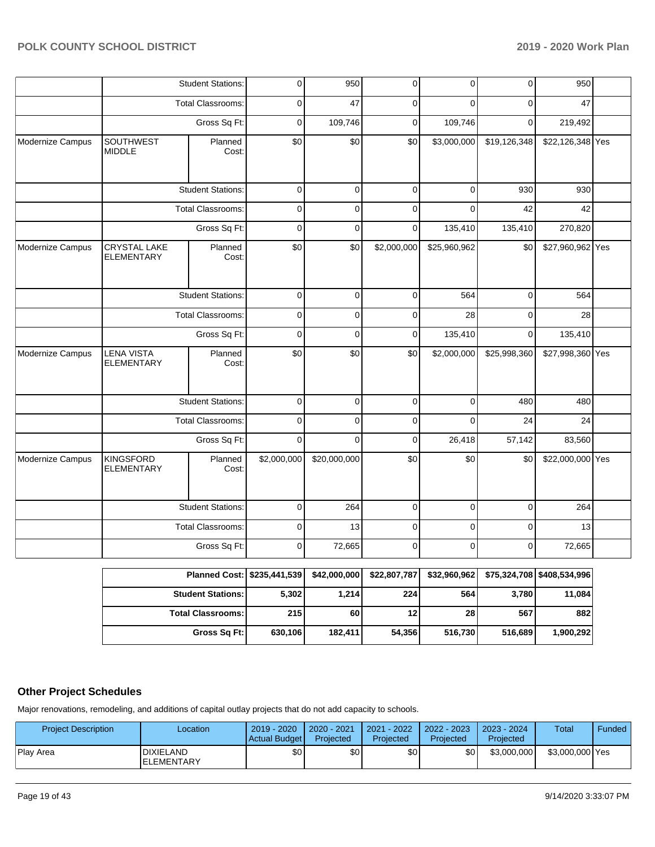|                  |                                          | <b>Student Stations:</b>                                                                      | 0              | 950                                                                                                                                                                                                     | 0           | 0            | 0                                                         | 950              |  |
|------------------|------------------------------------------|-----------------------------------------------------------------------------------------------|----------------|---------------------------------------------------------------------------------------------------------------------------------------------------------------------------------------------------------|-------------|--------------|-----------------------------------------------------------|------------------|--|
|                  |                                          | <b>Total Classrooms:</b>                                                                      | $\mathbf 0$    | 47                                                                                                                                                                                                      | 0           | $\Omega$     | $\Omega$                                                  | 47               |  |
|                  |                                          | Gross Sq Ft:                                                                                  | $\mathbf 0$    | 109,746                                                                                                                                                                                                 | 0           | 109,746      | $\mathbf 0$                                               | 219,492          |  |
| Modernize Campus | SOUTHWEST<br><b>MIDDLE</b>               | Planned<br>Cost:                                                                              | \$0            | \$0                                                                                                                                                                                                     | \$0         | \$3,000,000  | \$19,126,348                                              | \$22,126,348 Yes |  |
|                  |                                          | <b>Student Stations:</b>                                                                      | $\mathbf 0$    | $\mathbf 0$                                                                                                                                                                                             | $\mathbf 0$ | $\mathbf 0$  | 930                                                       | 930              |  |
|                  |                                          | Total Classrooms:                                                                             | $\mathbf 0$    | $\Omega$                                                                                                                                                                                                | $\Omega$    | $\Omega$     | 42                                                        | 42               |  |
|                  |                                          | Gross Sq Ft:                                                                                  | $\overline{0}$ | $\overline{0}$                                                                                                                                                                                          | $\mathbf 0$ | 135,410      | 135,410                                                   | 270,820          |  |
| Modernize Campus | <b>CRYSTAL LAKE</b><br><b>ELEMENTARY</b> | Planned<br>Cost:                                                                              | \$0            | \$0                                                                                                                                                                                                     | \$2,000,000 | \$25,960,962 |                                                           | \$27,960,962 Yes |  |
|                  |                                          | <b>Student Stations:</b>                                                                      | $\mathbf 0$    | $\mathbf 0$                                                                                                                                                                                             | $\mathbf 0$ | 564          |                                                           | 564              |  |
|                  |                                          | <b>Total Classrooms:</b>                                                                      | $\mathbf 0$    | $\overline{0}$                                                                                                                                                                                          | $\mathbf 0$ | 28           | $\mathbf 0$<br>$\mathbf 0$<br>$\mathbf 0$<br>\$25,998,360 | 28               |  |
|                  |                                          | Gross Sq Ft:                                                                                  | $\mathbf 0$    | $\Omega$                                                                                                                                                                                                | $\mathbf 0$ | 135,410      |                                                           | 135,410          |  |
| Modernize Campus | <b>LENA VISTA</b><br><b>ELEMENTARY</b>   | Planned<br>Cost:                                                                              | \$0            | \$0                                                                                                                                                                                                     | \$0         | \$2,000,000  |                                                           | \$27,998,360 Yes |  |
|                  |                                          | <b>Student Stations:</b>                                                                      | $\mathbf 0$    | \$0<br>$\overline{0}$<br>$\overline{0}$<br>$\Omega$<br>480<br>$\overline{0}$<br>$\overline{0}$<br>24<br>$\Omega$<br>26,418<br>57,142<br>$\mathbf 0$<br>$\mathbf 0$<br>\$20,000,000<br>\$0<br>\$0<br>\$0 | 480         |              |                                                           |                  |  |
|                  |                                          | Total Classrooms:                                                                             | $\mathbf 0$    |                                                                                                                                                                                                         |             |              |                                                           | 24               |  |
|                  |                                          | Gross Sq Ft:                                                                                  | $\mathbf 0$    |                                                                                                                                                                                                         |             |              |                                                           | 83,560           |  |
| Modernize Campus | <b>KINGSFORD</b><br><b>ELEMENTARY</b>    | Planned<br>Cost:                                                                              | \$2,000,000    |                                                                                                                                                                                                         |             |              |                                                           | \$22,000,000 Yes |  |
|                  |                                          | <b>Student Stations:</b>                                                                      | $\mathbf 0$    | 264                                                                                                                                                                                                     | $\mathbf 0$ | $\mathbf 0$  | $\mathbf 0$                                               | 264              |  |
|                  |                                          | Total Classrooms:                                                                             | $\mathbf 0$    | 13                                                                                                                                                                                                      | $\mathbf 0$ | $\Omega$     | $\Omega$                                                  | 13               |  |
|                  |                                          | Gross Sq Ft:                                                                                  | 0              | 72,665                                                                                                                                                                                                  | $\mathbf 0$ | $\mathbf 0$  | $\mathbf 0$                                               | 72,665           |  |
|                  |                                          | Planned Cost: \$235 441 539 \$42 000 000 \$22 807 787 \$32 960 962 \$75 324 708 \$408 534 996 |                |                                                                                                                                                                                                         |             |              |                                                           |                  |  |

| Planned Cost:   \$235,441,539 |         | \$42,000,000 | \$22,807,787    | \$32,960,962 |         | \$75,324,708   \$408,534,996 |
|-------------------------------|---------|--------------|-----------------|--------------|---------|------------------------------|
| <b>Student Stations:</b>      | 5,302   | 1,214        | 224             | 564          | 3.780   | 11,084                       |
| <b>Total Classrooms: I</b>    | 215     | 60           | 12 <sub>1</sub> | 28           | 567     | 882                          |
| Gross Sq Ft:                  | 630,106 | 182.411      | 54,356          | 516,730      | 516,689 | 1,900,292                    |

### **Other Project Schedules**

Major renovations, remodeling, and additions of capital outlay projects that do not add capacity to schools.

| <b>Project Description</b> | _ocation                              | 2019 - 2020<br>Actual Budget | 2020 - 2021<br>Projected | 2021 - 2022<br>Projected | 2022 - 2023<br>Projected | $2023 - 2024$<br>Projected | Total           | Funded |
|----------------------------|---------------------------------------|------------------------------|--------------------------|--------------------------|--------------------------|----------------------------|-----------------|--------|
| <b>Play Area</b>           | <b>DIXIELAND</b><br><b>ELEMENTARY</b> | \$0                          | \$0 I                    | \$0                      | \$٥Ι                     | \$3,000,000                | \$3,000,000 Yes |        |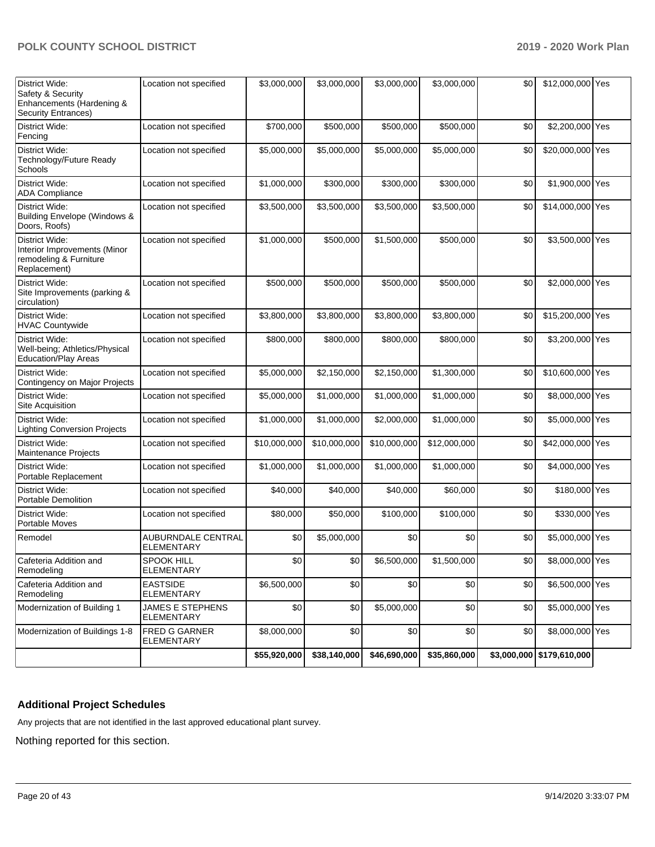| District Wide:<br>Safety & Security<br>Enhancements (Hardening &<br><b>Security Entrances)</b> | Location not specified                       | \$3,000,000  | \$3,000,000  | \$3,000,000  | \$3,000,000  | \$0 | \$12,000,000 Yes          |  |
|------------------------------------------------------------------------------------------------|----------------------------------------------|--------------|--------------|--------------|--------------|-----|---------------------------|--|
| District Wide:<br>Fencing                                                                      | Location not specified                       | \$700,000    | \$500,000    | \$500,000    | \$500,000    | \$0 | \$2,200,000 Yes           |  |
| District Wide:<br>Technology/Future Ready<br>Schools                                           | Location not specified                       | \$5,000,000  | \$5,000,000  | \$5,000,000  | \$5,000,000  | \$0 | \$20,000,000 Yes          |  |
| District Wide:<br><b>ADA Compliance</b>                                                        | Location not specified                       | \$1,000,000  | \$300,000    | \$300,000    | \$300,000    | \$0 | \$1,900,000 Yes           |  |
| District Wide:<br><b>Building Envelope (Windows &amp;</b><br>Doors, Roofs)                     | Location not specified                       | \$3,500,000  | \$3,500,000  | \$3,500,000  | \$3,500,000  | \$0 | \$14,000,000 Yes          |  |
| District Wide:<br>Interior Improvements (Minor<br>remodeling & Furniture<br>Replacement)       | Location not specified                       | \$1,000,000  | \$500,000    | \$1,500,000  | \$500,000    | \$0 | \$3,500,000 Yes           |  |
| District Wide:<br>Site Improvements (parking &<br>circulation)                                 | Location not specified                       | \$500,000    | \$500,000    | \$500,000    | \$500,000    | \$0 | \$2,000,000 Yes           |  |
| District Wide:<br><b>HVAC Countywide</b>                                                       | Location not specified                       | \$3,800,000  | \$3,800,000  | \$3,800,000  | \$3,800,000  | \$0 | \$15,200,000 Yes          |  |
| District Wide:<br>Well-being; Athletics/Physical<br>Education/Play Areas                       | Location not specified                       | \$800,000    | \$800,000    | \$800,000    | \$800,000    | \$0 | \$3,200,000 Yes           |  |
| District Wide:<br>Contingency on Major Projects                                                | Location not specified                       | \$5,000,000  | \$2,150,000  | \$2,150,000  | \$1,300,000  | \$0 | \$10,600,000 Yes          |  |
| District Wide:<br>Site Acquisition                                                             | Location not specified                       | \$5,000,000  | \$1,000,000  | \$1,000,000  | \$1,000,000  | \$0 | \$8,000,000 Yes           |  |
| District Wide:<br><b>Lighting Conversion Projects</b>                                          | Location not specified                       | \$1,000,000  | \$1,000,000  | \$2,000,000  | \$1,000,000  | \$0 | \$5,000,000 Yes           |  |
| District Wide:<br><b>Maintenance Projects</b>                                                  | Location not specified                       | \$10,000,000 | \$10,000,000 | \$10,000,000 | \$12,000,000 | \$0 | \$42,000,000 Yes          |  |
| District Wide:<br>Portable Replacement                                                         | Location not specified                       | \$1,000,000  | \$1,000,000  | \$1,000,000  | \$1,000,000  | \$0 | \$4,000,000 Yes           |  |
| District Wide:<br><b>Portable Demolition</b>                                                   | Location not specified                       | \$40,000     | \$40,000     | \$40,000     | \$60,000     | \$0 | \$180,000 Yes             |  |
| <b>District Wide:</b><br>Portable Moves                                                        | Location not specified                       | \$80,000     | \$50,000     | \$100,000    | \$100,000    | \$0 | \$330,000 Yes             |  |
| Remodel                                                                                        | AUBURNDALE CENTRAL<br>ELEMENTARY             | \$0          | \$5,000,000  | \$0          | \$0          | \$0 | \$5,000,000 Yes           |  |
| Cafeteria Addition and<br>Remodeling                                                           | <b>SPOOK HILL</b><br><b>ELEMENTARY</b>       | \$0          | \$0          | \$6,500,000  | \$1,500,000  | \$0 | \$8,000,000 Yes           |  |
| Cafeteria Addition and<br>Remodeling                                                           | <b>EASTSIDE</b><br><b>ELEMENTARY</b>         | \$6,500,000  | \$0          | \$0          | \$0          | \$0 | \$6,500,000 Yes           |  |
| Modernization of Building 1                                                                    | <b>JAMES E STEPHENS</b><br><b>ELEMENTARY</b> | \$0          | \$0          | \$5,000,000  | \$0          | \$0 | \$5,000,000 Yes           |  |
| Modernization of Buildings 1-8                                                                 | <b>FRED G GARNER</b><br>ELEMENTARY           | \$8,000,000  | \$0          | \$0          | \$0          | \$0 | \$8,000,000 Yes           |  |
|                                                                                                |                                              | \$55,920,000 | \$38,140,000 | \$46,690,000 | \$35,860,000 |     | \$3,000,000 \$179,610,000 |  |

### **Additional Project Schedules**

Any projects that are not identified in the last approved educational plant survey.

Nothing reported for this section.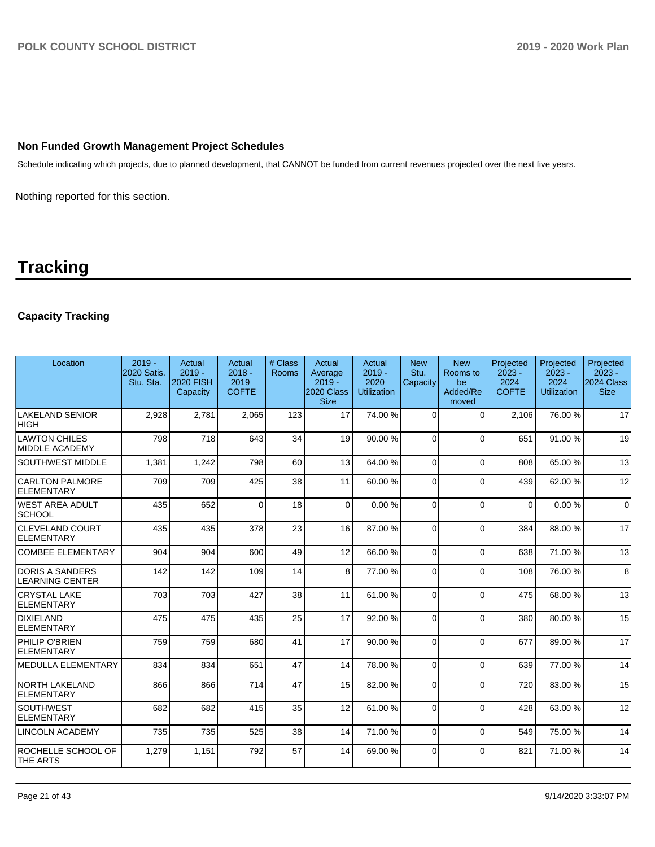### **Non Funded Growth Management Project Schedules**

Schedule indicating which projects, due to planned development, that CANNOT be funded from current revenues projected over the next five years.

Nothing reported for this section.

# **Tracking**

### **Capacity Tracking**

| Location                                         | $2019 -$<br>2020 Satis.<br>Stu. Sta. | Actual<br>$2019 -$<br><b>2020 FISH</b><br>Capacity | Actual<br>$2018 -$<br>2019<br><b>COFTE</b> | # Class<br>Rooms | Actual<br>Average<br>$2019 -$<br>2020 Class<br><b>Size</b> | Actual<br>$2019 -$<br>2020<br><b>Utilization</b> | <b>New</b><br>Stu.<br>Capacity | <b>New</b><br>Rooms to<br>be<br>Added/Re<br>moved | Projected<br>$2023 -$<br>2024<br><b>COFTE</b> | Projected<br>$2023 -$<br>2024<br><b>Utilization</b> | Projected<br>$2023 -$<br>2024 Class<br><b>Size</b> |
|--------------------------------------------------|--------------------------------------|----------------------------------------------------|--------------------------------------------|------------------|------------------------------------------------------------|--------------------------------------------------|--------------------------------|---------------------------------------------------|-----------------------------------------------|-----------------------------------------------------|----------------------------------------------------|
| <b>LAKELAND SENIOR</b><br><b>HIGH</b>            | 2,928                                | 2,781                                              | 2,065                                      | 123              | 17                                                         | 74.00 %                                          | $\Omega$                       | $\Omega$                                          | 2,106                                         | 76.00 %                                             | 17                                                 |
| <b>LAWTON CHILES</b><br><b>IMIDDLE ACADEMY</b>   | 798                                  | 718                                                | 643                                        | 34               | 19                                                         | 90.00%                                           | $\Omega$                       | $\Omega$                                          | 651                                           | 91.00%                                              | 19                                                 |
| <b>SOUTHWEST MIDDLE</b>                          | 1,381                                | 1,242                                              | 798                                        | 60               | 13 <sup>1</sup>                                            | 64.00%                                           | $\Omega$                       | $\Omega$                                          | 808                                           | 65.00 %                                             | 13                                                 |
| <b>CARLTON PALMORE</b><br>ELEMENTARY             | 709                                  | 709                                                | 425                                        | 38               | 11                                                         | 60.00 %                                          | $\Omega$                       | $\Omega$                                          | 439                                           | 62.00 %                                             | 12                                                 |
| WEST AREA ADULT<br><b>SCHOOL</b>                 | 435                                  | 652                                                | $\Omega$                                   | 18               | $\Omega$                                                   | 0.00%                                            | $\Omega$                       | $\Omega$                                          | $\Omega$                                      | 0.00%                                               | $\overline{0}$                                     |
| <b>CLEVELAND COURT</b><br>ELEMENTARY             | 435                                  | 435                                                | 378                                        | 23               | 16 <sup>1</sup>                                            | 87.00 %                                          | $\Omega$                       | $\Omega$                                          | 384                                           | 88.00 %                                             | 17                                                 |
| <b>COMBEE ELEMENTARY</b>                         | 904                                  | 904                                                | 600                                        | 49               | 12 <sup>1</sup>                                            | 66.00 %                                          | $\Omega$                       | $\Omega$                                          | 638                                           | 71.00 %                                             | 13                                                 |
| <b>DORIS A SANDERS</b><br><b>LEARNING CENTER</b> | 142                                  | 142                                                | 109                                        | 14               | 8                                                          | 77.00 %                                          | $\Omega$                       | $\Omega$                                          | 108                                           | 76.00 %                                             | 8                                                  |
| <b>CRYSTAL LAKE</b><br>ELEMENTARY                | 703                                  | 703                                                | 427                                        | 38               | 11                                                         | 61.00%                                           | $\Omega$                       | $\Omega$                                          | 475                                           | 68.00 %                                             | 13                                                 |
| DIXIELAND<br>ELEMENTARY                          | 475                                  | 475                                                | 435                                        | 25               | 17                                                         | 92.00 %                                          | $\Omega$                       | $\Omega$                                          | 380                                           | 80.00%                                              | 15                                                 |
| PHILIP O'BRIEN<br>ELEMENTARY                     | 759                                  | 759                                                | 680                                        | 41               | 17                                                         | 90.00%                                           | $\Omega$                       | $\Omega$                                          | 677                                           | 89.00 %                                             | 17                                                 |
| MEDULLA ELEMENTARY                               | 834                                  | 834                                                | 651                                        | 47               | 14                                                         | 78.00 %                                          | $\Omega$                       | $\Omega$                                          | 639                                           | 77.00 %                                             | 14                                                 |
| NORTH LAKELAND<br>ELEMENTARY                     | 866                                  | 866                                                | 714                                        | 47               | 15                                                         | 82.00 %                                          | $\Omega$                       | $\Omega$                                          | 720                                           | 83.00 %                                             | 15                                                 |
| <b>SOUTHWEST</b><br><b>ELEMENTARY</b>            | 682                                  | 682                                                | 415                                        | 35               | 12                                                         | 61.00%                                           | $\Omega$                       | $\Omega$                                          | 428                                           | 63.00 %                                             | 12                                                 |
| LINCOLN ACADEMY                                  | 735                                  | 735                                                | 525                                        | 38               | 14                                                         | 71.00 %                                          | $\Omega$                       | 0                                                 | 549                                           | 75.00 %                                             | 14                                                 |
| ROCHELLE SCHOOL OF<br><b>THE ARTS</b>            | 1,279                                | 1,151                                              | 792                                        | 57               | 14                                                         | 69.00 %                                          | 0                              | $\Omega$                                          | 821                                           | 71.00 %                                             | 14                                                 |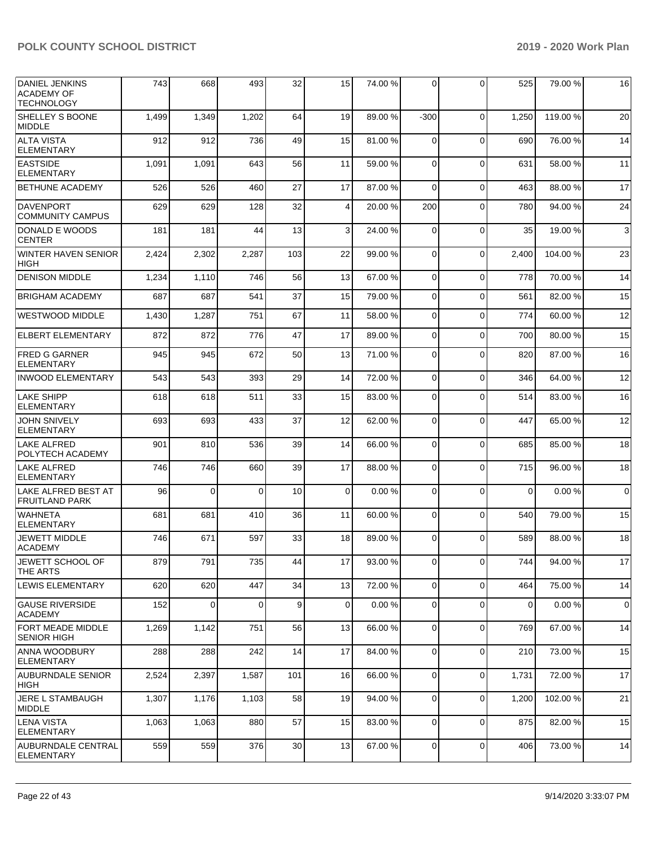| <b>DANIEL JENKINS</b><br><b>ACADEMY OF</b><br><b>TECHNOLOGY</b> | 743   | 668      | 493      | 32  | 15              | 74.00 % | $\Omega$       | $\Omega$       | 525      | 79.00 % | 16             |
|-----------------------------------------------------------------|-------|----------|----------|-----|-----------------|---------|----------------|----------------|----------|---------|----------------|
| <b>SHELLEY S BOONE</b><br><b>MIDDLE</b>                         | 1,499 | 1,349    | 1,202    | 64  | 19              | 89.00 % | -300           | $\Omega$       | 1,250    | 119.00% | 20             |
| <b>ALTA VISTA</b><br><b>ELEMENTARY</b>                          | 912   | 912      | 736      | 49  | 15              | 81.00%  | $\Omega$       | $\Omega$       | 690      | 76.00 % | 14             |
| <b>EASTSIDE</b><br><b>ELEMENTARY</b>                            | 1,091 | 1,091    | 643      | 56  | 11              | 59.00 % | $\Omega$       | $\Omega$       | 631      | 58.00 % | 11             |
| <b>BETHUNE ACADEMY</b>                                          | 526   | 526      | 460      | 27  | 17              | 87.00 % | $\Omega$       | $\Omega$       | 463      | 88.00 % | 17             |
| <b>DAVENPORT</b><br><b>COMMUNITY CAMPUS</b>                     | 629   | 629      | 128      | 32  | 4               | 20.00 % | 200            | $\Omega$       | 780      | 94.00 % | 24             |
| DONALD E WOODS<br><b>CENTER</b>                                 | 181   | 181      | 44       | 13  | 3               | 24.00 % | $\Omega$       | $\Omega$       | 35       | 19.00 % | $\mathbf{3}$   |
| <b>WINTER HAVEN SENIOR</b><br><b>HIGH</b>                       | 2,424 | 2,302    | 2,287    | 103 | 22              | 99.00 % | $\Omega$       | $\Omega$       | 2,400    | 104.00% | 23             |
| <b>DENISON MIDDLE</b>                                           | 1,234 | 1,110    | 746      | 56  | 13              | 67.00 % | $\mathbf 0$    | $\Omega$       | 778      | 70.00%  | 14             |
| <b>BRIGHAM ACADEMY</b>                                          | 687   | 687      | 541      | 37  | 15              | 79.00 % | $\mathbf 0$    | $\Omega$       | 561      | 82.00 % | 15             |
| <b>WESTWOOD MIDDLE</b>                                          | 1,430 | 1,287    | 751      | 67  | 11              | 58.00 % | $\mathbf 0$    | $\Omega$       | 774      | 60.00%  | 12             |
| <b>ELBERT ELEMENTARY</b>                                        | 872   | 872      | 776      | 47  | 17              | 89.00 % | $\mathbf 0$    | $\Omega$       | 700      | 80.00 % | 15             |
| <b>FRED G GARNER</b><br><b>ELEMENTARY</b>                       | 945   | 945      | 672      | 50  | 13              | 71.00 % | $\Omega$       | $\Omega$       | 820      | 87.00 % | 16             |
| INWOOD ELEMENTARY                                               | 543   | 543      | 393      | 29  | 14              | 72.00 % | $\Omega$       | $\mathbf 0$    | 346      | 64.00%  | 12             |
| <b>LAKE SHIPP</b><br><b>ELEMENTARY</b>                          | 618   | 618      | 511      | 33  | 15              | 83.00 % | $\Omega$       | $\Omega$       | 514      | 83.00 % | 16             |
| <b>JOHN SNIVELY</b><br><b>ELEMENTARY</b>                        | 693   | 693      | 433      | 37  | 12              | 62.00%  | $\Omega$       | $\Omega$       | 447      | 65.00 % | 12             |
| <b>LAKE ALFRED</b><br>POLYTECH ACADEMY                          | 901   | 810      | 536      | 39  | 14              | 66.00 % | $\Omega$       | $\Omega$       | 685      | 85.00 % | 18             |
| <b>LAKE ALFRED</b><br>ELEMENTARY                                | 746   | 746      | 660      | 39  | 17              | 88.00 % | $\Omega$       | $\Omega$       | 715      | 96.00 % | 18             |
| LAKE ALFRED BEST AT<br><b>FRUITLAND PARK</b>                    | 96    | $\Omega$ | $\Omega$ | 10  | $\Omega$        | 0.00%   | $\Omega$       | $\Omega$       | $\Omega$ | 0.00%   | $\overline{0}$ |
| <b>WAHNETA</b><br><b>ELEMENTARY</b>                             | 681   | 681      | 410      | 36  | 11              | 60.00%  | $\Omega$       | $\Omega$       | 540      | 79.00 % | 15             |
| <b>JEWETT MIDDLE</b><br> ACADEMY                                | 746   | 671      | 597      | 33  | 18              | 89.00 % | $\Omega$       | $\Omega$       | 589      | 88.00 % | 18             |
| JEWETT SCHOOL OF<br>THE ARTS                                    | 879   | 791      | 735      | 44  | 17 <sup>1</sup> | 93.00 % | $\overline{0}$ | $\overline{0}$ | 7441     | 94.00 % | 17             |
| <b>LEWIS ELEMENTARY</b>                                         | 620   | 620      | 447      | 34  | 13              | 72.00 % | $\mathbf 0$    | $\Omega$       | 464      | 75.00 % | 14             |
| GAUSE RIVERSIDE<br><b>ACADEMY</b>                               | 152   | 0        | $\Omega$ | 9   | $\mathbf 0$     | 0.00%   | 0              | $\Omega$       | 0        | 0.00%   | $\overline{0}$ |
| <b>FORT MEADE MIDDLE</b><br><b>SENIOR HIGH</b>                  | 1,269 | 1,142    | 751      | 56  | 13              | 66.00 % | $\mathbf 0$    | 0              | 769      | 67.00 % | 14             |
| <b>ANNA WOODBURY</b><br><b>ELEMENTARY</b>                       | 288   | 288      | 242      | 14  | 17              | 84.00 % | $\Omega$       | $\Omega$       | 210      | 73.00 % | 15             |
| <b>AUBURNDALE SENIOR</b><br> HIGH                               | 2,524 | 2,397    | 1,587    | 101 | 16              | 66.00 % | $\mathbf 0$    | $\mathbf 0$    | 1,731    | 72.00 % | 17             |
| JERE L STAMBAUGH<br><b>MIDDLE</b>                               | 1,307 | 1,176    | 1,103    | 58  | 19              | 94.00 % | $\Omega$       | $\Omega$       | 1,200    | 102.00% | 21             |
| <b>LENA VISTA</b><br><b>ELEMENTARY</b>                          | 1,063 | 1,063    | 880      | 57  | 15              | 83.00 % | $\Omega$       | $\Omega$       | 875      | 82.00 % | 15             |
| <b>AUBURNDALE CENTRAL</b><br>ELEMENTARY                         | 559   | 559      | 376      | 30  | 13              | 67.00 % | 0              | $\mathbf 0$    | 406      | 73.00 % | 14             |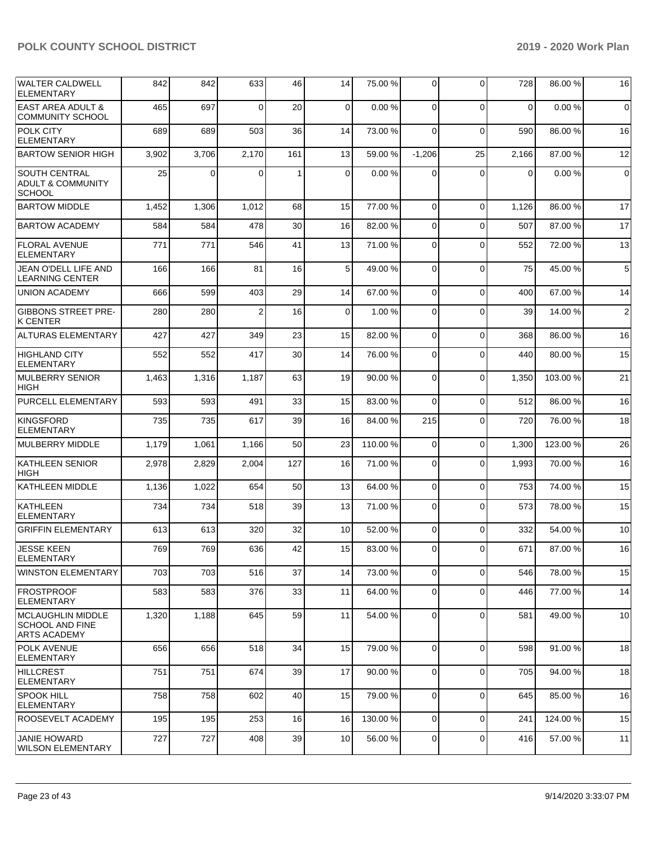| <b>WALTER CALDWELL</b><br><b>ELEMENTARY</b>                           | 842   | 842   | 633            | 46  | 14       | 75.00 % | $\Omega$    | $\Omega$    | 728         | 86.00 % | 16             |
|-----------------------------------------------------------------------|-------|-------|----------------|-----|----------|---------|-------------|-------------|-------------|---------|----------------|
| <b>EAST AREA ADULT &amp;</b><br><b>COMMUNITY SCHOOL</b>               | 465   | 697   | $\Omega$       | 20  | 0        | 0.00%   | $\Omega$    | $\Omega$    | $\mathbf 0$ | 0.00%   | $\mathbf 0$    |
| <b>POLK CITY</b><br><b>ELEMENTARY</b>                                 | 689   | 689   | 503            | 36  | 14       | 73.00 % | $\mathbf 0$ | $\Omega$    | 590         | 86.00 % | 16             |
| <b>BARTOW SENIOR HIGH</b>                                             | 3,902 | 3,706 | 2,170          | 161 | 13       | 59.00 % | $-1,206$    | 25          | 2,166       | 87.00 % | 12             |
| <b>SOUTH CENTRAL</b><br><b>ADULT &amp; COMMUNITY</b><br><b>SCHOOL</b> | 25    | 0     | $\Omega$       | 1   | $\Omega$ | 0.00%   | 0           | $\Omega$    | $\Omega$    | 0.00%   | $\mathbf 0$    |
| <b>BARTOW MIDDLE</b>                                                  | 1,452 | 1,306 | 1,012          | 68  | 15       | 77.00 % | $\Omega$    | $\Omega$    | 1,126       | 86.00 % | 17             |
| <b>BARTOW ACADEMY</b>                                                 | 584   | 584   | 478            | 30  | 16       | 82.00 % | 0           | $\Omega$    | 507         | 87.00 % | 17             |
| <b>FLORAL AVENUE</b><br><b>ELEMENTARY</b>                             | 771   | 771   | 546            | 41  | 13       | 71.00 % | $\Omega$    | $\Omega$    | 552         | 72.00 % | 13             |
| JEAN O'DELL LIFE AND<br><b>LEARNING CENTER</b>                        | 166   | 166   | 81             | 16  | 5        | 49.00 % | $\mathbf 0$ | $\mathbf 0$ | 75          | 45.00 % | $\,$ 5 $\,$    |
| UNION ACADEMY                                                         | 666   | 599   | 403            | 29  | 14       | 67.00 % | $\Omega$    | $\Omega$    | 400         | 67.00 % | 14             |
| <b>GIBBONS STREET PRE-</b><br><b>K CENTER</b>                         | 280   | 280   | $\overline{2}$ | 16  | $\Omega$ | 1.00 %  | $\Omega$    | $\Omega$    | 39          | 14.00 % | $\overline{2}$ |
| <b>ALTURAS ELEMENTARY</b>                                             | 427   | 427   | 349            | 23  | 15       | 82.00 % | $\Omega$    | $\Omega$    | 368         | 86.00 % | 16             |
| <b>HIGHLAND CITY</b><br><b>ELEMENTARY</b>                             | 552   | 552   | 417            | 30  | 14       | 76.00 % | $\Omega$    | $\Omega$    | 440         | 80.00 % | 15             |
| MULBERRY SENIOR<br><b>HIGH</b>                                        | 1,463 | 1,316 | 1,187          | 63  | 19       | 90.00 % | $\mathbf 0$ | $\mathbf 0$ | 1,350       | 103.00% | 21             |
| <b>PURCELL ELEMENTARY</b>                                             | 593   | 593   | 491            | 33  | 15       | 83.00 % | $\Omega$    | $\Omega$    | 512         | 86.00 % | 16             |
| KINGSFORD<br><b>ELEMENTARY</b>                                        | 735   | 735   | 617            | 39  | 16       | 84.00 % | 215         | $\Omega$    | 720         | 76.00 % | 18             |
| MULBERRY MIDDLE                                                       | 1,179 | 1,061 | 1,166          | 50  | 23       | 110.00% | 0           | $\Omega$    | 1,300       | 123.00% | 26             |
| KATHLEEN SENIOR<br><b>HIGH</b>                                        | 2,978 | 2,829 | 2,004          | 127 | 16       | 71.00%  | 0           | $\Omega$    | 1,993       | 70.00 % | 16             |
| <b>KATHLEEN MIDDLE</b>                                                | 1,136 | 1,022 | 654            | 50  | 13       | 64.00 % | 0           | $\mathbf 0$ | 753         | 74.00 % | 15             |
| KATHLEEN<br><b>ELEMENTARY</b>                                         | 734   | 734   | 518            | 39  | 13       | 71.00 % | $\mathbf 0$ | $\mathbf 0$ | 573         | 78.00 % | 15             |
| <b>GRIFFIN ELEMENTARY</b>                                             | 613   | 613   | 320            | 32  | 10       | 52.00 % | $\Omega$    | $\Omega$    | 332         | 54.00 % | 10             |
| <b>JESSE KEEN</b><br>ELEMENTARY                                       | 769   | 769   | 636            | 42  | 15       | 83.00%  | 0           | $\Omega$    | 671         | 87.00 % | 16             |
| <b>WINSTON ELEMENTARY</b>                                             | 703   | 703   | 516            | 37  | 14       | 73.00 % | 0           | $\mathbf 0$ | 546         | 78.00 % | 15             |
| <b>FROSTPROOF</b><br><b>ELEMENTARY</b>                                | 583   | 583   | 376            | 33  | 11       | 64.00 % | 0           | $\mathbf 0$ | 446         | 77.00 % | 14             |
| MCLAUGHLIN MIDDLE<br><b>SCHOOL AND FINE</b><br><b>ARTS ACADEMY</b>    | 1,320 | 1,188 | 645            | 59  | 11       | 54.00 % | 0           | $\mathbf 0$ | 581         | 49.00 % | 10             |
| <b>POLK AVENUE</b><br> ELEMENTARY                                     | 656   | 656   | 518            | 34  | 15       | 79.00 % | $\Omega$    | $\mathbf 0$ | 598         | 91.00 % | 18             |
| <b>IHILLCREST</b><br><b>ELEMENTARY</b>                                | 751   | 751   | 674            | 39  | 17       | 90.00 % | $\mathbf 0$ | $\mathbf 0$ | 705         | 94.00 % | 18             |
| <b>SPOOK HILL</b><br><b>ELEMENTARY</b>                                | 758   | 758   | 602            | 40  | 15       | 79.00 % | 0           | $\mathbf 0$ | 645         | 85.00 % | 16             |
| <b>ROOSEVELT ACADEMY</b>                                              | 195   | 195   | 253            | 16  | 16       | 130.00% | $\mathbf 0$ | $\mathbf 0$ | 241         | 124.00% | 15             |
| <b>JANIE HOWARD</b><br><b>WILSON ELEMENTARY</b>                       | 727   | 727   | 408            | 39  | 10       | 56.00 % | 0           | $\mathbf 0$ | 416         | 57.00 % | 11             |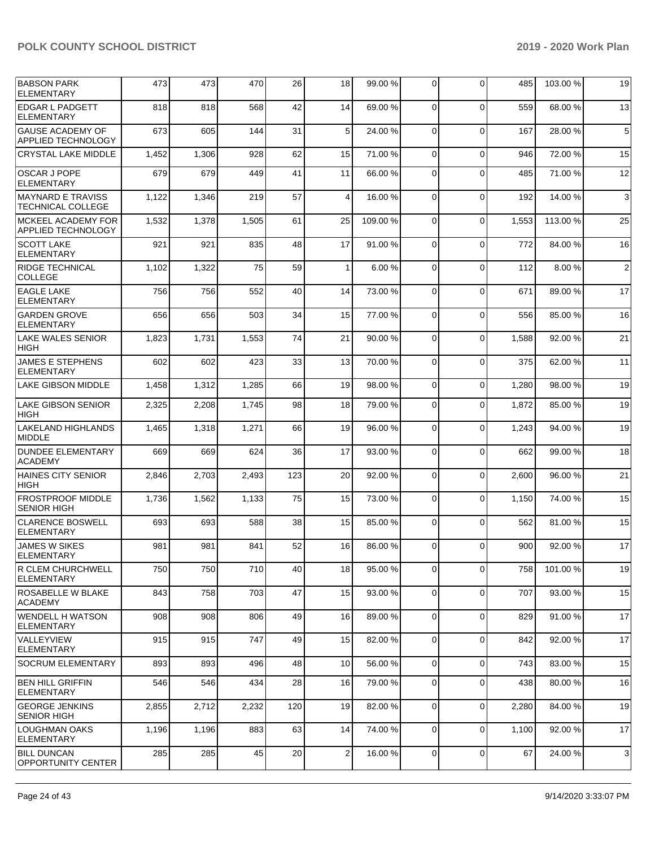| <b>BABSON PARK</b><br><b>ELEMENTARY</b>              | 473   | 473   | 470   | 26  | 18           | 99.00 % | $\Omega$    | $\Omega$    | 485   | 103.00%  | 19              |
|------------------------------------------------------|-------|-------|-------|-----|--------------|---------|-------------|-------------|-------|----------|-----------------|
| <b>EDGAR L PADGETT</b><br><b>ELEMENTARY</b>          | 818   | 818   | 568   | 42  | 14           | 69.00 % | $\mathbf 0$ | $\Omega$    | 559   | 68.00 %  | 13              |
| <b>GAUSE ACADEMY OF</b><br><b>APPLIED TECHNOLOGY</b> | 673   | 605   | 144   | 31  | 5            | 24.00 % | $\Omega$    | $\Omega$    | 167   | 28.00 %  | $5\phantom{.0}$ |
| <b>CRYSTAL LAKE MIDDLE</b>                           | 1,452 | 1,306 | 928   | 62  | 15           | 71.00 % | $\Omega$    | $\mathbf 0$ | 946   | 72.00 %  | 15              |
| <b>OSCAR J POPE</b><br><b>ELEMENTARY</b>             | 679   | 679   | 449   | 41  | 11           | 66.00%  | $\Omega$    | $\Omega$    | 485   | 71.00 %  | 12              |
| <b>MAYNARD E TRAVISS</b><br><b>TECHNICAL COLLEGE</b> | 1,122 | 1,346 | 219   | 57  | 4            | 16.00 % | $\mathbf 0$ | $\Omega$    | 192   | 14.00 %  | $\mathbf{3}$    |
| MCKEEL ACADEMY FOR<br><b>APPLIED TECHNOLOGY</b>      | 1,532 | 1,378 | 1,505 | 61  | 25           | 109.00% | $\Omega$    | $\Omega$    | 1,553 | 113.00 % | 25              |
| <b>SCOTT LAKE</b><br><b>ELEMENTARY</b>               | 921   | 921   | 835   | 48  | 17           | 91.00 % | $\Omega$    | $\mathbf 0$ | 772   | 84.00%   | 16              |
| <b>RIDGE TECHNICAL</b><br><b>COLLEGE</b>             | 1,102 | 1,322 | 75    | 59  | $\mathbf{1}$ | 6.00%   | $\mathbf 0$ | $\Omega$    | 112   | 8.00 %   | $\overline{2}$  |
| <b>EAGLE LAKE</b><br><b>ELEMENTARY</b>               | 756   | 756   | 552   | 40  | 14           | 73.00 % | $\Omega$    | $\Omega$    | 671   | 89.00 %  | 17              |
| <b>GARDEN GROVE</b><br><b>ELEMENTARY</b>             | 656   | 656   | 503   | 34  | 15           | 77.00 % | $\Omega$    | $\mathbf 0$ | 556   | 85.00 %  | 16              |
| <b>LAKE WALES SENIOR</b><br>HIGH                     | 1,823 | 1,731 | 1,553 | 74  | 21           | 90.00 % | $\mathbf 0$ | $\Omega$    | 1,588 | 92.00 %  | 21              |
| <b>JAMES E STEPHENS</b><br><b>ELEMENTARY</b>         | 602   | 602   | 423   | 33  | 13           | 70.00%  | $\Omega$    | $\Omega$    | 375   | 62.00 %  | 11              |
| <b>LAKE GIBSON MIDDLE</b>                            | 1,458 | 1,312 | 1,285 | 66  | 19           | 98.00 % | $\Omega$    | $\mathbf 0$ | 1,280 | 98.00 %  | 19              |
| <b>LAKE GIBSON SENIOR</b><br><b>HIGH</b>             | 2,325 | 2,208 | 1,745 | 98  | 18           | 79.00 % | $\Omega$    | $\Omega$    | 1,872 | 85.00 %  | 19              |
| <b>LAKELAND HIGHLANDS</b><br><b>MIDDLE</b>           | 1,465 | 1,318 | 1,271 | 66  | 19           | 96.00 % | $\mathbf 0$ | $\Omega$    | 1,243 | 94.00 %  | 19              |
| <b>DUNDEE ELEMENTARY</b><br><b>ACADEMY</b>           | 669   | 669   | 624   | 36  | 17           | 93.00 % | $\Omega$    | $\Omega$    | 662   | 99.00 %  | 18              |
| <b>HAINES CITY SENIOR</b><br><b>HIGH</b>             | 2,846 | 2,703 | 2,493 | 123 | 20           | 92.00 % | $\Omega$    | $\mathbf 0$ | 2,600 | 96.00 %  | 21              |
| <b>FROSTPROOF MIDDLE</b><br><b>SENIOR HIGH</b>       | 1,736 | 1,562 | 1,133 | 75  | 15           | 73.00 % | $\mathbf 0$ | $\Omega$    | 1,150 | 74.00%   | 15              |
| <b>CLARENCE BOSWELL</b><br>ELEMENTARY                | 693   | 693   | 588   | 38  | 15           | 85.00 % | 0           | $\Omega$    | 562   | 81.00%   | 15              |
| <b>JAMES W SIKES</b><br><b>ELEMENTARY</b>            | 981   | 981   | 841   | 52  | 16           | 86.00 % | $\Omega$    | $\Omega$    | 900   | 92.00 %  | 17              |
| R CLEM CHURCHWELL<br><b>ELEMENTARY</b>               | 750   | 750   | 710   | 40  | 18           | 95.00 % | $\mathbf 0$ | $\mathbf 0$ | 758   | 101.00 % | 19              |
| ROSABELLE W BLAKE<br><b>ACADEMY</b>                  | 843   | 758   | 703   | 47  | 15           | 93.00 % | $\mathbf 0$ | $\mathbf 0$ | 707   | 93.00 %  | 15              |
| <b>WENDELL H WATSON</b><br><b>ELEMENTARY</b>         | 908   | 908   | 806   | 49  | 16           | 89.00 % | 0           | $\mathbf 0$ | 829   | 91.00%   | 17              |
| VALLEYVIEW<br><b>ELEMENTARY</b>                      | 915   | 915   | 747   | 49  | 15           | 82.00 % | $\mathbf 0$ | $\mathbf 0$ | 842   | 92.00 %  | 17              |
| <b>SOCRUM ELEMENTARY</b>                             | 893   | 893   | 496   | 48  | 10           | 56.00 % | $\mathbf 0$ | $\mathbf 0$ | 743   | 83.00 %  | 15              |
| <b>BEN HILL GRIFFIN</b><br><b>ELEMENTARY</b>         | 546   | 546   | 434   | 28  | 16           | 79.00 % | 0           | $\mathbf 0$ | 438   | 80.00%   | 16              |
| <b>GEORGE JENKINS</b><br><b>SENIOR HIGH</b>          | 2,855 | 2,712 | 2,232 | 120 | 19           | 82.00 % | 0           | $\mathbf 0$ | 2,280 | 84.00 %  | 19              |
| <b>LOUGHMAN OAKS</b><br><b>ELEMENTARY</b>            | 1,196 | 1,196 | 883   | 63  | 14           | 74.00 % | $\mathbf 0$ | $\mathbf 0$ | 1,100 | 92.00 %  | 17              |
| <b>BILL DUNCAN</b><br><b>OPPORTUNITY CENTER</b>      | 285   | 285   | 45    | 20  | 2            | 16.00 % | 0           | 0           | 67    | 24.00 %  | $\mathbf{3}$    |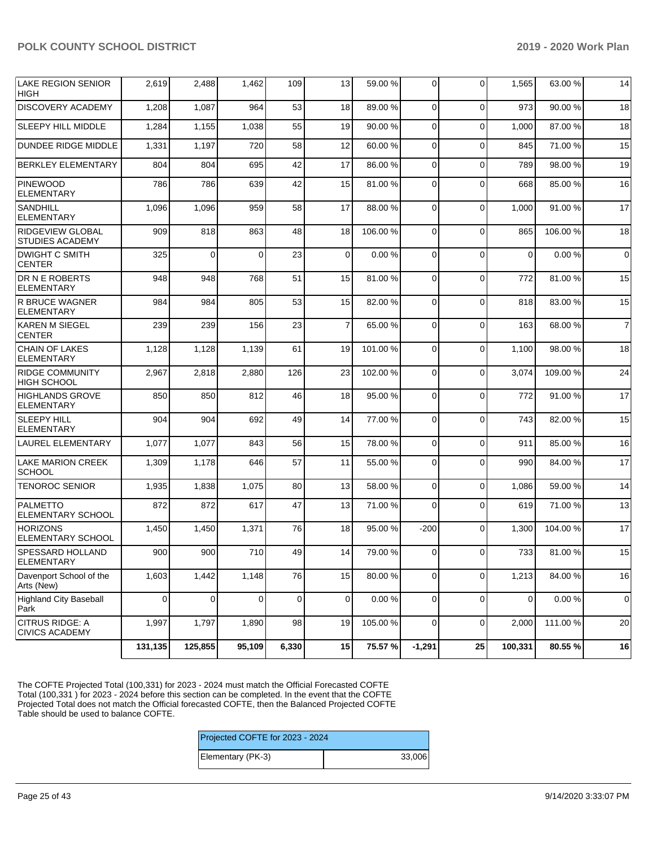| LAKE REGION SENIOR<br><b>HIGH</b>                 | 2,619       | 2,488    | 1,462          | 109         | 13              | 59.00 %  | $\Omega$       | $\Omega$     | 1,565       | 63.00 %  | 14             |
|---------------------------------------------------|-------------|----------|----------------|-------------|-----------------|----------|----------------|--------------|-------------|----------|----------------|
| <b>DISCOVERY ACADEMY</b>                          | 1,208       | 1,087    | 964            | 53          | 18              | 89.00%   | $\Omega$       | $\Omega$     | 973         | 90.00 %  | 18             |
| <b>SLEEPY HILL MIDDLE</b>                         | 1,284       | 1,155    | 1,038          | 55          | 19              | 90.00 %  | $\Omega$       | $\Omega$     | 1,000       | 87.00 %  | 18             |
| <b>DUNDEE RIDGE MIDDLE</b>                        | 1,331       | 1,197    | 720            | 58          | 12              | 60.00%   | $\Omega$       | $\Omega$     | 845         | 71.00 %  | 15             |
| <b>BERKLEY ELEMENTARY</b>                         | 804         | 804      | 695            | 42          | 17              | 86.00 %  | $\Omega$       | $\mathbf{0}$ | 789         | 98.00 %  | 19             |
| <b>PINEWOOD</b><br><b>ELEMENTARY</b>              | 786         | 786      | 639            | 42          | 15              | 81.00%   | $\Omega$       | $\Omega$     | 668         | 85.00 %  | 16             |
| <b>SANDHILL</b><br><b>ELEMENTARY</b>              | 1,096       | 1,096    | 959            | 58          | 17              | 88.00 %  | $\mathbf 0$    | $\Omega$     | 1,000       | 91.00 %  | 17             |
| <b>RIDGEVIEW GLOBAL</b><br><b>STUDIES ACADEMY</b> | 909         | 818      | 863            | 48          | 18              | 106.00%  | $\Omega$       | $\mathbf 0$  | 865         | 106.00%  | 18             |
| <b>DWIGHT C SMITH</b><br><b>CENTER</b>            | 325         | $\Omega$ | $\Omega$       | 23          | $\Omega$        | 0.00%    | $\Omega$       | $\Omega$     | $\mathbf 0$ | 0.00%    | $\overline{0}$ |
| <b>DR N E ROBERTS</b><br><b>ELEMENTARY</b>        | 948         | 948      | 768            | 51          | 15              | 81.00%   | $\mathbf 0$    | 0            | 772         | 81.00%   | 15             |
| R BRUCE WAGNER<br><b>ELEMENTARY</b>               | 984         | 984      | 805            | 53          | 15              | 82.00 %  | $\Omega$       | $\Omega$     | 818         | 83.00 %  | 15             |
| <b>KAREN M SIEGEL</b><br><b>CENTER</b>            | 239         | 239      | 156            | 23          | $\overline{7}$  | 65.00 %  | $\Omega$       | $\Omega$     | 163         | 68.00%   | $\overline{7}$ |
| CHAIN OF LAKES<br><b>ELEMENTARY</b>               | 1,128       | 1,128    | 1,139          | 61          | 19              | 101.00%  | $\mathbf 0$    | $\Omega$     | 1,100       | 98.00 %  | 18             |
| <b>RIDGE COMMUNITY</b><br><b>HIGH SCHOOL</b>      | 2,967       | 2,818    | 2,880          | 126         | 23              | 102.00%  | $\Omega$       | $\Omega$     | 3,074       | 109.00%  | 24             |
| <b>HIGHLANDS GROVE</b><br><b>ELEMENTARY</b>       | 850         | 850      | 812            | 46          | 18              | 95.00 %  | $\Omega$       | $\Omega$     | 772         | 91.00 %  | 17             |
| <b>SLEEPY HILL</b><br><b>ELEMENTARY</b>           | 904         | 904      | 692            | 49          | 14              | 77.00 %  | $\mathbf 0$    | $\Omega$     | 743         | 82.00 %  | 15             |
| LAUREL ELEMENTARY                                 | 1,077       | 1,077    | 843            | 56          | 15              | 78.00 %  | $\Omega$       | 0            | 911         | 85.00 %  | 16             |
| <b>LAKE MARION CREEK</b><br><b>SCHOOL</b>         | 1,309       | 1,178    | 646            | 57          | 11              | 55.00 %  | $\Omega$       | $\Omega$     | 990         | 84.00 %  | 17             |
| <b>TENOROC SENIOR</b>                             | 1,935       | 1,838    | 1,075          | 80          | 13              | 58.00 %  | $\Omega$       | 0            | 1,086       | 59.00 %  | 14             |
| <b>PALMETTO</b><br><b>ELEMENTARY SCHOOL</b>       | 872         | 872      | 617            | 47          | 13              | 71.00%   | $\Omega$       | $\Omega$     | 619         | 71.00 %  | 13             |
| HORIZONS<br><b>ELEMENTARY SCHOOL</b>              | 1,450       | 1,450    | 1,371          | 76          | 18              | 95.00 %  | $-200$         | $\Omega$     | 1,300       | 104.00 % | 17             |
| <b>SPESSARD HOLLAND</b><br>ELEMENTARY             | 900         | 900      | 710            | 49          | 14 <sup>1</sup> | 79.00 %  | $\Omega$       | $\Omega$     | 733         | 81.00 %  | 15             |
| Davenport School of the<br>Arts (New)             | 1,603       | 1,442    | 1,148          | 76          | 15              | 80.00%   | $\overline{0}$ | 0            | 1,213       | 84.00%   | 16             |
| Highland City Baseball<br>Park                    | $\mathbf 0$ | 0        | $\overline{0}$ | $\mathbf 0$ | $\mathbf 0$     | 0.00%    | $\overline{0}$ | 0            | $\mathbf 0$ | 0.00%    | $\overline{0}$ |
| <b>CITRUS RIDGE: A</b><br><b>CIVICS ACADEMY</b>   | 1,997       | 1,797    | 1,890          | 98          | 19              | 105.00 % | $\Omega$       | $\mathbf 0$  | 2,000       | 111.00%  | 20             |
|                                                   | 131,135     | 125,855  | 95,109         | 6,330       | 15              | 75.57 %  | $-1,291$       | 25           | 100,331     | 80.55 %  | 16             |

The COFTE Projected Total (100,331) for 2023 - 2024 must match the Official Forecasted COFTE Total (100,331 ) for 2023 - 2024 before this section can be completed. In the event that the COFTE Projected Total does not match the Official forecasted COFTE, then the Balanced Projected COFTE Table should be used to balance COFTE.

| Projected COFTE for 2023 - 2024 |        |
|---------------------------------|--------|
| Elementary (PK-3)               | 33.006 |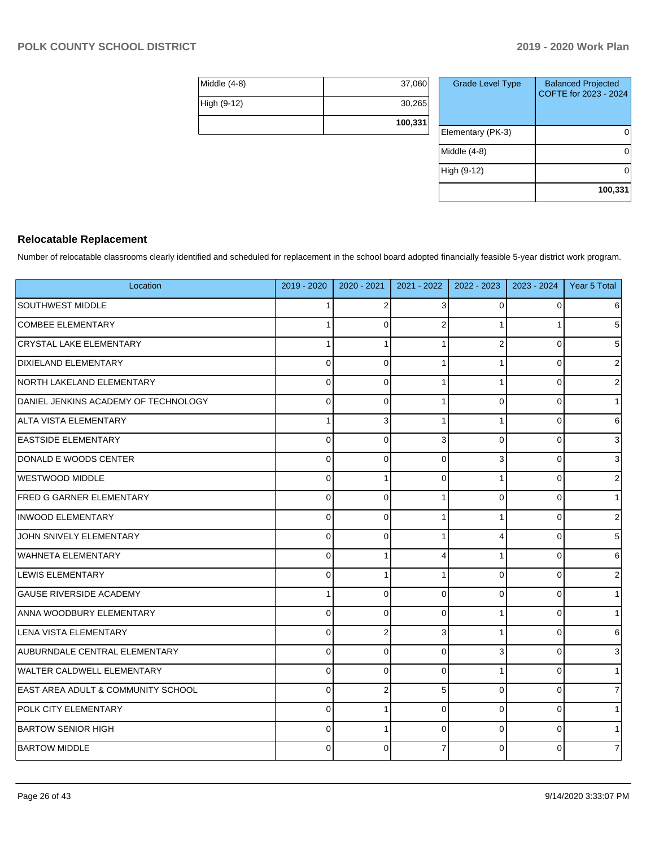|              | 100,331 |
|--------------|---------|
| High (9-12)  | 30,265  |
| Middle (4-8) | 37,060  |

| <b>Grade Level Type</b> | <b>Balanced Projected</b><br>COFTE for 2023 - 2024 |
|-------------------------|----------------------------------------------------|
| Elementary (PK-3)       |                                                    |
| Middle (4-8)            |                                                    |
| High (9-12)             |                                                    |
|                         | 100,331                                            |

# **Relocatable Replacement**

Number of relocatable classrooms clearly identified and scheduled for replacement in the school board adopted financially feasible 5-year district work program.

| Location                                      | 2019 - 2020 | 2020 - 2021    | 2021 - 2022 | 2022 - 2023    | 2023 - 2024 | Year 5 Total     |
|-----------------------------------------------|-------------|----------------|-------------|----------------|-------------|------------------|
| SOUTHWEST MIDDLE                              |             | 2              | 3           | $\Omega$       | $\Omega$    | $6 \mid$         |
| <b>COMBEE ELEMENTARY</b>                      |             | $\Omega$       |             |                |             | $\overline{5}$   |
| <b>CRYSTAL LAKE ELEMENTARY</b>                |             | 1              |             | $\overline{2}$ | 0           | $\overline{5}$   |
| <b>DIXIELAND ELEMENTARY</b>                   | $\Omega$    | $\Omega$       |             |                | 0           | $\sqrt{2}$       |
| NORTH LAKELAND ELEMENTARY                     | $\Omega$    | $\Omega$       |             | 1              | 0           | $\overline{2}$   |
| DANIEL JENKINS ACADEMY OF TECHNOLOGY          | $\Omega$    | $\Omega$       |             | $\Omega$       | 0           | $\mathbf{1}$     |
| ALTA VISTA ELEMENTARY                         |             | 3              |             | 1              | $\Omega$    | $6 \,$           |
| <b>EASTSIDE ELEMENTARY</b>                    | $\Omega$    | $\Omega$       | 3           | $\Omega$       | 0           | $\mathbf{3}$     |
| DONALD E WOODS CENTER                         | $\Omega$    | $\Omega$       | 0           | 3              | 0           | $\mathbf{3}$     |
| <b>WESTWOOD MIDDLE</b>                        | $\Omega$    | 1              | 0           |                | 0           | $\sqrt{2}$       |
| <b>FRED G GARNER ELEMENTARY</b>               | $\Omega$    | $\Omega$       |             | $\Omega$       | 0           | 1                |
| INWOOD ELEMENTARY                             | $\Omega$    | $\Omega$       |             |                | 0           | $\sqrt{2}$       |
| JOHN SNIVELY ELEMENTARY                       | $\Omega$    | $\Omega$       |             | 4              | 0           | $5\phantom{.0}$  |
| <b>WAHNETA ELEMENTARY</b>                     | $\Omega$    |                |             |                | 0           | $\,6$            |
| <b>LEWIS ELEMENTARY</b>                       | $\Omega$    |                |             | $\Omega$       | $\Omega$    | $\overline{2}$   |
| <b>GAUSE RIVERSIDE ACADEMY</b>                |             | $\Omega$       | $\Omega$    | $\Omega$       | $\Omega$    | 1                |
| ANNA WOODBURY ELEMENTARY                      | $\Omega$    | $\Omega$       | $\Omega$    | 1              | $\Omega$    | 1                |
| LENA VISTA ELEMENTARY                         | $\Omega$    | $\overline{2}$ | 3           |                | $\Omega$    | $6 \overline{6}$ |
| AUBURNDALE CENTRAL ELEMENTARY                 | $\Omega$    | $\Omega$       | $\Omega$    | 3              | $\Omega$    | $\mathbf{3}$     |
| WALTER CALDWELL ELEMENTARY                    | $\Omega$    | $\Omega$       | 0           |                | $\Omega$    | 1                |
| <b>EAST AREA ADULT &amp; COMMUNITY SCHOOL</b> | $\mathbf 0$ | $\overline{2}$ | 5           | $\mathbf 0$    | $\Omega$    | $\overline{7}$   |
| <b>POLK CITY ELEMENTARY</b>                   | $\Omega$    | 1              | 0           | $\Omega$       | $\Omega$    | $\mathbf{1}$     |
| BARTOW SENIOR HIGH                            | $\Omega$    | 1              | 0           | $\mathbf 0$    | $\Omega$    | $\mathbf{1}$     |
| <b>BARTOW MIDDLE</b>                          |             | $\Omega$       |             | $\Omega$       | 0           | $\overline{7}$   |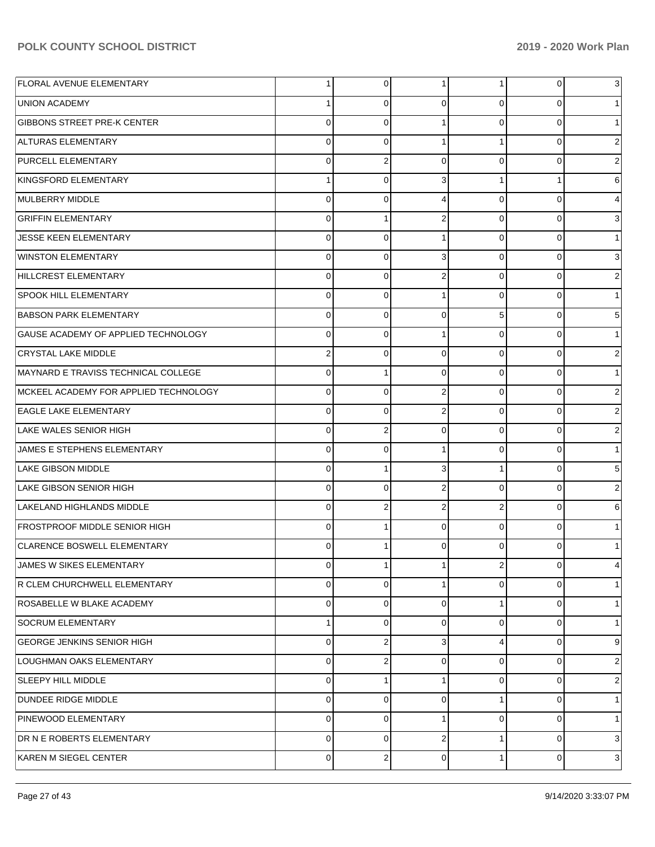| <b>FLORAL AVENUE ELEMENTARY</b>       | $\mathbf 1$    | $\overline{0}$ | 1              | 1              | 0        | 3                       |
|---------------------------------------|----------------|----------------|----------------|----------------|----------|-------------------------|
| UNION ACADEMY                         | $\mathbf{1}$   | 0              | 0              | 0              | $\Omega$ | 1                       |
| <b>GIBBONS STREET PRE-K CENTER</b>    | 0              | $\mathbf 0$    |                | $\mathbf 0$    | $\Omega$ | $\mathbf{1}$            |
| ALTURAS ELEMENTARY                    | 0              | $\mathbf 0$    | -1             | 1              | $\Omega$ | $\overline{\mathbf{c}}$ |
| <b>PURCELL ELEMENTARY</b>             | 0              | $\overline{2}$ | $\Omega$       | $\mathbf 0$    | $\Omega$ | $\boldsymbol{2}$        |
| KINGSFORD ELEMENTARY                  | $\mathbf{1}$   | $\mathbf 0$    | 3              | 1              |          | 6                       |
| MULBERRY MIDDLE                       | 0              | 0              | 4              | $\mathbf 0$    | $\Omega$ | $\overline{4}$          |
| <b>GRIFFIN ELEMENTARY</b>             | 0              | 1              | $\overline{2}$ | $\mathbf 0$    | $\Omega$ | 3                       |
| <b>JESSE KEEN ELEMENTARY</b>          | 0              | $\mathbf 0$    |                | $\mathbf 0$    | $\Omega$ | 1                       |
| <b>WINSTON ELEMENTARY</b>             | 0              | 0              | 3              | $\mathbf 0$    | $\Omega$ | 3                       |
| HILLCREST ELEMENTARY                  | 0              | 0              | $\overline{2}$ | $\mathbf 0$    | $\Omega$ | $\overline{2}$          |
| <b>SPOOK HILL ELEMENTARY</b>          | 0              | 0              | 1              | 0              | $\Omega$ | 1                       |
| <b>BABSON PARK ELEMENTARY</b>         | 0              | 0              | $\Omega$       | 5              | $\Omega$ | $5\phantom{.0}$         |
| GAUSE ACADEMY OF APPLIED TECHNOLOGY   | 0              | 0              | 1              | 0              | $\Omega$ | 1                       |
| CRYSTAL LAKE MIDDLE                   | 2              | 0              | $\Omega$       | $\mathbf 0$    | $\Omega$ | $\boldsymbol{2}$        |
| MAYNARD E TRAVISS TECHNICAL COLLEGE   | 0              | 1              | $\Omega$       | $\mathbf 0$    | $\Omega$ | 1                       |
| MCKEEL ACADEMY FOR APPLIED TECHNOLOGY | 0              | $\mathbf 0$    | $\overline{2}$ | $\mathbf 0$    | $\Omega$ | $\boldsymbol{2}$        |
| <b>EAGLE LAKE ELEMENTARY</b>          | 0              | $\mathbf 0$    | $\overline{2}$ | $\mathbf 0$    | $\Omega$ | $\overline{\mathbf{c}}$ |
| LAKE WALES SENIOR HIGH                | 0              | $\overline{2}$ | $\Omega$       | $\mathbf 0$    | $\Omega$ | $\overline{2}$          |
| JAMES E STEPHENS ELEMENTARY           | 0              | $\mathbf 0$    | 1              | 0              | $\Omega$ | $\mathbf{1}$            |
| <b>LAKE GIBSON MIDDLE</b>             | 0              | 1              | 3              | 1              | $\Omega$ | $5\phantom{.0}$         |
| LAKE GIBSON SENIOR HIGH               | 0              | $\mathbf 0$    | $\overline{2}$ | $\mathbf 0$    | $\Omega$ | $\overline{2}$          |
| LAKELAND HIGHLANDS MIDDLE             | 0              | 2              | $\overline{2}$ | $\overline{2}$ | $\Omega$ | 6                       |
| <b>FROSTPROOF MIDDLE SENIOR HIGH</b>  | 0              | 1              | $\Omega$       | 0              | $\Omega$ | 1                       |
| <b>CLARENCE BOSWELL ELEMENTARY</b>    | 0              | 1              | $\Omega$       | $\Omega$       | 0        | 1                       |
| JAMES W SIKES ELEMENTARY              | $\overline{0}$ | 1              | $\mathbf 1$    | 2              | 0        | 4                       |
| R CLEM CHURCHWELL ELEMENTARY          | 0              | $\overline{0}$ |                | 0              | $\Omega$ | $\mathbf{1}$            |
| ROSABELLE W BLAKE ACADEMY             | 0              | $\overline{0}$ | $\Omega$       | 1              | $\Omega$ | 1                       |
| SOCRUM ELEMENTARY                     | $\mathbf{1}$   | 0              | $\Omega$       | 0              | $\Omega$ | 1                       |
| <b>GEORGE JENKINS SENIOR HIGH</b>     | 0              | 2              | 3              | 4              | $\Omega$ | 9                       |
| LOUGHMAN OAKS ELEMENTARY              | 0              | 2              | $\Omega$       | 0              | $\Omega$ | $\overline{2}$          |
| <b>SLEEPY HILL MIDDLE</b>             | 0              | 1              | -1             | $\mathbf 0$    | $\Omega$ | $\overline{2}$          |
| <b>DUNDEE RIDGE MIDDLE</b>            | 0              | 0              | $\Omega$       | 1              | $\Omega$ | 1                       |
| PINEWOOD ELEMENTARY                   | 0              | $\overline{0}$ | -1             | $\mathbf 0$    | $\Omega$ | 1                       |
| DR N E ROBERTS ELEMENTARY             | 0              | $\overline{0}$ | $\overline{2}$ | 1              | $\Omega$ | 3                       |
| KAREN M SIEGEL CENTER                 | 0              | $\overline{2}$ | 0              | $\mathbf{1}$   | 0        | 3                       |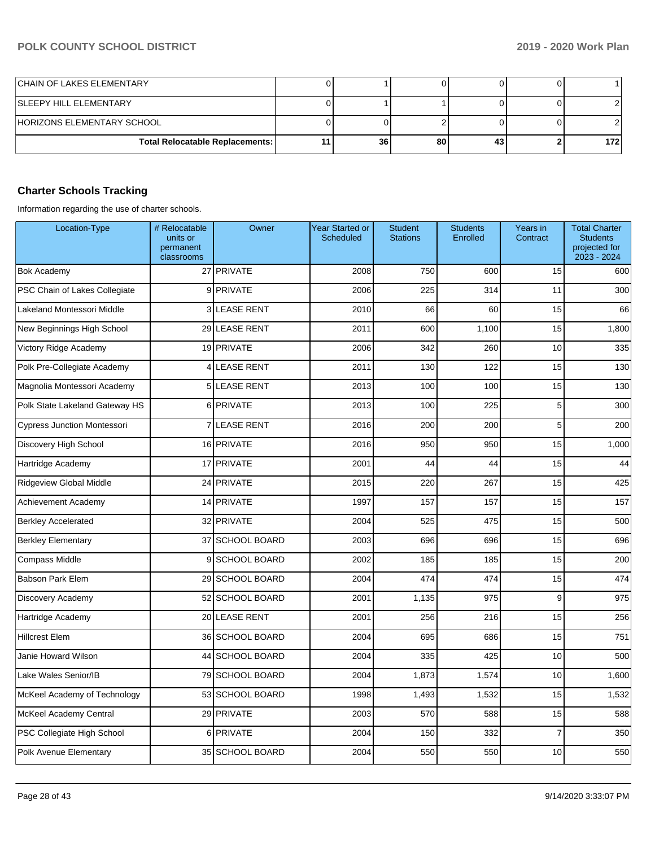| <b>CHAIN OF LAKES ELEMENTARY</b>       |    |    |    |     |
|----------------------------------------|----|----|----|-----|
| <b>SLEEPY HILL ELEMENTARY</b>          |    |    |    |     |
| HORIZONS ELEMENTARY SCHOOL             |    |    |    |     |
| <b>Total Relocatable Replacements:</b> | 36 | 80 | 43 | 172 |

# **Charter Schools Tracking**

Information regarding the use of charter schools.

| Location-Type                      | # Relocatable<br>units or<br>permanent<br>classrooms | Owner             | <b>Year Started or</b><br>Scheduled | <b>Student</b><br><b>Stations</b> | <b>Students</b><br>Enrolled | Years in<br>Contract | <b>Total Charter</b><br><b>Students</b><br>projected for<br>2023 - 2024 |
|------------------------------------|------------------------------------------------------|-------------------|-------------------------------------|-----------------------------------|-----------------------------|----------------------|-------------------------------------------------------------------------|
| <b>Bok Academy</b>                 |                                                      | 27 PRIVATE        | 2008                                | 750                               | 600                         | 15                   | 600                                                                     |
| PSC Chain of Lakes Collegiate      |                                                      | 9 PRIVATE         | 2006                                | 225                               | 314                         | 11                   | 300                                                                     |
| Lakeland Montessori Middle         | 3                                                    | <b>LEASE RENT</b> | 2010                                | 66                                | 60                          | 15                   | 66                                                                      |
| New Beginnings High School         |                                                      | 29 LEASE RENT     | 2011                                | 600                               | 1,100                       | 15                   | 1,800                                                                   |
| Victory Ridge Academy              |                                                      | 19 PRIVATE        | 2006                                | 342                               | 260                         | 10                   | 335                                                                     |
| Polk Pre-Collegiate Academy        | $\vert$                                              | <b>LEASE RENT</b> | 2011                                | 130                               | 122                         | 15                   | 130                                                                     |
| Magnolia Montessori Academy        | 5 <sup>1</sup>                                       | <b>LEASE RENT</b> | 2013                                | 100                               | 100                         | 15                   | 130                                                                     |
| Polk State Lakeland Gateway HS     | 6 <sup>1</sup>                                       | <b>PRIVATE</b>    | 2013                                | 100                               | 225                         | 5                    | 300                                                                     |
| <b>Cypress Junction Montessori</b> | $\overline{7}$                                       | <b>LEASE RENT</b> | 2016                                | 200                               | 200                         | 5                    | 200                                                                     |
| Discovery High School              |                                                      | 16 PRIVATE        | 2016                                | 950                               | 950                         | 15                   | 1,000                                                                   |
| Hartridge Academy                  |                                                      | 17 PRIVATE        | 2001                                | 44                                | 44                          | 15                   | 44                                                                      |
| Ridgeview Global Middle            |                                                      | 24 PRIVATE        | 2015                                | 220                               | 267                         | 15                   | 425                                                                     |
| Achievement Academy                |                                                      | 14 PRIVATE        | 1997                                | 157                               | 157                         | 15                   | 157                                                                     |
| <b>Berkley Accelerated</b>         |                                                      | 32 PRIVATE        | 2004                                | 525                               | 475                         | 15                   | 500                                                                     |
| <b>Berkley Elementary</b>          |                                                      | 37 SCHOOL BOARD   | 2003                                | 696                               | 696                         | 15                   | 696                                                                     |
| Compass Middle                     |                                                      | 9 SCHOOL BOARD    | 2002                                | 185                               | 185                         | 15                   | 200                                                                     |
| <b>Babson Park Elem</b>            |                                                      | 29 SCHOOL BOARD   | 2004                                | 474                               | 474                         | 15                   | 474                                                                     |
| Discovery Academy                  |                                                      | 52 SCHOOL BOARD   | 2001                                | 1,135                             | 975                         | 9                    | 975                                                                     |
| Hartridge Academy                  | 20 <sup>1</sup>                                      | <b>LEASE RENT</b> | 2001                                | 256                               | 216                         | 15                   | 256                                                                     |
| <b>Hillcrest Elem</b>              |                                                      | 36 SCHOOL BOARD   | 2004                                | 695                               | 686                         | 15                   | 751                                                                     |
| Janie Howard Wilson                |                                                      | 44 SCHOOL BOARD   | 2004                                | 335                               | 425                         | 10                   | 500                                                                     |
| Lake Wales Senior/IB               |                                                      | 79 SCHOOL BOARD   | 2004                                | 1,873                             | 1,574                       | 10                   | 1,600                                                                   |
| McKeel Academy of Technology       |                                                      | 53 SCHOOL BOARD   | 1998                                | 1,493                             | 1,532                       | 15                   | 1,532                                                                   |
| McKeel Academy Central             |                                                      | 29 PRIVATE        | 2003                                | 570                               | 588                         | 15                   | 588                                                                     |
| PSC Collegiate High School         | 6                                                    | PRIVATE           | 2004                                | 150                               | 332                         | $\overline{7}$       | 350                                                                     |
| Polk Avenue Elementary             |                                                      | 35 SCHOOL BOARD   | 2004                                | 550                               | 550                         | 10                   | 550                                                                     |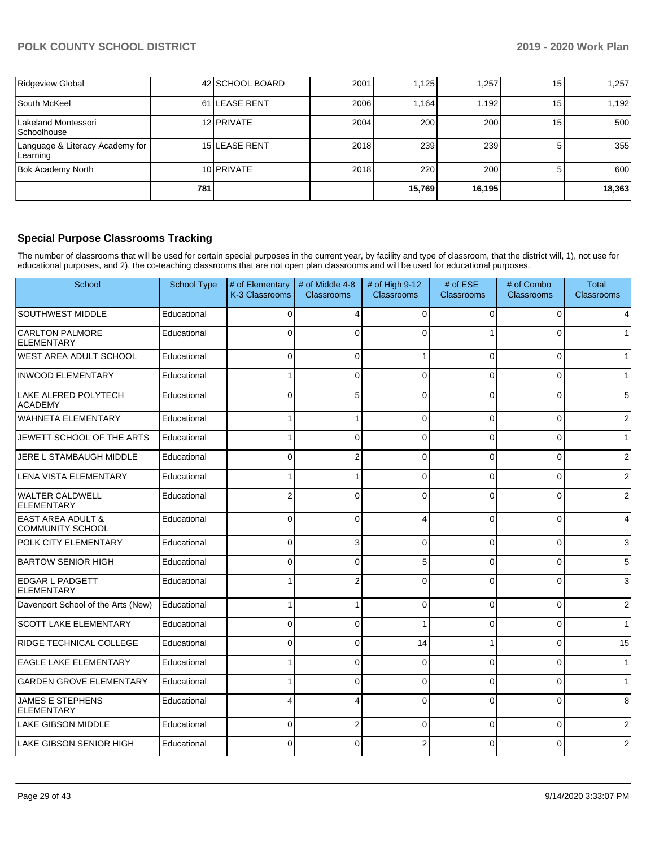| Ridgeview Global                            |     | 42 SCHOOL BOARD      | 2001 | .125   | ,257   | 15 | 1,257  |
|---------------------------------------------|-----|----------------------|------|--------|--------|----|--------|
| South McKeel                                |     | 61 ILEASE RENT       | 2006 | .164   | 1,192  | 15 | 1,192  |
| Lakeland Montessori<br><b>Schoolhouse</b>   |     | 12 PRIVATE           | 2004 | 200    | 200    | 15 | 500    |
| Language & Literacy Academy for<br>Learning |     | <b>15 LEASE RENT</b> | 2018 | 239    | 239    |    | 355    |
| <b>Bok Academy North</b>                    |     | 10 PRIVATE           | 2018 | 220    | 200    |    | 600    |
|                                             | 781 |                      |      | 15,769 | 16,195 |    | 18,363 |

### **Special Purpose Classrooms Tracking**

The number of classrooms that will be used for certain special purposes in the current year, by facility and type of classroom, that the district will, 1), not use for educational purposes, and 2), the co-teaching classrooms that are not open plan classrooms and will be used for educational purposes.

| School                                                  | <b>School Type</b> | # of Elementary<br>K-3 Classrooms | # of Middle 4-8<br><b>Classrooms</b> | # of High 9-12<br><b>Classrooms</b> | # of ESE<br><b>Classrooms</b> | # of Combo<br><b>Classrooms</b> | <b>Total</b><br><b>Classrooms</b> |
|---------------------------------------------------------|--------------------|-----------------------------------|--------------------------------------|-------------------------------------|-------------------------------|---------------------------------|-----------------------------------|
| <b>SOUTHWEST MIDDLE</b>                                 | Educational        | $\Omega$                          | 4                                    | $\Omega$                            | 0                             | 0                               | 4                                 |
| <b>CARLTON PALMORE</b><br><b>ELEMENTARY</b>             | Educational        | 0                                 | O                                    | $\Omega$                            |                               | O                               | $\mathbf{1}$                      |
| WEST AREA ADULT SCHOOL                                  | Educational        | 0                                 | 0                                    | 1                                   | $\Omega$                      | 0                               | $\mathbf{1}$                      |
| <b>INWOOD ELEMENTARY</b>                                | Educational        |                                   | 0                                    | $\Omega$                            | $\Omega$                      | $\Omega$                        | $\mathbf{1}$                      |
| LAKE ALFRED POLYTECH<br><b>ACADEMY</b>                  | Educational        | 0                                 | 5                                    | $\Omega$                            | 0                             | 0                               | 5                                 |
| <b>WAHNETA ELEMENTARY</b>                               | Educational        |                                   | 1                                    | $\Omega$                            | $\Omega$                      | $\Omega$                        | $\overline{2}$                    |
| JEWETT SCHOOL OF THE ARTS                               | Educational        |                                   | $\Omega$                             | $\Omega$                            | 0                             | $\Omega$                        | $\overline{1}$                    |
| JERE L STAMBAUGH MIDDLE                                 | Educational        | 0                                 | $\overline{2}$                       | $\Omega$                            | $\Omega$                      | $\Omega$                        | $\overline{2}$                    |
| <b>LENA VISTA ELEMENTARY</b>                            | Educational        |                                   |                                      | $\Omega$                            | $\Omega$                      | $\Omega$                        | $\overline{2}$                    |
| <b>WALTER CALDWELL</b><br><b>ELEMENTARY</b>             | Educational        | 2                                 | 0                                    | $\Omega$                            | 0                             | 0                               | $\overline{2}$                    |
| <b>EAST AREA ADULT &amp;</b><br><b>COMMUNITY SCHOOL</b> | Educational        | $\Omega$                          | $\Omega$                             | $\boldsymbol{\Delta}$               | $\Omega$                      | $\Omega$                        | 4                                 |
| <b>POLK CITY ELEMENTARY</b>                             | Educational        | $\Omega$                          | 3                                    | $\Omega$                            | 0                             | $\Omega$                        | 3                                 |
| <b>BARTOW SENIOR HIGH</b>                               | Educational        | 0                                 | 0                                    | 5                                   | $\Omega$                      | $\Omega$                        | 5                                 |
| <b>EDGAR L PADGETT</b><br><b>ELEMENTARY</b>             | Educational        |                                   | $\overline{2}$                       | $\Omega$                            | $\Omega$                      | $\Omega$                        | 3                                 |
| Davenport School of the Arts (New)                      | Educational        |                                   |                                      | $\Omega$                            | 0                             | 0                               | $\overline{2}$                    |
| <b>SCOTT LAKE ELEMENTARY</b>                            | Educational        | 0                                 | $\Omega$                             |                                     | 0                             | 0                               | $\overline{1}$                    |
| RIDGE TECHNICAL COLLEGE                                 | Educational        | $\Omega$                          | $\Omega$                             | 14                                  |                               | $\Omega$                        | 15                                |
| <b>EAGLE LAKE ELEMENTARY</b>                            | Educational        |                                   | $\Omega$                             | $\Omega$                            | 0                             | $\Omega$                        | $\overline{1}$                    |
| <b>GARDEN GROVE ELEMENTARY</b>                          | Educational        |                                   | $\Omega$                             | $\Omega$                            | 0                             | $\Omega$                        | $\overline{1}$                    |
| <b>JAMES E STEPHENS</b><br><b>ELEMENTARY</b>            | Educational        |                                   | Δ                                    | $\Omega$                            | $\Omega$                      | $\Omega$                        | 8                                 |
| <b>LAKE GIBSON MIDDLE</b>                               | Educational        | 0                                 | 2                                    | $\Omega$                            | 0                             | 0                               | 2                                 |
| LAKE GIBSON SENIOR HIGH                                 | Educational        | 0                                 | 0                                    | 2                                   | 0                             | 0                               | 2                                 |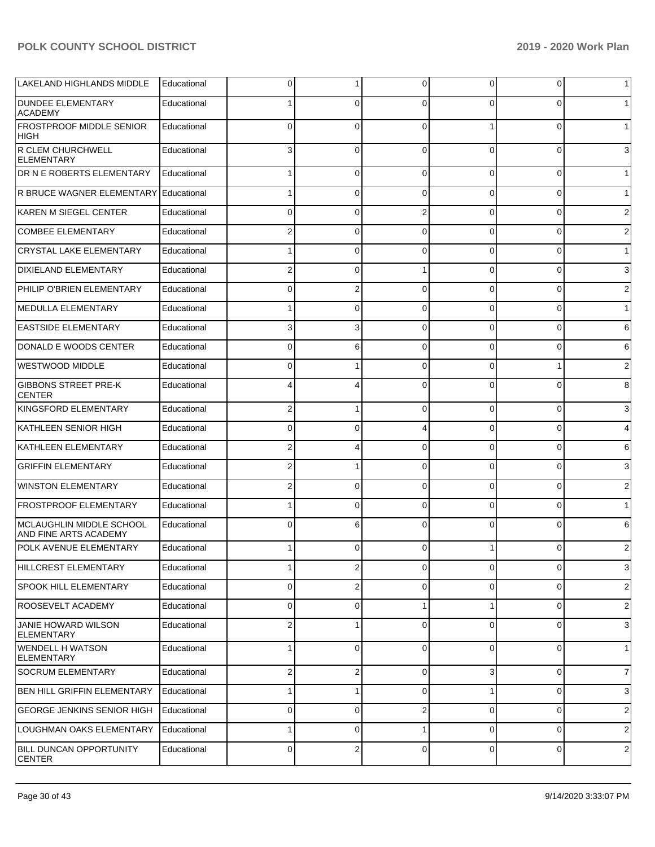| LAKELAND HIGHLANDS MIDDLE                           | Educational | 0              | 1                       | $\Omega$       | $\Omega$     | $\overline{0}$ | 1              |
|-----------------------------------------------------|-------------|----------------|-------------------------|----------------|--------------|----------------|----------------|
| <b>DUNDEE ELEMENTARY</b><br><b>ACADEMY</b>          | Educational |                | $\Omega$                |                | ∩            | 0              | 1 <sup>1</sup> |
| <b>FROSTPROOF MIDDLE SENIOR</b><br>HIGH             | Educational | $\Omega$       | 0                       | $\Omega$       |              | $\Omega$       | 1              |
| R CLEM CHURCHWELL<br><b>ELEMENTARY</b>              | Educational | 3              | $\mathbf 0$             | $\Omega$       | $\Omega$     | 0              | $\mathbf{3}$   |
| DR N E ROBERTS ELEMENTARY                           | Educational |                | $\overline{0}$          | $\Omega$       | $\Omega$     | $\overline{0}$ | 1              |
| R BRUCE WAGNER ELEMENTARY                           | Educational |                | 0                       | $\Omega$       | $\Omega$     | $\overline{0}$ | 1              |
| KAREN M SIEGEL CENTER                               | Educational | 0              | 0                       | 2              | $\Omega$     | $\overline{0}$ | $\overline{c}$ |
| <b>COMBEE ELEMENTARY</b>                            | Educational | 2              | 0                       | $\Omega$       | $\Omega$     | $\mathbf 0$    | $\overline{2}$ |
| <b>CRYSTAL LAKE ELEMENTARY</b>                      | Educational |                | 0                       | $\Omega$       | $\Omega$     | $\overline{0}$ | 1              |
| <b>DIXIELAND ELEMENTARY</b>                         | Educational | 2              | 0                       |                | $\Omega$     | $\overline{0}$ | $\mathbf{3}$   |
| PHILIP O'BRIEN ELEMENTARY                           | Educational | <sup>0</sup>   | $\overline{2}$          | $\Omega$       | $\Omega$     | $\overline{0}$ | $\overline{2}$ |
| MEDULLA ELEMENTARY                                  | Educational |                | 0                       | $\Omega$       | $\Omega$     | $\mathbf 0$    | 1              |
| <b>EASTSIDE ELEMENTARY</b>                          | Educational | 3              | 3                       | $\Omega$       | $\Omega$     | $\overline{0}$ | $6 \,$         |
| DONALD E WOODS CENTER                               | Educational | 0              | 6                       | $\Omega$       | $\Omega$     | $\mathbf 0$    | $6 \mid$       |
| <b>WESTWOOD MIDDLE</b>                              | Educational | 0              |                         | $\Omega$       | $\Omega$     | 1              | $\overline{2}$ |
| <b>GIBBONS STREET PRE-K</b><br><b>CENTER</b>        | Educational |                | 4                       | $\Omega$       | $\Omega$     | $\Omega$       | 8              |
| KINGSFORD ELEMENTARY                                | Educational | 2              | 1                       | $\Omega$       | $\Omega$     | 0              | $\mathbf{3}$   |
| KATHLEEN SENIOR HIGH                                | Educational | $\Omega$       | 0                       |                | $\Omega$     | 0              | $\overline{4}$ |
| KATHLEEN ELEMENTARY                                 | Educational | 2              | 4                       | $\Omega$       | $\Omega$     | 0              | $6 \mid$       |
| <b>GRIFFIN ELEMENTARY</b>                           | Educational | 2              | 1                       | $\Omega$       | $\Omega$     | 0              | $\mathbf{3}$   |
| <b>WINSTON ELEMENTARY</b>                           | Educational | 2              | $\mathbf 0$             | $\Omega$       | $\Omega$     | 0              | $\overline{c}$ |
| FROSTPROOF ELEMENTARY                               | Educational |                | 0                       | $\Omega$       | $\Omega$     | 0              | 1              |
| IMCLAUGHLIN MIDDLE SCHOOL<br>IAND FINE ARTS ACADEMY | Educational | $\Omega$       | 6                       | $\Omega$       | 0            | 0              | $6 \mid$       |
| POLK AVENUE ELEMENTARY                              | Educational |                | 0                       | 0              |              | 0              | $\overline{2}$ |
| HILLCREST ELEMENTARY                                | Educational | 1              | $\overline{\mathbf{c}}$ | $\mathbf 0$    | 0            | $\mathbf 0$    | $\mathbf{3}$   |
| <b>SPOOK HILL ELEMENTARY</b>                        | Educational | $\mathbf 0$    | $\overline{2}$          | 0              | $\mathbf 0$  | 0              | $\overline{2}$ |
| <b>ROOSEVELT ACADEMY</b>                            | Educational | 0              | 0                       |                | 1            | 0              | $\sqrt{2}$     |
| <b>JANIE HOWARD WILSON</b><br><b>ELEMENTARY</b>     | Educational | 2              | 1                       | 0              | 0            | $\pmb{0}$      | $\mathbf{3}$   |
| <b>WENDELL H WATSON</b><br><b>ELEMENTARY</b>        | Educational |                | $\mathbf 0$             | 0              | $\Omega$     | $\overline{0}$ | $\mathbf{1}$   |
| <b>SOCRUM ELEMENTARY</b>                            | Educational | $\overline{2}$ | $\overline{2}$          | 0              | 3            | $\overline{0}$ | $\overline{7}$ |
| <b>BEN HILL GRIFFIN ELEMENTARY</b>                  | Educational | $\mathbf{1}$   | 1                       | $\Omega$       | $\mathbf{1}$ | $\overline{0}$ | $\mathbf{3}$   |
| <b>GEORGE JENKINS SENIOR HIGH</b>                   | Educational | 0              | $\mathbf 0$             | $\overline{2}$ | 0            | $\overline{0}$ | $\overline{2}$ |
| <b>LOUGHMAN OAKS ELEMENTARY</b>                     | Educational | 1              | $\mathbf 0$             | 1              | 0            | $\overline{0}$ | $\overline{2}$ |
| <b>BILL DUNCAN OPPORTUNITY</b><br><b>CENTER</b>     | Educational | $\mathbf 0$    | $\mathbf 2$             | $\mathbf 0$    | $\mathbf 0$  | $\overline{0}$ | $\overline{2}$ |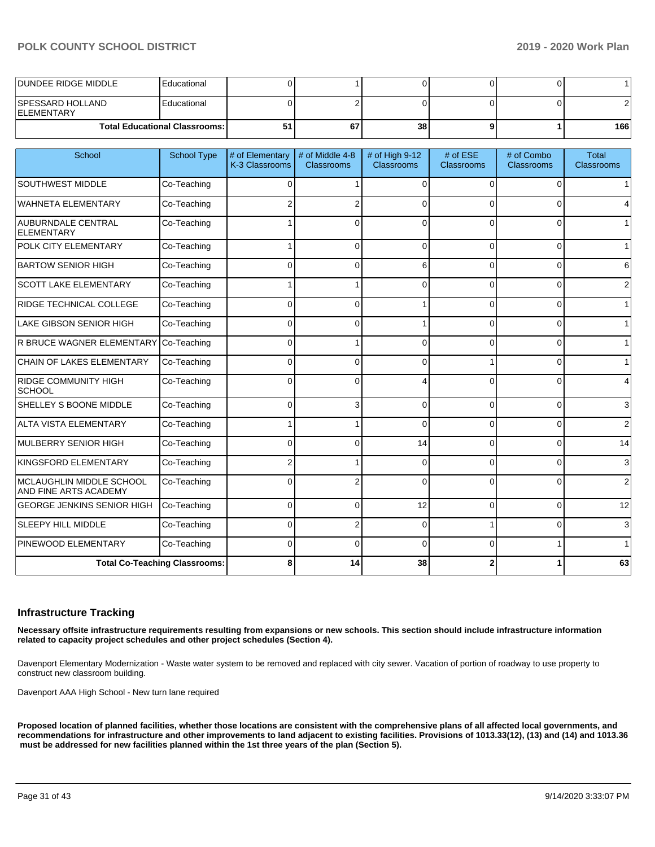| IDUNDEE RIDGE MIDDLE                    | Educational                            |    |    |                 |  |     |
|-----------------------------------------|----------------------------------------|----|----|-----------------|--|-----|
| ISPESSARD HOLLAND<br><b>IELEMENTARY</b> | Educational                            |    |    |                 |  |     |
|                                         | <b>Total Educational Classrooms: I</b> | G. | 67 | 38 <sup>1</sup> |  | 166 |

| School                                            | <b>School Type</b>                   | # of Elementary<br>K-3 Classrooms | # of Middle 4-8<br><b>Classrooms</b> | # of High 9-12<br><b>Classrooms</b> | # of ESE<br><b>Classrooms</b> | # of Combo<br><b>Classrooms</b> | Total<br><b>Classrooms</b> |
|---------------------------------------------------|--------------------------------------|-----------------------------------|--------------------------------------|-------------------------------------|-------------------------------|---------------------------------|----------------------------|
| SOUTHWEST MIDDLE                                  | Co-Teaching                          | 0                                 | 1                                    | $\Omega$                            | $\Omega$                      | $\Omega$                        | 1 <sup>1</sup>             |
| <b>WAHNETA ELEMENTARY</b>                         | Co-Teaching                          |                                   | 2                                    | $\Omega$                            | <sup>0</sup>                  | 0                               | $\overline{4}$             |
| <b>AUBURNDALE CENTRAL</b><br><b>ELEMENTARY</b>    | Co-Teaching                          |                                   | $\Omega$                             | $\Omega$                            | $\Omega$                      | $\Omega$                        | 1                          |
| POLK CITY ELEMENTARY                              | Co-Teaching                          |                                   | $\Omega$                             | $\Omega$                            | $\Omega$                      | $\Omega$                        | $\mathbf{1}$               |
| <b>BARTOW SENIOR HIGH</b>                         | Co-Teaching                          | $\Omega$                          | 0                                    | 6                                   | 0                             | $\Omega$                        | $6 \overline{6}$           |
| <b>SCOTT LAKE ELEMENTARY</b>                      | Co-Teaching                          |                                   |                                      | $\Omega$                            | 0                             | $\Omega$                        | $\overline{2}$             |
| <b>RIDGE TECHNICAL COLLEGE</b>                    | Co-Teaching                          | 0                                 | 0                                    |                                     | $\Omega$                      | $\Omega$                        | 1                          |
| <b>LAKE GIBSON SENIOR HIGH</b>                    | Co-Teaching                          | 0                                 | $\Omega$                             |                                     | $\Omega$                      | 0                               | 1                          |
| <b>R BRUCE WAGNER ELEMENTARY</b>                  | Co-Teaching                          | 0                                 |                                      | $\Omega$                            | 0                             | $\Omega$                        | 1                          |
| CHAIN OF LAKES ELEMENTARY                         | Co-Teaching                          | 0                                 | 0                                    | $\Omega$                            |                               | $\Omega$                        | 1                          |
| <b>RIDGE COMMUNITY HIGH</b><br>SCHOOL             | Co-Teaching                          | $\Omega$                          | $\Omega$                             |                                     | $\Omega$                      | 0                               | $\overline{4}$             |
| SHELLEY S BOONE MIDDLE                            | Co-Teaching                          | 0                                 | 3                                    | $\Omega$                            | $\Omega$                      | $\Omega$                        | $\mathbf{3}$               |
| <b>ALTA VISTA ELEMENTARY</b>                      | Co-Teaching                          |                                   |                                      | $\Omega$                            | 0                             | $\Omega$                        | $\overline{2}$             |
| <b>MULBERRY SENIOR HIGH</b>                       | Co-Teaching                          | $\Omega$                          | 0                                    | 14                                  | $\Omega$                      | $\Omega$                        | 14                         |
| KINGSFORD ELEMENTARY                              | Co-Teaching                          |                                   |                                      | $\Omega$                            | $\Omega$                      | 0                               | $\mathbf{3}$               |
| MCLAUGHLIN MIDDLE SCHOOL<br>AND FINE ARTS ACADEMY | Co-Teaching                          | $\Omega$                          | $\overline{2}$                       | $\Omega$                            | $\Omega$                      | $\Omega$                        | $\overline{2}$             |
| <b>GEORGE JENKINS SENIOR HIGH</b>                 | Co-Teaching                          | $\Omega$                          | $\Omega$                             | 12                                  | $\Omega$                      | $\Omega$                        | 12                         |
| <b>SLEEPY HILL MIDDLE</b>                         | Co-Teaching                          | $\Omega$                          | $\overline{2}$                       | $\Omega$                            |                               | $\Omega$                        | $\mathbf{3}$               |
| PINEWOOD ELEMENTARY                               | Co-Teaching                          | 0                                 | 0                                    | $\Omega$                            | 0                             | 1                               | 1                          |
|                                                   | <b>Total Co-Teaching Classrooms:</b> | 8                                 | 14                                   | 38                                  |                               |                                 | 63                         |

### **Infrastructure Tracking**

**Necessary offsite infrastructure requirements resulting from expansions or new schools. This section should include infrastructure information related to capacity project schedules and other project schedules (Section 4).** 

Davenport Elementary Modernization - Waste water system to be removed and replaced with city sewer. Vacation of portion of roadway to use property to construct new classroom building.

Davenport AAA High School - New turn lane required

**Proposed location of planned facilities, whether those locations are consistent with the comprehensive plans of all affected local governments, and recommendations for infrastructure and other improvements to land adjacent to existing facilities. Provisions of 1013.33(12), (13) and (14) and 1013.36 must be addressed for new facilities planned within the 1st three years of the plan (Section 5).**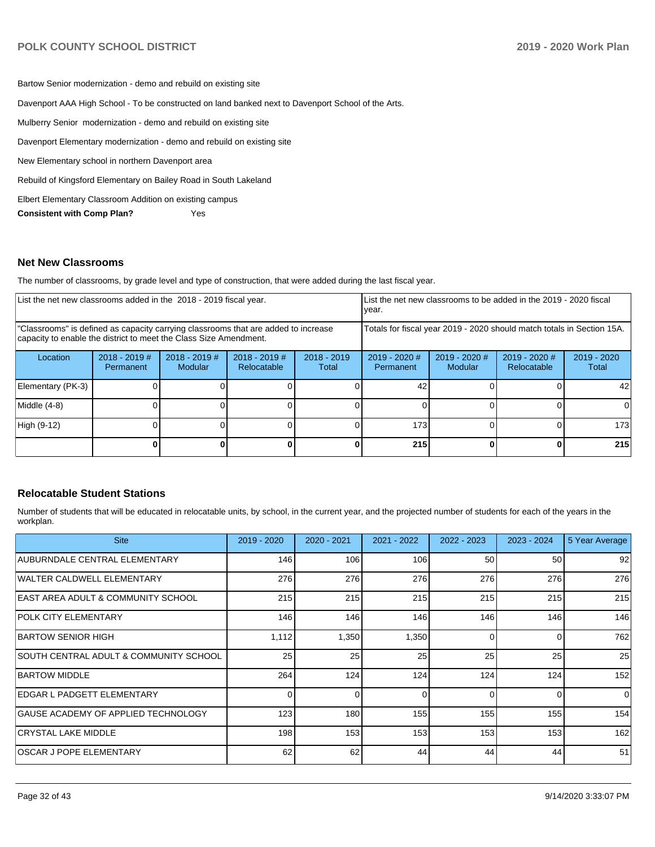Bartow Senior modernization - demo and rebuild on existing site Davenport AAA High School - To be constructed on land banked next to Davenport School of the Arts. Mulberry Senior modernization - demo and rebuild on existing site Davenport Elementary modernization - demo and rebuild on existing site New Elementary school in northern Davenport area Rebuild of Kingsford Elementary on Bailey Road in South Lakeland Elbert Elementary Classroom Addition on existing campus **Consistent with Comp Plan?** Yes

### **Net New Classrooms**

The number of classrooms, by grade level and type of construction, that were added during the last fiscal year.

| List the net new classrooms added in the 2018 - 2019 fiscal year.                                                                                       |                              |                            |                                                                        | List the net new classrooms to be added in the 2019 - 2020 fiscal<br>year. |                              |                                   |                              |                        |
|---------------------------------------------------------------------------------------------------------------------------------------------------------|------------------------------|----------------------------|------------------------------------------------------------------------|----------------------------------------------------------------------------|------------------------------|-----------------------------------|------------------------------|------------------------|
| "Classrooms" is defined as capacity carrying classrooms that are added to increase<br>capacity to enable the district to meet the Class Size Amendment. |                              |                            | Totals for fiscal year 2019 - 2020 should match totals in Section 15A. |                                                                            |                              |                                   |                              |                        |
| Location                                                                                                                                                | $2018 - 2019$ #<br>Permanent | $2018 - 2019$ #<br>Modular | $2018 - 2019$ #<br>Relocatable                                         | $2018 - 2019$<br>Total                                                     | $2019 - 2020$ #<br>Permanent | $2019 - 2020$ #<br><b>Modular</b> | 2019 - 2020 #<br>Relocatable | $2019 - 2020$<br>Total |
| Elementary (PK-3)                                                                                                                                       |                              |                            |                                                                        |                                                                            | 42                           |                                   |                              | 42                     |
| Middle (4-8)                                                                                                                                            |                              |                            |                                                                        |                                                                            |                              |                                   |                              |                        |
| High (9-12)                                                                                                                                             |                              |                            |                                                                        |                                                                            | 173                          |                                   |                              | 173                    |
|                                                                                                                                                         |                              |                            |                                                                        |                                                                            | 215                          |                                   |                              | 215                    |

### **Relocatable Student Stations**

Number of students that will be educated in relocatable units, by school, in the current year, and the projected number of students for each of the years in the workplan.

| <b>Site</b>                            | $2019 - 2020$ | $2020 - 2021$ | 2021 - 2022 | 2022 - 2023 | $2023 - 2024$ | 5 Year Average |
|----------------------------------------|---------------|---------------|-------------|-------------|---------------|----------------|
| AUBURNDALE CENTRAL ELEMENTARY          | 146           | 106           | 106         | 50          | 50            | 92             |
| WALTER CALDWELL ELEMENTARY             | 276           | 276           | 276         | 276         | 276           | 276            |
| IEAST AREA ADULT & COMMUNITY SCHOOL    | 215           | 215           | 215         | 215         | 215           | 215            |
| <b>POLK CITY ELEMENTARY</b>            | 146           | 146           | 146         | 146         | 146           | 146            |
| BARTOW SENIOR HIGH                     | 1,112         | 1,350         | 1,350       | $\Omega$    | 0             | 762            |
| SOUTH CENTRAL ADULT & COMMUNITY SCHOOL | 25            | 25            | 25          | 25          | 25            | 25             |
| <b>IBARTOW MIDDLE</b>                  | 264           | 124           | 124         | 124         | 124           | 152            |
| <b>IEDGAR L PADGETT ELEMENTARY</b>     |               |               | $\Omega$    | $\Omega$    |               | $\Omega$       |
| GAUSE ACADEMY OF APPLIED TECHNOLOGY    | 123           | 180           | 155         | 155         | 155           | 154            |
| <b>CRYSTAL LAKE MIDDLE</b>             | 198           | 153           | 153         | 153         | 153           | 162            |
| IOSCAR J POPE ELEMENTARY               | 62            | 62            | 44          | 44          | 44            | 51             |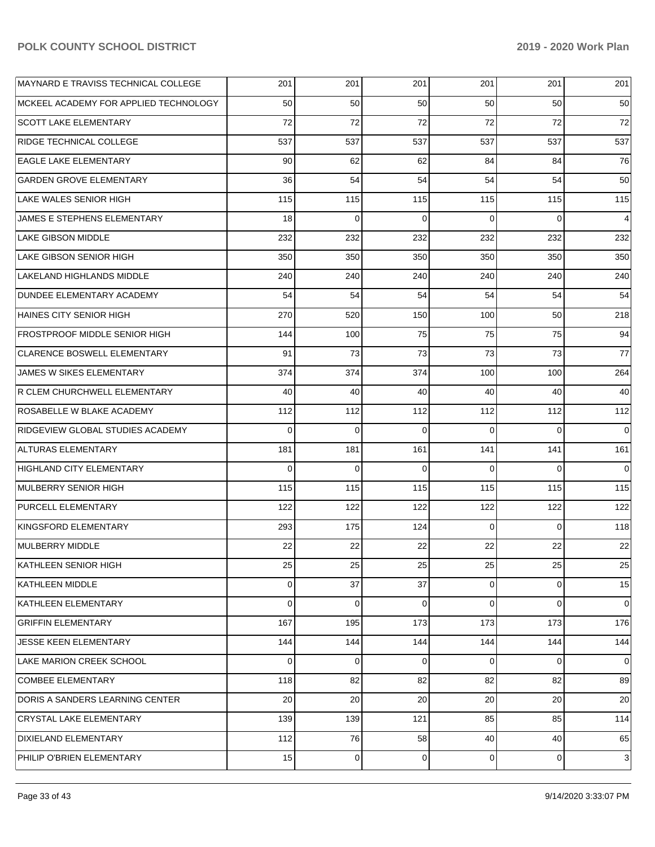| MAYNARD E TRAVISS TECHNICAL COLLEGE     | 201      | 201      | 201         | 201            | 201             | 201            |
|-----------------------------------------|----------|----------|-------------|----------------|-----------------|----------------|
| MCKEEL ACADEMY FOR APPLIED TECHNOLOGY   | 50       | 50       | 50          | 50             | 50              | 50             |
| <b>SCOTT LAKE ELEMENTARY</b>            | 72       | 72       | 72          | 72             | 72              | 72             |
| RIDGE TECHNICAL COLLEGE                 | 537      | 537      | 537         | 537            | 537             | 537            |
| <b>EAGLE LAKE ELEMENTARY</b>            | 90       | 62       | 62          | 84             | 84              | 76             |
| <b>GARDEN GROVE ELEMENTARY</b>          | 36       | 54       | 54          | 54             | 54              | 50             |
| LAKE WALES SENIOR HIGH                  | 115      | 115      | 115         | 115            | 115             | 115            |
| JAMES E STEPHENS ELEMENTARY             | 18       | $\Omega$ | $\Omega$    | $\Omega$       | $\Omega$        | $\overline{4}$ |
| <b>LAKE GIBSON MIDDLE</b>               | 232      | 232      | 232         | 232            | 232             | 232            |
| LAKE GIBSON SENIOR HIGH                 | 350      | 350      | 350         | 350            | 350             | 350            |
| LAKELAND HIGHLANDS MIDDLE               | 240      | 240      | 240         | 240            | 240             | 240            |
| DUNDEE ELEMENTARY ACADEMY               | 54       | 54       | 54          | 54             | 54              | 54             |
| <b>HAINES CITY SENIOR HIGH</b>          | 270      | 520      | 150         | 100            | 50 <sub>1</sub> | 218            |
| <b>FROSTPROOF MIDDLE SENIOR HIGH</b>    | 144      | 100      | 75          | 75             | 75              | 94             |
| <b>CLARENCE BOSWELL ELEMENTARY</b>      | 91       | 73       | 73          | 73             | 73              | 77             |
| JAMES W SIKES ELEMENTARY                | 374      | 374      | 374         | 100            | 100             | 264            |
| <b>R CLEM CHURCHWELL ELEMENTARY</b>     | 40       | 40       | 40          | 40             | 40              | 40             |
| ROSABELLE W BLAKE ACADEMY               | 112      | 112      | 112         | 112            | 112             | 112            |
| <b>RIDGEVIEW GLOBAL STUDIES ACADEMY</b> | $\Omega$ | $\Omega$ | $\Omega$    | $\Omega$       | $\Omega$        | $\overline{0}$ |
| <b>ALTURAS ELEMENTARY</b>               | 181      | 181      | 161         | 141            | 141             | 161            |
| HIGHLAND CITY ELEMENTARY                | $\Omega$ | $\Omega$ | $\Omega$    | $\Omega$       | $\Omega$        | $\overline{0}$ |
| MULBERRY SENIOR HIGH                    | 115      | 115      | 115         | 115            | 115             | 115            |
| <b>PURCELL ELEMENTARY</b>               | 122      | 122      | 122         | 122            | 122             | 122            |
| KINGSFORD ELEMENTARY                    | 293      | 175      | 124         | $\Omega$       | $\overline{0}$  | 118            |
| <b>MULBERRY MIDDLE</b>                  | 22       | 22       | 22          | 22             | 22              | 22             |
| KATHLEEN SENIOR HIGH                    | 25       | 25       | 25          | 25             | 25              | 25             |
| <b>KATHLEEN MIDDLE</b>                  | 0        | 37       | 37          | 0              | $\overline{0}$  | 15             |
| KATHLEEN ELEMENTARY                     | $\Omega$ | $\Omega$ | $\Omega$    | $\Omega$       | $\overline{0}$  | $\overline{0}$ |
| <b>GRIFFIN ELEMENTARY</b>               | 167      | 195      | 173         | 173            | 173             | 176            |
| <b>JESSE KEEN ELEMENTARY</b>            | 144      | 144      | 144         | 144            | 144             | 144            |
| LAKE MARION CREEK SCHOOL                | $\Omega$ | 0        | $\Omega$    | $\Omega$       | $\overline{0}$  | $\overline{0}$ |
| <b>COMBEE ELEMENTARY</b>                | 118      | 82       | 82          | 82             | 82              | 89             |
| DORIS A SANDERS LEARNING CENTER         | 20       | 20       | 20          | 20             | 20              | 20             |
| <b>CRYSTAL LAKE ELEMENTARY</b>          | 139      | 139      | 121         | 85             | 85              | 114            |
| <b>DIXIELAND ELEMENTARY</b>             | 112      | 76       | 58          | 40             | 40              | 65             |
| PHILIP O'BRIEN ELEMENTARY               | 15       | 0        | $\mathbf 0$ | $\overline{0}$ | $\overline{0}$  | $\mathbf{3}$   |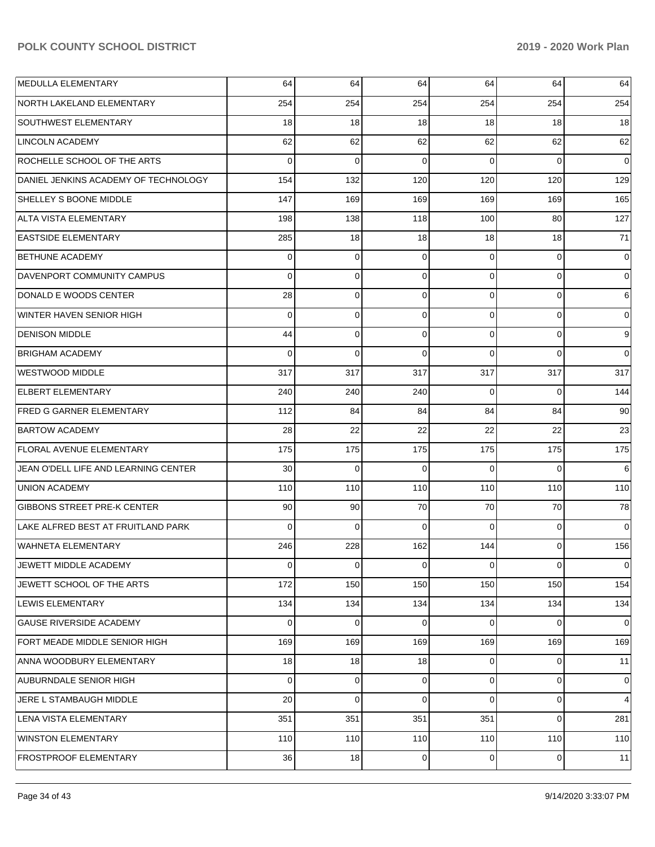| MEDULLA ELEMENTARY                   | 64       | 64             | 64       | 64             | 64          | 64       |
|--------------------------------------|----------|----------------|----------|----------------|-------------|----------|
| NORTH LAKELAND ELEMENTARY            | 254      | 254            | 254      | 254            | 254         | 254      |
| <b>SOUTHWEST ELEMENTARY</b>          | 18       | 18             | 18       | 18             | 18          | 18       |
| LINCOLN ACADEMY                      | 62       | 62             | 62       | 62             | 62          | 62       |
| ROCHELLE SCHOOL OF THE ARTS          | $\Omega$ | $\mathbf 0$    | 0        | $\Omega$       | $\Omega$    | 0        |
| DANIEL JENKINS ACADEMY OF TECHNOLOGY | 154      | 132            | 120      | 120            | 120         | 129      |
| SHELLEY S BOONE MIDDLE               | 147      | 169            | 169      | 169            | 169         | 165      |
| <b>ALTA VISTA ELEMENTARY</b>         | 198      | 138            | 118      | 100            | 80          | 127      |
| <b>EASTSIDE ELEMENTARY</b>           | 285      | 18             | 18       | 18             | 18          | 71       |
| <b>BETHUNE ACADEMY</b>               | $\Omega$ | $\mathbf 0$    | 0        | $\Omega$       | $\mathbf 0$ | 0        |
| DAVENPORT COMMUNITY CAMPUS           | $\Omega$ | 0              | 0        | $\Omega$       | $\mathbf 0$ | $\Omega$ |
| DONALD E WOODS CENTER                | 28       | 0              | 0        | $\Omega$       | $\mathbf 0$ | 6        |
| WINTER HAVEN SENIOR HIGH             | $\Omega$ | $\mathbf 0$    | 0        | 0              | $\mathbf 0$ | 0        |
| <b>DENISON MIDDLE</b>                | 44       | $\mathbf 0$    | 0        | $\Omega$       | $\mathbf 0$ | 9        |
| <b>BRIGHAM ACADEMY</b>               | 0        | $\mathbf 0$    | $\Omega$ | $\Omega$       | $\Omega$    | $\Omega$ |
| <b>WESTWOOD MIDDLE</b>               | 317      | 317            | 317      | 317            | 317         | 317      |
| <b>ELBERT ELEMENTARY</b>             | 240      | 240            | 240      | $\Omega$       | $\Omega$    | 144      |
| <b>FRED G GARNER ELEMENTARY</b>      | 112      | 84             | 84       | 84             | 84          | 90       |
| <b>BARTOW ACADEMY</b>                | 28       | 22             | 22       | 22             | 22          | 23       |
| FLORAL AVENUE ELEMENTARY             | 175      | 175            | 175      | 175            | 175         | 175      |
| JEAN O'DELL LIFE AND LEARNING CENTER | 30       | $\mathbf 0$    | $\Omega$ | $\Omega$       | $\Omega$    | 6        |
| <b>UNION ACADEMY</b>                 | 110      | 110            | 110      | 110            | 110         | 110      |
| <b>GIBBONS STREET PRE-K CENTER</b>   | 90       | 90             | 70       | 70             | 70          | 78       |
| LAKE ALFRED BEST AT FRUITLAND PARK   | $\Omega$ | $\mathbf 0$    | $\Omega$ | $\Omega$       | $\mathbf 0$ | 0        |
| <b>WAHNETA ELEMENTARY</b>            | 246      | 228            | 162      | 144            | $\mathbf 0$ | 156      |
| JEWETT MIDDLE ACADEMY                | 0        | $\mathbf 0$    | 0        | $\overline{0}$ | $\mathbf 0$ | 0        |
| JEWETT SCHOOL OF THE ARTS            | 172      | 150            | 150      | 150            | 150         | 154      |
| LEWIS ELEMENTARY                     | 134      | 134            | 134      | 134            | 134         | 134      |
| <b>GAUSE RIVERSIDE ACADEMY</b>       | 0        | $\overline{0}$ | 0        | $\overline{0}$ | $\mathbf 0$ | 0        |
| FORT MEADE MIDDLE SENIOR HIGH        | 169      | 169            | 169      | 169            | 169         | 169      |
| ANNA WOODBURY ELEMENTARY             | 18       | 18             | 18       | $\overline{0}$ | $\mathbf 0$ | 11       |
| AUBURNDALE SENIOR HIGH               | 0        | $\mathbf 0$    | 0        | $\overline{0}$ | $\mathbf 0$ | 0        |
| JERE L STAMBAUGH MIDDLE              | 20       | $\mathbf 0$    | 0        | $\Omega$       | 0           | 4        |
| LENA VISTA ELEMENTARY                | 351      | 351            | 351      | 351            | $\mathbf 0$ | 281      |
| <b>WINSTON ELEMENTARY</b>            | 110      | 110            | 110      | 110            | 110         | 110      |
| FROSTPROOF ELEMENTARY                | 36       | 18             | 0        | $\overline{0}$ | 0           | 11       |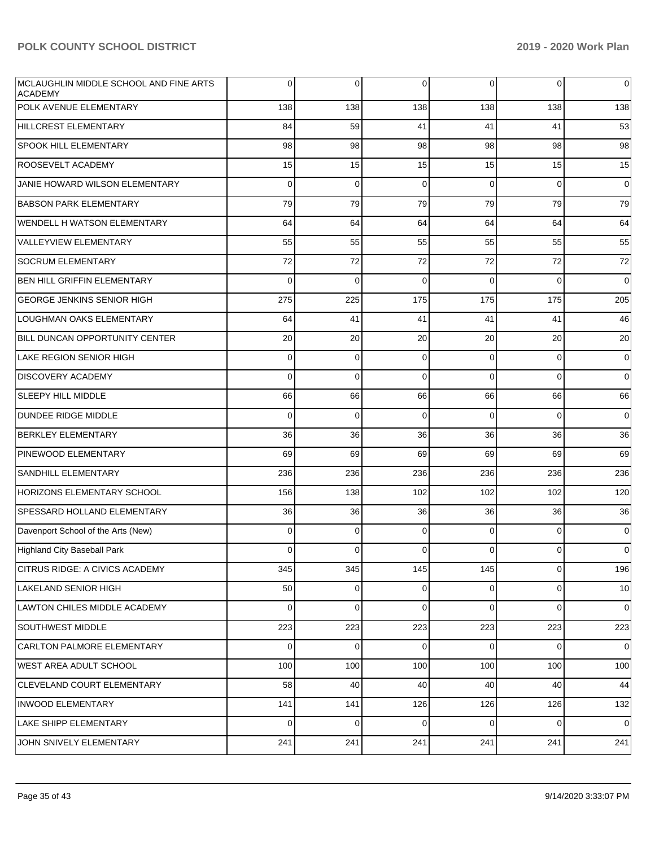| MCLAUGHLIN MIDDLE SCHOOL AND FINE ARTS<br><b>ACADEMY</b> | 0           | 0           | 0              | $\mathbf 0$ | $\overline{0}$ | $\overline{0}$ |
|----------------------------------------------------------|-------------|-------------|----------------|-------------|----------------|----------------|
| <b>POLK AVENUE ELEMENTARY</b>                            | 138         | 138         | 138            | 138         | 138            | 138            |
| <b>HILLCREST ELEMENTARY</b>                              | 84          | 59          | 41             | 41          | 41             | 53             |
| <b>SPOOK HILL ELEMENTARY</b>                             | 98          | 98          | 98             | 98          | 98             | 98             |
| ROOSEVELT ACADEMY                                        | 15          | 15          | 15             | 15          | 15             | 15             |
| JANIE HOWARD WILSON ELEMENTARY                           | $\Omega$    | $\Omega$    | $\Omega$       | $\Omega$    | $\Omega$       | $\overline{0}$ |
| <b>BABSON PARK ELEMENTARY</b>                            | 79          | 79          | 79             | 79          | 79             | 79             |
| WENDELL H WATSON ELEMENTARY                              | 64          | 64          | 64             | 64          | 64             | 64             |
| <b>VALLEYVIEW ELEMENTARY</b>                             | 55          | 55          | 55             | 55          | 55             | 55             |
| <b>SOCRUM ELEMENTARY</b>                                 | 72          | 72          | 72             | 72          | 72             | 72             |
| BEN HILL GRIFFIN ELEMENTARY                              | $\Omega$    | $\Omega$    | $\Omega$       | $\Omega$    | $\Omega$       | $\overline{0}$ |
| <b>GEORGE JENKINS SENIOR HIGH</b>                        | 275         | 225         | 175            | 175         | 175            | 205            |
| LOUGHMAN OAKS ELEMENTARY                                 | 64          | 41          | 41             | 41          | 41             | 46             |
| BILL DUNCAN OPPORTUNITY CENTER                           | 20          | 20          | 20             | 20          | 20             | 20             |
| <b>LAKE REGION SENIOR HIGH</b>                           | $\mathbf 0$ | $\mathbf 0$ | $\Omega$       | $\Omega$    | $\overline{0}$ | $\overline{0}$ |
| <b>DISCOVERY ACADEMY</b>                                 | $\Omega$    | $\Omega$    | $\Omega$       | $\Omega$    | $\Omega$       | $\overline{0}$ |
| <b>SLEEPY HILL MIDDLE</b>                                | 66          | 66          | 66             | 66          | 66             | 66             |
| <b>DUNDEE RIDGE MIDDLE</b>                               | $\Omega$    | $\Omega$    | $\Omega$       | $\Omega$    | $\Omega$       | $\overline{0}$ |
| <b>BERKLEY ELEMENTARY</b>                                | 36          | 36          | 36             | 36          | 36             | 36             |
| PINEWOOD ELEMENTARY                                      | 69          | 69          | 69             | 69          | 69             | 69             |
| SANDHILL ELEMENTARY                                      | 236         | 236         | 236            | 236         | 236            | 236            |
| <b>HORIZONS ELEMENTARY SCHOOL</b>                        | 156         | 138         | 102            | 102         | 102            | 120            |
| SPESSARD HOLLAND ELEMENTARY                              | 36          | 36          | 36             | 36          | 36             | 36             |
| Davenport School of the Arts (New)                       | 0           | 0           | $\Omega$       | $\Omega$    | $\overline{0}$ | $\overline{0}$ |
| Highland City Baseball Park                              | 0           | 0           | $\mathbf 0$    | 0           | $\overline{0}$ | $\overline{0}$ |
| <b>CITRUS RIDGE: A CIVICS ACADEMY</b>                    | 345         | 345         | 145            | 145         | $\overline{0}$ | 196            |
| LAKELAND SENIOR HIGH                                     | 50          | 0           | $\overline{0}$ | 0           | $\overline{0}$ | 10             |
| LAWTON CHILES MIDDLE ACADEMY                             | $\mathbf 0$ | 0           | $\Omega$       | $\Omega$    | $\overline{0}$ | $\overline{0}$ |
| SOUTHWEST MIDDLE                                         | 223         | 223         | 223            | 223         | 223            | 223            |
| <b>CARLTON PALMORE ELEMENTARY</b>                        | $\mathbf 0$ | $\mathbf 0$ | $\Omega$       | $\Omega$    | $\overline{0}$ | $\overline{0}$ |
| <b>WEST AREA ADULT SCHOOL</b>                            | 100         | 100         | 100            | 100         | 100            | 100            |
| CLEVELAND COURT ELEMENTARY                               | 58          | 40          | 40             | 40          | 40             | 44             |
| <b>INWOOD ELEMENTARY</b>                                 | 141         | 141         | 126            | 126         | 126            | 132            |
| <b>LAKE SHIPP ELEMENTARY</b>                             | $\mathbf 0$ | $\mathbf 0$ | $\Omega$       | $\Omega$    | $\overline{0}$ | $\overline{0}$ |
| JOHN SNIVELY ELEMENTARY                                  | 241         | 241         | 241            | 241         | 241            | 241            |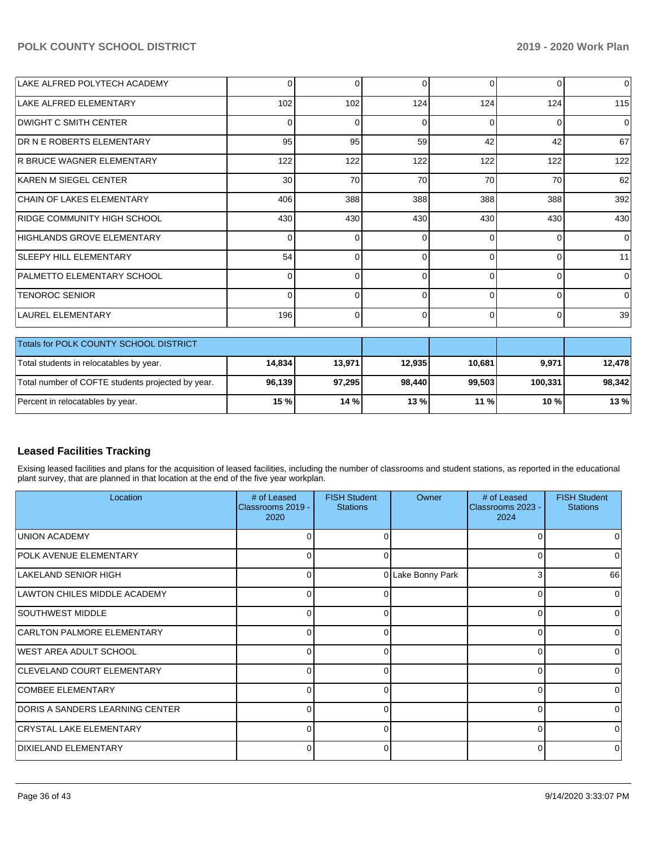| LAKE ALFRED POLYTECH ACADEMY     | $\Omega$        | 0        | 0            | $\Omega$ | $\Omega$ | $\Omega$ |
|----------------------------------|-----------------|----------|--------------|----------|----------|----------|
| LAKE ALFRED ELEMENTARY           | 102             | 102      | 124          | 124      | 124      | 115      |
| <b>DWIGHT C SMITH CENTER</b>     | $\Omega$        | 0        | 0            | 0        | $\Omega$ | 0        |
| <b>DR N E ROBERTS ELEMENTARY</b> | 95              | 95       | 59           | 42       | 42       | 67       |
| <b>R BRUCE WAGNER ELEMENTARY</b> | 122             | 122      | 122          | 122      | 122      | 122      |
| KAREN M SIEGEL CENTER            | 30 <sup>1</sup> | 70       | 70           | 70       | 70       | 62       |
| <b>CHAIN OF LAKES ELEMENTARY</b> | 406             | 388      | 388          | 388      | 388      | 392      |
| RIDGE COMMUNITY HIGH SCHOOL      | 430             | 430      | 430          | 430      | 430      | 430      |
| HIGHLANDS GROVE ELEMENTARY       | $\Omega$        | $\Omega$ | O            | $\Omega$ | $\Omega$ | $\Omega$ |
| <b>SLEEPY HILL ELEMENTARY</b>    | 54              | $\Omega$ | 0            | $\Omega$ | $\Omega$ | 11       |
| PALMETTO ELEMENTARY SCHOOL       | $\Omega$        | 0        |              | $\Omega$ | $\Omega$ | $\Omega$ |
| <b>TENOROC SENIOR</b>            | $\Omega$        | $\Omega$ | <sup>0</sup> | $\Omega$ | $\Omega$ | $\Omega$ |
| LAUREL ELEMENTARY                | 196             | 0        | 0            | $\Omega$ | $\Omega$ | 39       |
|                                  |                 |          |              |          |          |          |

| <b>Totals for POLK COUNTY SCHOOL DISTRICT</b>     |        |        |        |         |         |        |
|---------------------------------------------------|--------|--------|--------|---------|---------|--------|
| Total students in relocatables by year.           | 14.834 | 13,971 | 12.935 | 10.681  | 9,971   | 12.478 |
| Total number of COFTE students projected by year. | 96,139 | 97.295 | 98.440 | 99.503  | 100.331 | 98,342 |
| 15%<br>14%<br>Percent in relocatables by year.    |        |        | 13 %   | $11 \%$ | $10 \%$ | 13%    |

## **Leased Facilities Tracking**

Exising leased facilities and plans for the acquisition of leased facilities, including the number of classrooms and student stations, as reported in the educational plant survey, that are planned in that location at the end of the five year workplan.

| Location                               | # of Leased<br>Classrooms 2019 -<br>2020 | <b>FISH Student</b><br><b>Stations</b> | Owner             | # of Leased<br>Classrooms 2023 -<br>2024 | <b>FISH Student</b><br><b>Stations</b> |
|----------------------------------------|------------------------------------------|----------------------------------------|-------------------|------------------------------------------|----------------------------------------|
| <b>UNION ACADEMY</b>                   | U                                        | U                                      |                   |                                          |                                        |
| <b>POLK AVENUE ELEMENTARY</b>          | $\overline{0}$                           | 0                                      |                   |                                          |                                        |
| LAKELAND SENIOR HIGH                   | $\Omega$                                 |                                        | 0 Lake Bonny Park | 3                                        | 66                                     |
| LAWTON CHILES MIDDLE ACADEMY           | $\Omega$                                 | 0                                      |                   | r                                        | 0                                      |
| SOUTHWEST MIDDLE                       | $\Omega$                                 | 0                                      |                   |                                          |                                        |
| CARLTON PALMORE ELEMENTARY             | 0                                        | ი                                      |                   |                                          |                                        |
| WEST AREA ADULT SCHOOL                 | $\Omega$                                 | 0                                      |                   |                                          |                                        |
| <b>CLEVELAND COURT ELEMENTARY</b>      | $\Omega$                                 | 0                                      |                   |                                          |                                        |
| <b>COMBEE ELEMENTARY</b>               | $\Omega$                                 | ი                                      |                   |                                          |                                        |
| <b>DORIS A SANDERS LEARNING CENTER</b> | $\Omega$                                 | U                                      |                   |                                          |                                        |
| <b>CRYSTAL LAKE ELEMENTARY</b>         | $\overline{0}$                           | 0                                      |                   |                                          | 0                                      |
| DIXIELAND ELEMENTARY                   | 0                                        | 0                                      |                   |                                          |                                        |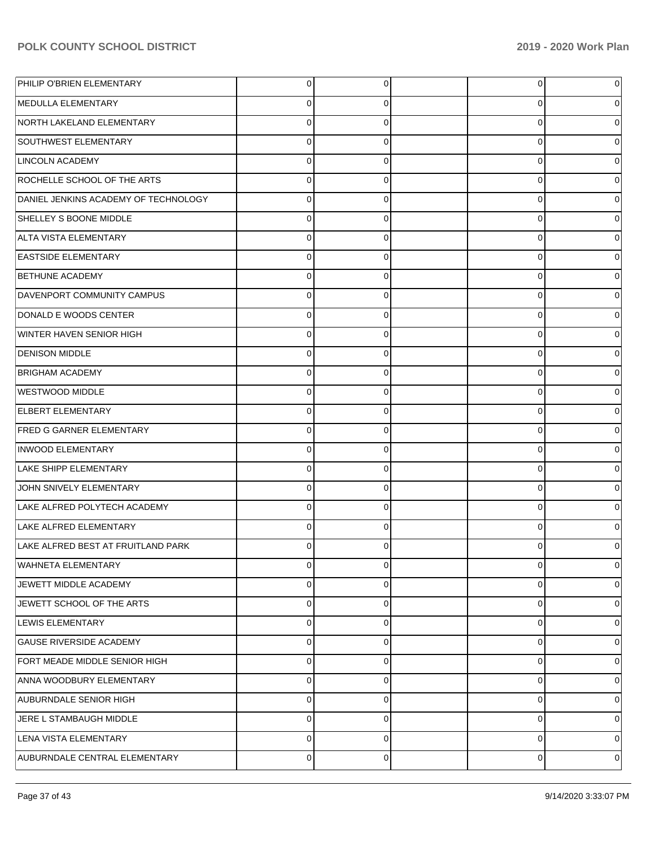| PHILIP O'BRIEN ELEMENTARY            | 0        | 0           | 0           | 0           |
|--------------------------------------|----------|-------------|-------------|-------------|
| MEDULLA ELEMENTARY                   | 0        | 0           | 0           | 0           |
| NORTH LAKELAND ELEMENTARY            | 0        | 0           | 0           | 0           |
| SOUTHWEST ELEMENTARY                 | 0        | 0           | 0           | 0           |
| <b>LINCOLN ACADEMY</b>               | 0        | 0           | $\mathbf 0$ | 0           |
| ROCHELLE SCHOOL OF THE ARTS          | 0        | 0           | 0           | 0           |
| DANIEL JENKINS ACADEMY OF TECHNOLOGY | 0        | 0           | $\mathbf 0$ | 0           |
| <b>SHELLEY S BOONE MIDDLE</b>        | 0        | 0           | 0           | 0           |
| ALTA VISTA ELEMENTARY                | 0        | 0           | $\mathbf 0$ | 0           |
| <b>EASTSIDE ELEMENTARY</b>           | 0        | 0           | 0           | 0           |
| <b>BETHUNE ACADEMY</b>               | 0        | 0           | 0           | 0           |
| DAVENPORT COMMUNITY CAMPUS           | 0        | 0           | 0           | 0           |
| DONALD E WOODS CENTER                | 0        | 0           | $\mathbf 0$ | 0           |
| <b>WINTER HAVEN SENIOR HIGH</b>      | 0        | 0           | 0           | 0           |
| <b>DENISON MIDDLE</b>                | 0        | 0           | $\mathbf 0$ | 0           |
| <b>BRIGHAM ACADEMY</b>               | 0        | 0           | 0           | 0           |
| WESTWOOD MIDDLE                      | 0        | 0           | $\mathbf 0$ | 0           |
| <b>ELBERT ELEMENTARY</b>             | 0        | 0           | 0           | 0           |
| <b>FRED G GARNER ELEMENTARY</b>      | 0        | 0           | $\mathbf 0$ | 0           |
| <b>INWOOD ELEMENTARY</b>             | 0        | 0           | 0           | 0           |
| <b>LAKE SHIPP ELEMENTARY</b>         | 0        | 0           | 0           | 0           |
| JOHN SNIVELY ELEMENTARY              | 0        | 0           | 0           | 0           |
| LAKE ALFRED POLYTECH ACADEMY         | 0        | 0           | $\mathbf 0$ | 0           |
| LAKE ALFRED ELEMENTARY               | $\Omega$ | 0           | 0           | 0           |
| LAKE ALFRED BEST AT FRUITLAND PARK   |          | 0           | 0           |             |
| <b>WAHNETA ELEMENTARY</b>            | 0        | 0           | 0           | 0           |
| JEWETT MIDDLE ACADEMY                | 0        | 0           | 0           | 0           |
| JEWETT SCHOOL OF THE ARTS            | 0        | $\mathbf 0$ | 0           | $\mathbf 0$ |
| LEWIS ELEMENTARY                     | 0        | 0           | 0           | $\mathbf 0$ |
| <b>GAUSE RIVERSIDE ACADEMY</b>       | 0        | $\mathbf 0$ | 0           | $\mathbf 0$ |
| FORT MEADE MIDDLE SENIOR HIGH        | 0        | 0           | 0           | 0           |
| ANNA WOODBURY ELEMENTARY             | 0        | $\mathbf 0$ | 0           | $\mathbf 0$ |
| <b>AUBURNDALE SENIOR HIGH</b>        | 0        | 0           | 0           | 0           |
| JERE L STAMBAUGH MIDDLE              | 0        | 0           | 0           | $\mathbf 0$ |
| LENA VISTA ELEMENTARY                | 0        | 0           | 0           | 0           |
| AUBURNDALE CENTRAL ELEMENTARY        | 0        | 0           | 0           | 0           |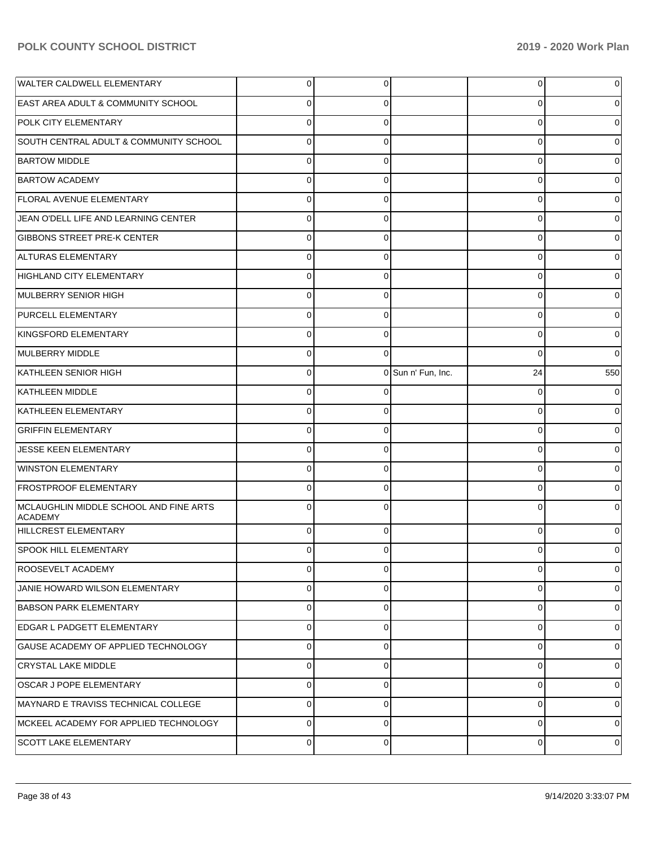| <b>WALTER CALDWELL ELEMENTARY</b>                 | $\overline{0}$ | 0           |                    | $\overline{0}$ | 0           |
|---------------------------------------------------|----------------|-------------|--------------------|----------------|-------------|
| <b>EAST AREA ADULT &amp; COMMUNITY SCHOOL</b>     | $\Omega$       | 0           |                    | 0              | 0           |
| POLK CITY ELEMENTARY                              | $\Omega$       | $\Omega$    |                    | 0              | 0           |
| SOUTH CENTRAL ADULT & COMMUNITY SCHOOL            | $\Omega$       | 0           |                    | 0              | 0           |
| <b>BARTOW MIDDLE</b>                              | $\Omega$       | $\Omega$    |                    | 0              | 0           |
| <b>BARTOW ACADEMY</b>                             | $\Omega$       | 0           |                    | 0              | 0           |
| <b>FLORAL AVENUE ELEMENTARY</b>                   | $\Omega$       | $\Omega$    |                    | 0              | 0           |
| JEAN O'DELL LIFE AND LEARNING CENTER              | $\Omega$       | 0           |                    | 0              | 0           |
| <b>GIBBONS STREET PRE-K CENTER</b>                | $\Omega$       | $\Omega$    |                    | 0              | 0           |
| ALTURAS ELEMENTARY                                | $\Omega$       | 0           |                    | 0              | 0           |
| HIGHLAND CITY ELEMENTARY                          | $\Omega$       | $\Omega$    |                    | 0              | 0           |
| MULBERRY SENIOR HIGH                              | $\Omega$       | 0           |                    | 0              | 0           |
| <b>PURCELL ELEMENTARY</b>                         | $\Omega$       | $\Omega$    |                    | 0              | 0           |
| KINGSFORD ELEMENTARY                              | $\Omega$       | $\Omega$    |                    | 0              | 0           |
| MULBERRY MIDDLE                                   | $\Omega$       | $\Omega$    |                    | 0              | 0           |
| KATHLEEN SENIOR HIGH                              | $\mathbf 0$    |             | 0 Sun n' Fun, Inc. | 24             | 550         |
| <b>KATHLEEN MIDDLE</b>                            | $\Omega$       |             |                    | $\Omega$       | 0           |
| KATHLEEN ELEMENTARY                               | $\Omega$       | $\Omega$    |                    | 0              | 0           |
| <b>GRIFFIN ELEMENTARY</b>                         | $\Omega$       | $\Omega$    |                    | 0              | 0           |
| JESSE KEEN ELEMENTARY                             | $\Omega$       | 0           |                    | 0              | 0           |
| <b>WINSTON ELEMENTARY</b>                         | $\Omega$       | $\Omega$    |                    | 0              | 0           |
| <b>FROSTPROOF ELEMENTARY</b>                      | $\Omega$       | $\Omega$    |                    | 0              | 0           |
| MCLAUGHLIN MIDDLE SCHOOL AND FINE ARTS<br>ACADEMY | $\Omega$       |             |                    | $\Omega$       |             |
| HILLCREST ELEMENTARY                              | $\Omega$       | $\Omega$    |                    | 0              |             |
| SPOOK HILL ELEMENTARY                             | $\Omega$       | $\Omega$    |                    | 0              | 0           |
| <b>ROOSEVELT ACADEMY</b>                          | $\Omega$       | $\Omega$    |                    | $\Omega$       | $\mathbf 0$ |
| JANIE HOWARD WILSON ELEMENTARY                    | $\Omega$       | $\Omega$    |                    | $\Omega$       | 0           |
| <b>BABSON PARK ELEMENTARY</b>                     | $\Omega$       | $\Omega$    |                    | $\mathbf 0$    | $\mathbf 0$ |
| EDGAR L PADGETT ELEMENTARY                        | $\Omega$       | $\Omega$    |                    | $\Omega$       | 0           |
| GAUSE ACADEMY OF APPLIED TECHNOLOGY               | $\Omega$       | $\Omega$    |                    | $\Omega$       | 0           |
| <b>CRYSTAL LAKE MIDDLE</b>                        | $\Omega$       | $\Omega$    |                    | $\Omega$       | 0           |
| OSCAR J POPE ELEMENTARY                           | $\Omega$       | $\Omega$    |                    | $\Omega$       | $\mathbf 0$ |
| MAYNARD E TRAVISS TECHNICAL COLLEGE               | $\Omega$       | $\Omega$    |                    | $\Omega$       | 0           |
| MCKEEL ACADEMY FOR APPLIED TECHNOLOGY             | $\Omega$       | $\Omega$    |                    | $\mathbf 0$    | 0           |
| <b>SCOTT LAKE ELEMENTARY</b>                      | $\overline{0}$ | $\mathbf 0$ |                    | $\mathbf 0$    | 0           |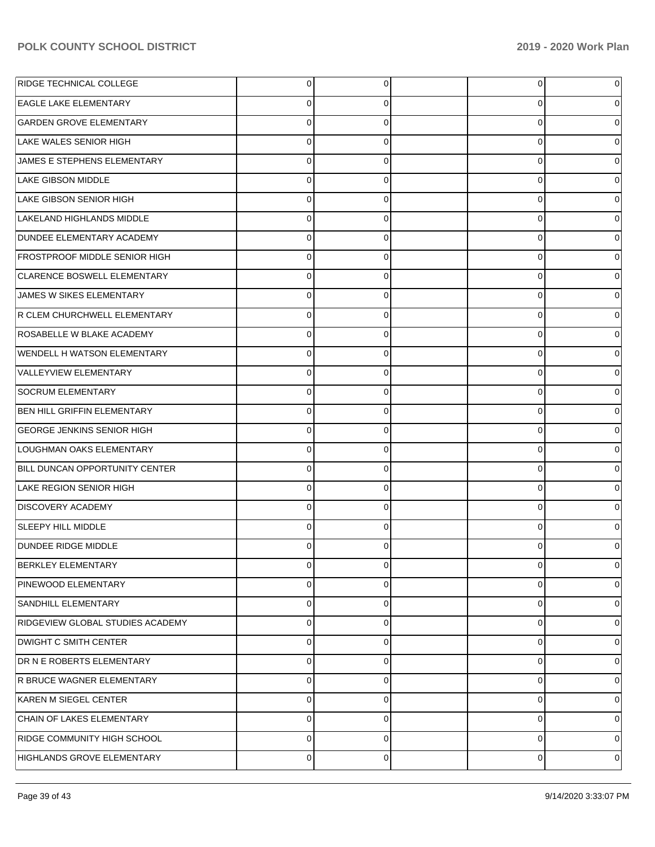| RIDGE TECHNICAL COLLEGE              | $\overline{0}$ | $\overline{0}$ | $\overline{0}$ | 0        |
|--------------------------------------|----------------|----------------|----------------|----------|
| <b>EAGLE LAKE ELEMENTARY</b>         | 0              | 0              | 0              |          |
| <b>GARDEN GROVE ELEMENTARY</b>       | $\Omega$       | $\Omega$       | 0              |          |
| LAKE WALES SENIOR HIGH               | $\Omega$       | $\Omega$       | 0              |          |
| JAMES E STEPHENS ELEMENTARY          | $\Omega$       | $\Omega$       | 0              |          |
| <b>LAKE GIBSON MIDDLE</b>            | $\Omega$       | $\Omega$       | 0              |          |
| LAKE GIBSON SENIOR HIGH              | $\Omega$       | 0              | 0              |          |
| LAKELAND HIGHLANDS MIDDLE            | $\Omega$       | $\Omega$       | 0              |          |
| DUNDEE ELEMENTARY ACADEMY            | $\Omega$       | $\Omega$       | 0              |          |
| <b>FROSTPROOF MIDDLE SENIOR HIGH</b> | $\Omega$       | $\Omega$       | 0              |          |
| CLARENCE BOSWELL ELEMENTARY          | $\Omega$       | 0              | 0              |          |
| JAMES W SIKES ELEMENTARY             | $\Omega$       | $\Omega$       | 0              |          |
| R CLEM CHURCHWELL ELEMENTARY         | $\Omega$       | 0              | 0              |          |
| ROSABELLE W BLAKE ACADEMY            | $\Omega$       | $\Omega$       | 0              |          |
| <b>WENDELL H WATSON ELEMENTARY</b>   | $\Omega$       | $\Omega$       | 0              |          |
| VALLEYVIEW ELEMENTARY                | $\Omega$       | $\Omega$       | 0              |          |
| SOCRUM ELEMENTARY                    | $\Omega$       | 0              | 0              |          |
| <b>BEN HILL GRIFFIN ELEMENTARY</b>   | $\Omega$       | $\Omega$       | 0              |          |
| <b>GEORGE JENKINS SENIOR HIGH</b>    | $\Omega$       | $\Omega$       | 0              |          |
| LOUGHMAN OAKS ELEMENTARY             | $\Omega$       | $\Omega$       | 0              |          |
| BILL DUNCAN OPPORTUNITY CENTER       | $\Omega$       | 0              | 0              |          |
| LAKE REGION SENIOR HIGH              | $\Omega$       | $\Omega$       | 0              |          |
| <b>DISCOVERY ACADEMY</b>             | $\Omega$       | 0              | 0              |          |
| SLEEPY HILL MIDDLE                   | $\Omega$       | 0              | 0              |          |
| <b>DUNDEE RIDGE MIDDLE</b>           |                | 0              | 0              |          |
| <b>BERKLEY ELEMENTARY</b>            | $\overline{0}$ | $\overline{0}$ | $\overline{0}$ | 0        |
| PINEWOOD ELEMENTARY                  | $\Omega$       | $\Omega$       | 0              | $\Omega$ |
| SANDHILL ELEMENTARY                  | $\Omega$       | $\Omega$       | 0              | $\Omega$ |
| RIDGEVIEW GLOBAL STUDIES ACADEMY     | $\Omega$       | $\Omega$       | 0              | 0        |
| <b>DWIGHT C SMITH CENTER</b>         | $\Omega$       | $\Omega$       | 0              | $\Omega$ |
| DR N E ROBERTS ELEMENTARY            | $\Omega$       | $\Omega$       | 0              | $\Omega$ |
| R BRUCE WAGNER ELEMENTARY            | $\Omega$       | $\Omega$       | 0              | $\Omega$ |
| KAREN M SIEGEL CENTER                | $\Omega$       | $\Omega$       | 0              | 0        |
| CHAIN OF LAKES ELEMENTARY            | $\Omega$       | $\Omega$       | 0              | $\Omega$ |
| RIDGE COMMUNITY HIGH SCHOOL          | $\Omega$       | $\Omega$       | 0              | 0        |
| HIGHLANDS GROVE ELEMENTARY           | $\mathbf 0$    | 0              | 0              | 0        |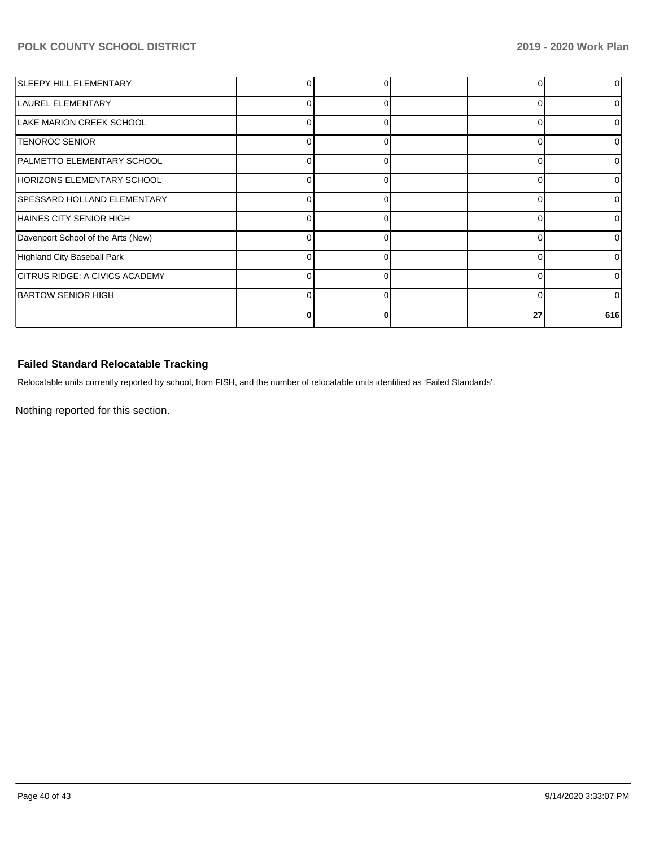| SLEEPY HILL ELEMENTARY                |              |   |          | $\Omega$     |
|---------------------------------------|--------------|---|----------|--------------|
| LAUREL ELEMENTARY                     | 0            | 0 |          | 0            |
| LAKE MARION CREEK SCHOOL              | 0            |   |          | 0            |
| <b>TENOROC SENIOR</b>                 | 0            | 0 | $\Omega$ | $\Omega$     |
| PALMETTO ELEMENTARY SCHOOL            | 0            |   |          | O            |
| HORIZONS ELEMENTARY SCHOOL            | U            |   | C        | 0            |
| <b>SPESSARD HOLLAND ELEMENTARY</b>    | $\Omega$     | ∩ | ∩        | $\Omega$     |
| HAINES CITY SENIOR HIGH               | <sup>0</sup> | O | n        | <sup>0</sup> |
| Davenport School of the Arts (New)    | 0            | ∩ |          | <sup>0</sup> |
| Highland City Baseball Park           | O            | ∩ |          | ΩI           |
| <b>CITRUS RIDGE: A CIVICS ACADEMY</b> | 0            | 0 | U        | $\Omega$     |
| <b>BARTOW SENIOR HIGH</b>             | O            |   | C        | 0            |
|                                       |              |   | 27       | 616          |

# **Failed Standard Relocatable Tracking**

Relocatable units currently reported by school, from FISH, and the number of relocatable units identified as 'Failed Standards'.

Nothing reported for this section.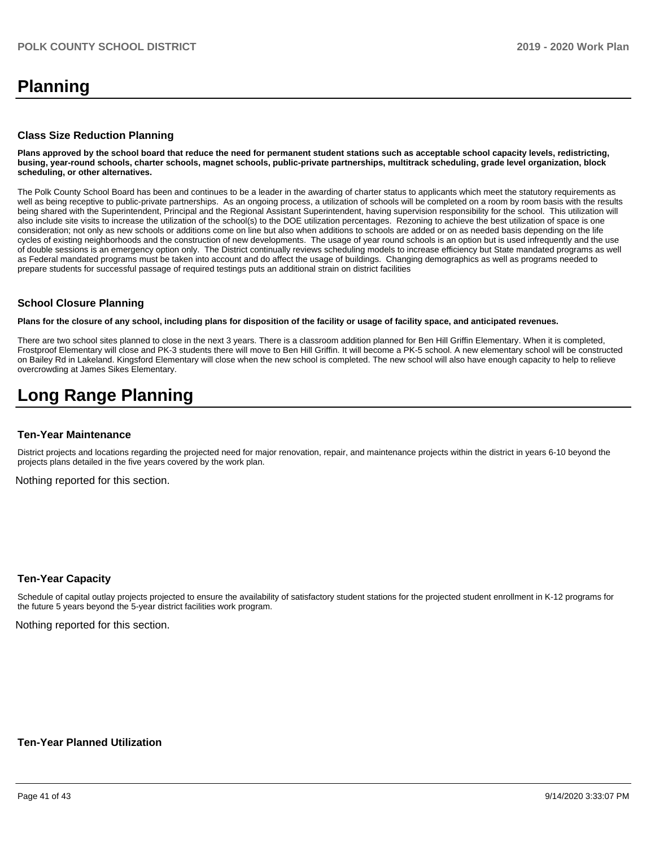# **Planning**

#### **Class Size Reduction Planning**

**Plans approved by the school board that reduce the need for permanent student stations such as acceptable school capacity levels, redistricting, busing, year-round schools, charter schools, magnet schools, public-private partnerships, multitrack scheduling, grade level organization, block scheduling, or other alternatives.**

The Polk County School Board has been and continues to be a leader in the awarding of charter status to applicants which meet the statutory requirements as well as being receptive to public-private partnerships. As an ongoing process, a utilization of schools will be completed on a room by room basis with the results being shared with the Superintendent, Principal and the Regional Assistant Superintendent, having supervision responsibility for the school. This utilization will also include site visits to increase the utilization of the school(s) to the DOE utilization percentages. Rezoning to achieve the best utilization of space is one consideration; not only as new schools or additions come on line but also when additions to schools are added or on as needed basis depending on the life cycles of existing neighborhoods and the construction of new developments. The usage of year round schools is an option but is used infrequently and the use of double sessions is an emergency option only. The District continually reviews scheduling models to increase efficiency but State mandated programs as well as Federal mandated programs must be taken into account and do affect the usage of buildings. Changing demographics as well as programs needed to prepare students for successful passage of required testings puts an additional strain on district facilities

### **School Closure Planning**

**Plans for the closure of any school, including plans for disposition of the facility or usage of facility space, and anticipated revenues.** 

There are two school sites planned to close in the next 3 years. There is a classroom addition planned for Ben Hill Griffin Elementary. When it is completed, Frostproof Elementary will close and PK-3 students there will move to Ben Hill Griffin. It will become a PK-5 school. A new elementary school will be constructed on Bailey Rd in Lakeland. Kingsford Elementary will close when the new school is completed. The new school will also have enough capacity to help to relieve overcrowding at James Sikes Elementary.

# **Long Range Planning**

#### **Ten-Year Maintenance**

District projects and locations regarding the projected need for major renovation, repair, and maintenance projects within the district in years 6-10 beyond the projects plans detailed in the five years covered by the work plan.

Nothing reported for this section.

### **Ten-Year Capacity**

Schedule of capital outlay projects projected to ensure the availability of satisfactory student stations for the projected student enrollment in K-12 programs for the future 5 years beyond the 5-year district facilities work program.

Nothing reported for this section.

#### **Ten-Year Planned Utilization**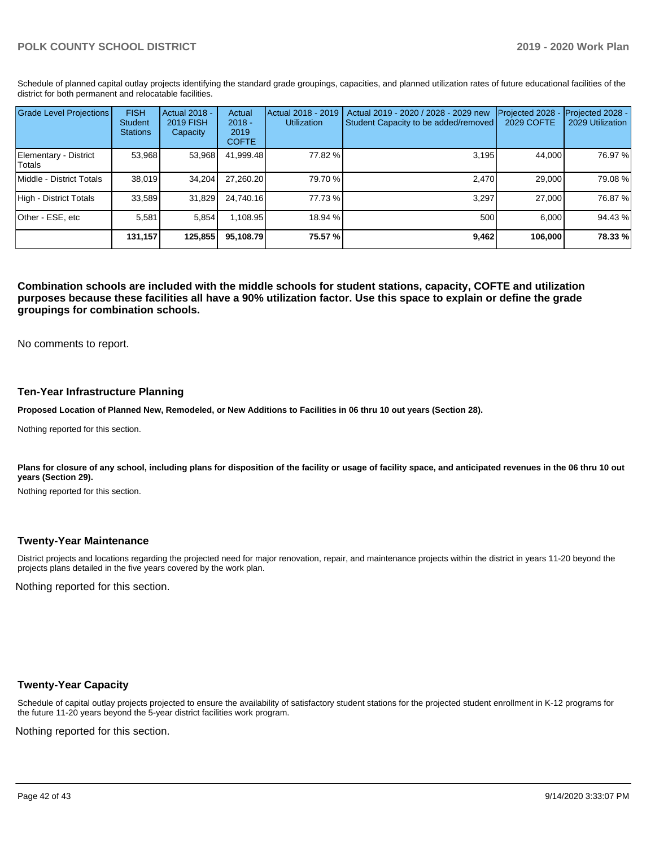Schedule of planned capital outlay projects identifying the standard grade groupings, capacities, and planned utilization rates of future educational facilities of the district for both permanent and relocatable facilities.

| <b>Grade Level Projections</b>   | <b>FISH</b><br>Student<br><b>Stations</b> | <b>Actual 2018 -</b><br><b>2019 FISH</b><br>Capacity | Actual<br>$2018 -$<br>2019<br><b>COFTE</b> | Actual 2018 - 2019<br><b>Utilization</b> | Actual 2019 - 2020 / 2028 - 2029 new<br>Student Capacity to be added/removed | Projected 2028<br>2029 COFTE | Projected 2028 -<br>2029 Utilization |
|----------------------------------|-------------------------------------------|------------------------------------------------------|--------------------------------------------|------------------------------------------|------------------------------------------------------------------------------|------------------------------|--------------------------------------|
| Elementary - District<br>lTotals | 53,968                                    | 53,968                                               | 41,999.48                                  | 77.82 %                                  | 3,195                                                                        | 44,000                       | 76.97 %                              |
| Middle - District Totals         | 38.019                                    | 34.204                                               | 27.260.20                                  | 79.70 %                                  | 2.470                                                                        | 29,000                       | 79.08 %                              |
| High - District Totals           | 33.589                                    | 31,829                                               | 24.740.16                                  | 77.73 %                                  | 3.297                                                                        | 27,000                       | 76.87 %                              |
| Other - ESE, etc                 | 5.581                                     | 5.854                                                | 1,108.95                                   | 18.94 %                                  | 500                                                                          | 6.000                        | 94.43%                               |
|                                  | 131,157                                   | 125,855                                              | 95.108.79                                  | 75.57 %                                  | 9,462                                                                        | 106,000                      | 78.33 %                              |

**Combination schools are included with the middle schools for student stations, capacity, COFTE and utilization purposes because these facilities all have a 90% utilization factor. Use this space to explain or define the grade groupings for combination schools.** 

No comments to report.

### **Ten-Year Infrastructure Planning**

**Proposed Location of Planned New, Remodeled, or New Additions to Facilities in 06 thru 10 out years (Section 28).**

Nothing reported for this section.

Plans for closure of any school, including plans for disposition of the facility or usage of facility space, and anticipated revenues in the 06 thru 10 out **years (Section 29).**

Nothing reported for this section.

### **Twenty-Year Maintenance**

District projects and locations regarding the projected need for major renovation, repair, and maintenance projects within the district in years 11-20 beyond the projects plans detailed in the five years covered by the work plan.

Nothing reported for this section.

### **Twenty-Year Capacity**

Schedule of capital outlay projects projected to ensure the availability of satisfactory student stations for the projected student enrollment in K-12 programs for the future 11-20 years beyond the 5-year district facilities work program.

Nothing reported for this section.